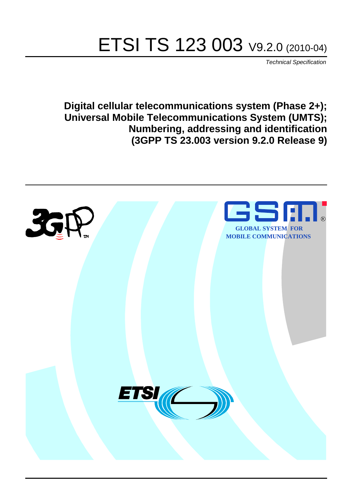# ETSI TS 123 003 V9.2.0 (2010-04)

*Technical Specification*

**Digital cellular telecommunications system (Phase 2+); Universal Mobile Telecommunications System (UMTS); Numbering, addressing and identification (3GPP TS 23.003 version 9.2.0 Release 9)**

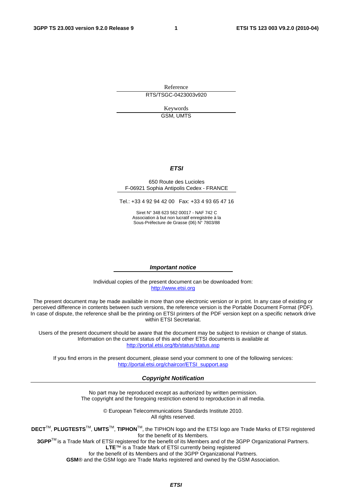Reference RTS/TSGC-0423003v920

> Keywords GSM, UMTS

#### *ETSI*

#### 650 Route des Lucioles F-06921 Sophia Antipolis Cedex - FRANCE

Tel.: +33 4 92 94 42 00 Fax: +33 4 93 65 47 16

Siret N° 348 623 562 00017 - NAF 742 C Association à but non lucratif enregistrée à la Sous-Préfecture de Grasse (06) N° 7803/88

#### *Important notice*

Individual copies of the present document can be downloaded from: [http://www.etsi.org](http://www.etsi.org/)

The present document may be made available in more than one electronic version or in print. In any case of existing or perceived difference in contents between such versions, the reference version is the Portable Document Format (PDF). In case of dispute, the reference shall be the printing on ETSI printers of the PDF version kept on a specific network drive within ETSI Secretariat.

Users of the present document should be aware that the document may be subject to revision or change of status. Information on the current status of this and other ETSI documents is available at <http://portal.etsi.org/tb/status/status.asp>

If you find errors in the present document, please send your comment to one of the following services: [http://portal.etsi.org/chaircor/ETSI\\_support.asp](http://portal.etsi.org/chaircor/ETSI_support.asp)

#### *Copyright Notification*

No part may be reproduced except as authorized by written permission. The copyright and the foregoing restriction extend to reproduction in all media.

> © European Telecommunications Standards Institute 2010. All rights reserved.

**DECT**TM, **PLUGTESTS**TM, **UMTS**TM, **TIPHON**TM, the TIPHON logo and the ETSI logo are Trade Marks of ETSI registered for the benefit of its Members.

**3GPP**TM is a Trade Mark of ETSI registered for the benefit of its Members and of the 3GPP Organizational Partners. **LTE**™ is a Trade Mark of ETSI currently being registered

for the benefit of its Members and of the 3GPP Organizational Partners.

**GSM**® and the GSM logo are Trade Marks registered and owned by the GSM Association.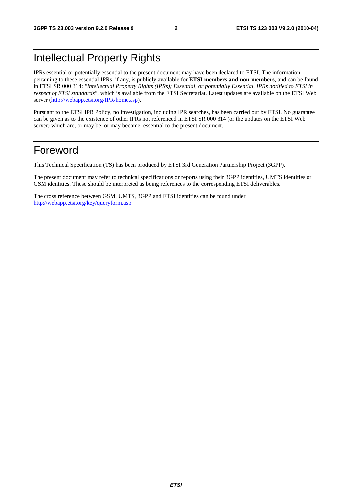# Intellectual Property Rights

IPRs essential or potentially essential to the present document may have been declared to ETSI. The information pertaining to these essential IPRs, if any, is publicly available for **ETSI members and non-members**, and can be found in ETSI SR 000 314: *"Intellectual Property Rights (IPRs); Essential, or potentially Essential, IPRs notified to ETSI in respect of ETSI standards"*, which is available from the ETSI Secretariat. Latest updates are available on the ETSI Web server ([http://webapp.etsi.org/IPR/home.asp\)](http://webapp.etsi.org/IPR/home.asp).

Pursuant to the ETSI IPR Policy, no investigation, including IPR searches, has been carried out by ETSI. No guarantee can be given as to the existence of other IPRs not referenced in ETSI SR 000 314 (or the updates on the ETSI Web server) which are, or may be, or may become, essential to the present document.

### Foreword

This Technical Specification (TS) has been produced by ETSI 3rd Generation Partnership Project (3GPP).

The present document may refer to technical specifications or reports using their 3GPP identities, UMTS identities or GSM identities. These should be interpreted as being references to the corresponding ETSI deliverables.

The cross reference between GSM, UMTS, 3GPP and ETSI identities can be found under [http://webapp.etsi.org/key/queryform.asp.](http://webapp.etsi.org/key/queryform.asp)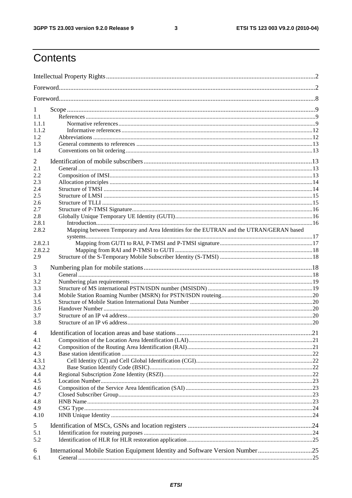$\mathbf{3}$ 

# Contents

| 1<br>1.1<br>1.1.1<br>1.1.2<br>1.2<br>1.3<br>1.4                                                                                                                       |  |
|-----------------------------------------------------------------------------------------------------------------------------------------------------------------------|--|
| 2<br>2.1<br>2.2<br>2.3<br>2.4<br>2.5<br>2.6<br>2.7<br>2.8<br>2.8.1<br>Mapping between Temporary and Area Identities for the EUTRAN and the UTRAN/GERAN based<br>2.8.2 |  |
| 2.8.2.1<br>2.8.2.2<br>2.9                                                                                                                                             |  |
| 3<br>3.1<br>3.2<br>3.3<br>3.4<br>3.5<br>3.6<br>3.7<br>3.8                                                                                                             |  |
| 4<br>4.1<br>4.2<br>4.3<br>4.3.1<br>4.3.2<br>4.4<br>4.5<br>4.6<br>4.7<br>4.8<br>4.9<br>4.10                                                                            |  |
| 5<br>5.1<br>5.2<br>International Mobile Station Equipment Identity and Software Version Number 25<br>6<br>6.1                                                         |  |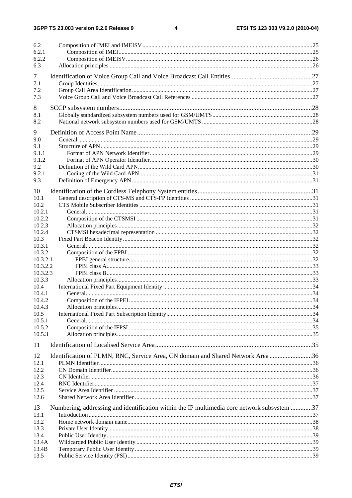#### $\overline{\mathbf{4}}$

| 6.2<br>6.2.1<br>6.2.2<br>6.3 |                                                                                             |  |
|------------------------------|---------------------------------------------------------------------------------------------|--|
|                              |                                                                                             |  |
| $\tau$                       |                                                                                             |  |
| 7.1<br>7.2                   |                                                                                             |  |
| 7.3                          |                                                                                             |  |
|                              |                                                                                             |  |
| 8                            |                                                                                             |  |
| 8.1                          |                                                                                             |  |
| 8.2                          |                                                                                             |  |
| 9                            |                                                                                             |  |
| 9.0                          |                                                                                             |  |
| 9.1                          |                                                                                             |  |
| 9.1.1<br>9.1.2               |                                                                                             |  |
| 9.2                          |                                                                                             |  |
| 9.2.1                        |                                                                                             |  |
| 9.3                          |                                                                                             |  |
| 10                           |                                                                                             |  |
| 10.1                         |                                                                                             |  |
| 10.2                         |                                                                                             |  |
| 10.2.1                       |                                                                                             |  |
| 10.2.2                       |                                                                                             |  |
| 10.2.3                       |                                                                                             |  |
| 10.2.4                       |                                                                                             |  |
| 10.3<br>10.3.1               |                                                                                             |  |
| 10.3.2                       |                                                                                             |  |
| 10.3.2.1                     |                                                                                             |  |
| 10.3.2.2                     |                                                                                             |  |
| 10.3.2.3                     |                                                                                             |  |
| 10.3.3                       |                                                                                             |  |
| 10.4                         |                                                                                             |  |
| 10.4.1                       |                                                                                             |  |
| 10.4.2<br>10.4.3             |                                                                                             |  |
| 10.5                         |                                                                                             |  |
| 10.5.1                       |                                                                                             |  |
| 10.5.2                       |                                                                                             |  |
| 10.5.3                       |                                                                                             |  |
| 11                           |                                                                                             |  |
|                              |                                                                                             |  |
| 12                           | Identification of PLMN, RNC, Service Area, CN domain and Shared Network Area 36             |  |
| 12.1<br>12.2                 |                                                                                             |  |
| 12.3                         |                                                                                             |  |
| 12.4                         |                                                                                             |  |
| 12.5                         |                                                                                             |  |
| 12.6                         |                                                                                             |  |
| 13                           | Numbering, addressing and identification within the IP multimedia core network subsystem 37 |  |
| 13.1                         |                                                                                             |  |
| 13.2                         |                                                                                             |  |
| 13.3                         |                                                                                             |  |
| 13.4                         |                                                                                             |  |
| 13.4A                        |                                                                                             |  |
| 13.4B<br>13.5                |                                                                                             |  |
|                              |                                                                                             |  |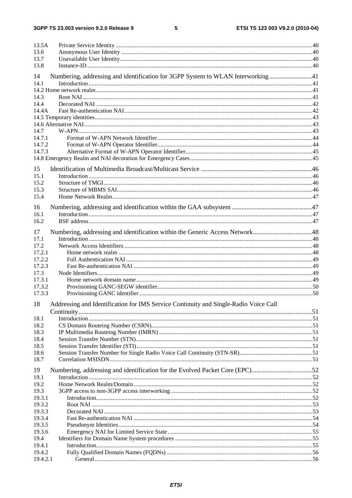#### $5\phantom{a}$

| 13.5A                                                                                   |  |
|-----------------------------------------------------------------------------------------|--|
| 13.6                                                                                    |  |
| 13.7                                                                                    |  |
| 13.8                                                                                    |  |
|                                                                                         |  |
| Numbering, addressing and identification for 3GPP System to WLAN Interworking41<br>14   |  |
| 14.1                                                                                    |  |
|                                                                                         |  |
| 14.3                                                                                    |  |
| 14.4                                                                                    |  |
| 14.4A                                                                                   |  |
|                                                                                         |  |
|                                                                                         |  |
| 14.7                                                                                    |  |
| 14.7.1                                                                                  |  |
| 14.7.2                                                                                  |  |
| 14.7.3                                                                                  |  |
|                                                                                         |  |
|                                                                                         |  |
| 15                                                                                      |  |
| 15.1                                                                                    |  |
| 15.2                                                                                    |  |
| 15.3                                                                                    |  |
| 15.4                                                                                    |  |
| 16                                                                                      |  |
| 16.1                                                                                    |  |
| 16.2                                                                                    |  |
|                                                                                         |  |
| Numbering, addressing and identification within the Generic Access Network48<br>17      |  |
| 17.1                                                                                    |  |
| 17.2                                                                                    |  |
| 17.2.1                                                                                  |  |
| 17.2.2                                                                                  |  |
| 17.2.3                                                                                  |  |
| 17.3                                                                                    |  |
| 17.3.1                                                                                  |  |
| 17.3.2                                                                                  |  |
| 17.3.3                                                                                  |  |
| 18 Addressing and Identification for IMS Service Continuity and Single-Radio Voice Call |  |
|                                                                                         |  |
| 18.1                                                                                    |  |
| 18.2                                                                                    |  |
| 18.3                                                                                    |  |
| 18.4                                                                                    |  |
| 18.5                                                                                    |  |
| 18.6                                                                                    |  |
| 18.7                                                                                    |  |
|                                                                                         |  |
| Numbering, addressing and identification for the Evolved Packet Core (EPC)52<br>19      |  |
| 19.1                                                                                    |  |
| 19.2                                                                                    |  |
| 19.3                                                                                    |  |
| 19.3.1                                                                                  |  |
| 19.3.2                                                                                  |  |
| 19.3.3                                                                                  |  |
| 19.3.4                                                                                  |  |
| 19.3.5                                                                                  |  |
| 19.3.6                                                                                  |  |
| 19.4                                                                                    |  |
| 19.4.1                                                                                  |  |
| 19.4.2                                                                                  |  |
| 19.4.2.1                                                                                |  |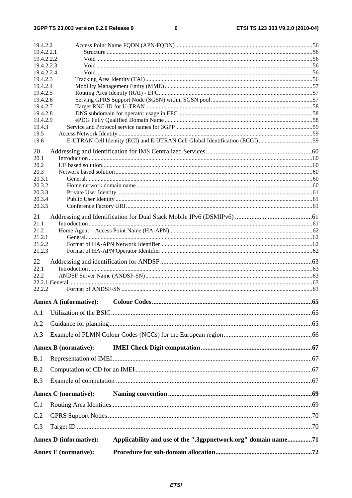$\bf 6$ 

| 19.4.2.2                 |                               |                                                                              |  |
|--------------------------|-------------------------------|------------------------------------------------------------------------------|--|
| 19.4.2.2.1<br>19.4.2.2.2 |                               |                                                                              |  |
| 19.4.2.2.3               |                               |                                                                              |  |
| 19.4.2.2.4               |                               |                                                                              |  |
| 19.4.2.3                 |                               |                                                                              |  |
| 19.4.2.4                 |                               |                                                                              |  |
| 19.4.2.5<br>19.4.2.6     |                               |                                                                              |  |
| 19.4.2.7                 |                               |                                                                              |  |
| 19.4.2.8                 |                               |                                                                              |  |
| 19.4.2.9                 |                               |                                                                              |  |
| 19.4.3                   |                               |                                                                              |  |
| 19.5                     |                               |                                                                              |  |
| 19.6                     |                               | E-UTRAN Cell Identity (ECI) and E-UTRAN Cell Global Identification (ECGI) 59 |  |
| 20                       |                               |                                                                              |  |
| 20.1                     |                               |                                                                              |  |
| 20.2                     |                               |                                                                              |  |
| 20.3                     |                               |                                                                              |  |
| 20.3.1<br>20.3.2         |                               |                                                                              |  |
| 20.3.3                   |                               |                                                                              |  |
| 20.3.4                   |                               |                                                                              |  |
| 20.3.5                   |                               |                                                                              |  |
| 21                       |                               |                                                                              |  |
| 21.1                     |                               |                                                                              |  |
| 21.2                     |                               |                                                                              |  |
| 21.2.1                   |                               |                                                                              |  |
| 21.2.2                   |                               |                                                                              |  |
| 21.2.3                   |                               |                                                                              |  |
| 22                       |                               |                                                                              |  |
| 22.1                     |                               |                                                                              |  |
| 22.2                     |                               |                                                                              |  |
|                          |                               |                                                                              |  |
| 22.2.2                   |                               |                                                                              |  |
|                          | <b>Annex A (informative):</b> |                                                                              |  |
| A.1                      |                               |                                                                              |  |
| A.2                      |                               |                                                                              |  |
|                          |                               |                                                                              |  |
| A.3                      |                               |                                                                              |  |
|                          | <b>Annex B</b> (normative):   |                                                                              |  |
| B.1                      |                               |                                                                              |  |
| B.2                      |                               |                                                                              |  |
| B.3                      |                               |                                                                              |  |
|                          | <b>Annex C</b> (normative):   |                                                                              |  |
|                          |                               |                                                                              |  |
| C.1                      |                               |                                                                              |  |
| C.2                      |                               |                                                                              |  |
| C.3                      |                               |                                                                              |  |
|                          | <b>Annex D</b> (informative): | Applicability and use of the ".3gppnetwork.org" domain name71                |  |
|                          | <b>Annex E</b> (normative):   |                                                                              |  |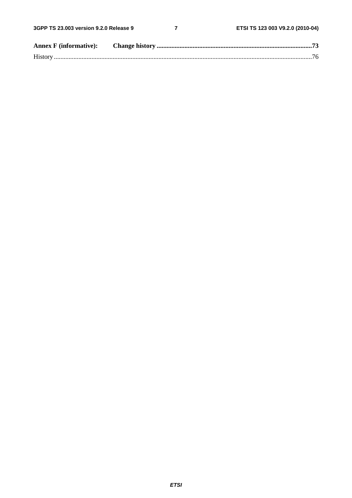$\overline{7}$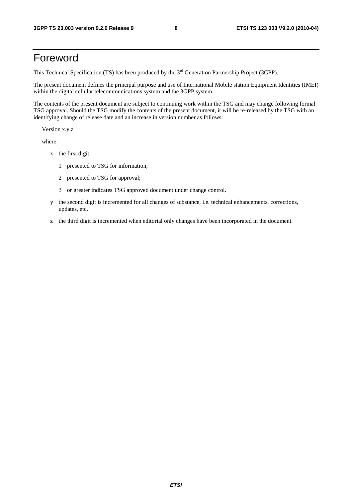## Foreword

This Technical Specification (TS) has been produced by the 3<sup>rd</sup> Generation Partnership Project (3GPP).

The present document defines the principal purpose and use of International Mobile station Equipment Identities (IMEI) within the digital cellular telecommunications system and the 3GPP system.

The contents of the present document are subject to continuing work within the TSG and may change following formal TSG approval. Should the TSG modify the contents of the present document, it will be re-released by the TSG with an identifying change of release date and an increase in version number as follows:

Version x.y.z

where:

- x the first digit:
	- 1 presented to TSG for information;
	- 2 presented to TSG for approval;
	- 3 or greater indicates TSG approved document under change control.
- y the second digit is incremented for all changes of substance, i.e. technical enhancements, corrections, updates, etc.
- z the third digit is incremented when editorial only changes have been incorporated in the document.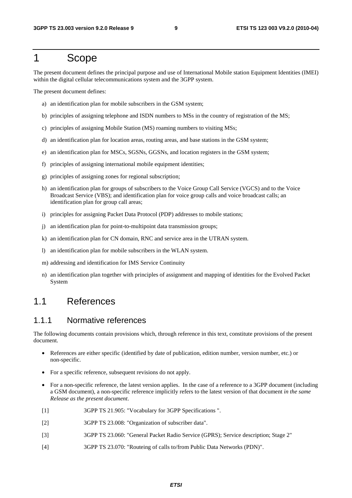### 1 Scope

The present document defines the principal purpose and use of International Mobile station Equipment Identities (IMEI) within the digital cellular telecommunications system and the 3GPP system.

The present document defines:

- a) an identification plan for mobile subscribers in the GSM system;
- b) principles of assigning telephone and ISDN numbers to MSs in the country of registration of the MS;
- c) principles of assigning Mobile Station (MS) roaming numbers to visiting MSs;
- d) an identification plan for location areas, routing areas, and base stations in the GSM system;
- e) an identification plan for MSCs, SGSNs, GGSNs, and location registers in the GSM system;
- f) principles of assigning international mobile equipment identities;
- g) principles of assigning zones for regional subscription;
- h) an identification plan for groups of subscribers to the Voice Group Call Service (VGCS) and to the Voice Broadcast Service (VBS); and identification plan for voice group calls and voice broadcast calls; an identification plan for group call areas;
- i) principles for assigning Packet Data Protocol (PDP) addresses to mobile stations;
- j) an identification plan for point-to-multipoint data transmission groups;
- k) an identification plan for CN domain, RNC and service area in the UTRAN system.
- l) an identification plan for mobile subscribers in the WLAN system.
- m) addressing and identification for IMS Service Continuity
- n) an identification plan together with principles of assignment and mapping of identities for the Evolved Packet System

### 1.1 References

#### 1.1.1 Normative references

The following documents contain provisions which, through reference in this text, constitute provisions of the present document.

- References are either specific (identified by date of publication, edition number, version number, etc.) or non-specific.
- For a specific reference, subsequent revisions do not apply.
- For a non-specific reference, the latest version applies. In the case of a reference to a 3GPP document (including a GSM document), a non-specific reference implicitly refers to the latest version of that document *in the same Release as the present document*.
- [1] 3GPP TS 21.905: "Vocabulary for 3GPP Specifications ".
- [2] 3GPP TS 23.008: "Organization of subscriber data".
- [3] 3GPP TS 23.060: "General Packet Radio Service (GPRS); Service description; Stage 2"
- [4] 3GPP TS 23.070: "Routeing of calls to/from Public Data Networks (PDN)".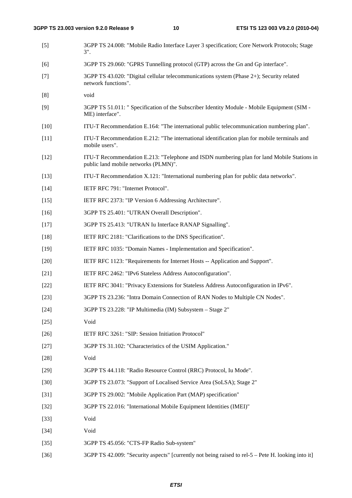| $[5]$  | 3GPP TS 24.008: "Mobile Radio Interface Layer 3 specification; Core Network Protocols; Stage<br>$3$ ".                             |
|--------|------------------------------------------------------------------------------------------------------------------------------------|
| [6]    | 3GPP TS 29.060: "GPRS Tunnelling protocol (GTP) across the Gn and Gp interface".                                                   |
| $[7]$  | 3GPP TS 43.020: "Digital cellular telecommunications system (Phase 2+); Security related<br>network functions".                    |
| [8]    | void                                                                                                                               |
| [9]    | 3GPP TS 51.011: " Specification of the Subscriber Identity Module - Mobile Equipment (SIM -<br>ME) interface".                     |
| $[10]$ | ITU-T Recommendation E.164: "The international public telecommunication numbering plan".                                           |
| $[11]$ | ITU-T Recommendation E.212: "The international identification plan for mobile terminals and<br>mobile users".                      |
| $[12]$ | ITU-T Recommendation E.213: "Telephone and ISDN numbering plan for land Mobile Stations in<br>public land mobile networks (PLMN)". |
| $[13]$ | ITU-T Recommendation X.121: "International numbering plan for public data networks".                                               |
| $[14]$ | IETF RFC 791: "Internet Protocol".                                                                                                 |
| $[15]$ | IETF RFC 2373: "IP Version 6 Addressing Architecture".                                                                             |
| $[16]$ | 3GPP TS 25.401: "UTRAN Overall Description".                                                                                       |
| $[17]$ | 3GPP TS 25.413: "UTRAN Iu Interface RANAP Signalling".                                                                             |
| $[18]$ | IETF RFC 2181: "Clarifications to the DNS Specification".                                                                          |
| $[19]$ | IETF RFC 1035: "Domain Names - Implementation and Specification".                                                                  |
| $[20]$ | IETF RFC 1123: "Requirements for Internet Hosts -- Application and Support".                                                       |
| $[21]$ | IETF RFC 2462: "IPv6 Stateless Address Autoconfiguration".                                                                         |
| $[22]$ | IETF RFC 3041: "Privacy Extensions for Stateless Address Autoconfiguration in IPv6".                                               |
| $[23]$ | 3GPP TS 23.236: "Intra Domain Connection of RAN Nodes to Multiple CN Nodes".                                                       |
| $[24]$ | 3GPP TS 23.228: "IP Multimedia (IM) Subsystem - Stage 2"                                                                           |
| $[25]$ | Void                                                                                                                               |
| $[26]$ | IETF RFC 3261: "SIP: Session Initiation Protocol"                                                                                  |
| $[27]$ | 3GPP TS 31.102: "Characteristics of the USIM Application."                                                                         |
| $[28]$ | Void                                                                                                                               |
| $[29]$ | 3GPP TS 44.118: "Radio Resource Control (RRC) Protocol, Iu Mode".                                                                  |
| $[30]$ | 3GPP TS 23.073: "Support of Localised Service Area (SoLSA); Stage 2"                                                               |
| $[31]$ | 3GPP TS 29.002: "Mobile Application Part (MAP) specification"                                                                      |
| $[32]$ | 3GPP TS 22.016: "International Mobile Equipment Identities (IMEI)"                                                                 |
| $[33]$ | Void                                                                                                                               |
| $[34]$ | Void                                                                                                                               |
| $[35]$ | 3GPP TS 45.056: "CTS-FP Radio Sub-system"                                                                                          |
| $[36]$ | 3GPP TS 42.009: "Security aspects" [currently not being raised to rel-5 – Pete H. looking into it]                                 |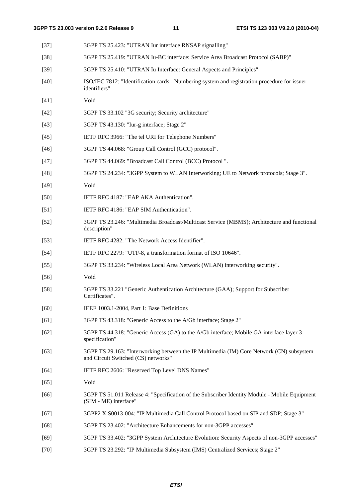| $[37]$ | 3GPP TS 25.423: "UTRAN Iur interface RNSAP signalling"                                                                          |
|--------|---------------------------------------------------------------------------------------------------------------------------------|
| $[38]$ | 3GPP TS 25.419: "UTRAN Iu-BC interface: Service Area Broadcast Protocol (SABP)"                                                 |
| $[39]$ | 3GPP TS 25.410: "UTRAN Iu Interface: General Aspects and Principles"                                                            |
| $[40]$ | ISO/IEC 7812: "Identification cards - Numbering system and registration procedure for issuer<br>identifiers"                    |
| $[41]$ | Void                                                                                                                            |
| $[42]$ | 3GPP TS 33.102 "3G security; Security architecture"                                                                             |
| $[43]$ | 3GPP TS 43.130: "Iur-g interface; Stage 2"                                                                                      |
| $[45]$ | IETF RFC 3966: "The tel URI for Telephone Numbers"                                                                              |
| $[46]$ | 3GPP TS 44.068: "Group Call Control (GCC) protocol".                                                                            |
| $[47]$ | 3GPP TS 44.069: "Broadcast Call Control (BCC) Protocol".                                                                        |
| $[48]$ | 3GPP TS 24.234: "3GPP System to WLAN Interworking; UE to Network protocols; Stage 3".                                           |
| $[49]$ | Void                                                                                                                            |
| $[50]$ | IETF RFC 4187: "EAP AKA Authentication".                                                                                        |
| $[51]$ | IETF RFC 4186: "EAP SIM Authentication".                                                                                        |
| $[52]$ | 3GPP TS 23.246: "Multimedia Broadcast/Multicast Service (MBMS); Architecture and functional<br>description"                     |
| $[53]$ | IETF RFC 4282: "The Network Access Identifier".                                                                                 |
| $[54]$ | IETF RFC 2279: "UTF-8, a transformation format of ISO 10646".                                                                   |
| $[55]$ | 3GPP TS 33.234: "Wireless Local Area Network (WLAN) interworking security".                                                     |
| $[56]$ | Void                                                                                                                            |
| $[58]$ | 3GPP TS 33.221 "Generic Authentication Architecture (GAA); Support for Subscriber<br>Certificates".                             |
| [60]   | IEEE 1003.1-2004, Part 1: Base Definitions                                                                                      |
| [61]   | 3GPP TS 43.318: "Generic Access to the A/Gb interface; Stage 2"                                                                 |
| $[62]$ | 3GPP TS 44.318: "Generic Access (GA) to the A/Gb interface; Mobile GA interface layer 3<br>specification"                       |
| $[63]$ | 3GPP TS 29.163: "Interworking between the IP Multimedia (IM) Core Network (CN) subsystem<br>and Circuit Switched (CS) networks" |
| [64]   | IETF RFC 2606: "Reserved Top Level DNS Names"                                                                                   |
| $[65]$ | Void                                                                                                                            |
| [66]   | 3GPP TS 51.011 Release 4: "Specification of the Subscriber Identity Module - Mobile Equipment<br>(SIM - ME) interface"          |
| $[67]$ | 3GPP2 X.S0013-004: "IP Multimedia Call Control Protocol based on SIP and SDP; Stage 3"                                          |
| $[68]$ | 3GPP TS 23.402: "Architecture Enhancements for non-3GPP accesses"                                                               |
| $[69]$ | 3GPP TS 33.402: "3GPP System Architecture Evolution: Security Aspects of non-3GPP accesses"                                     |
|        |                                                                                                                                 |

[70] 3GPP TS 23.292: "IP Multimedia Subsystem (IMS) Centralized Services; Stage 2"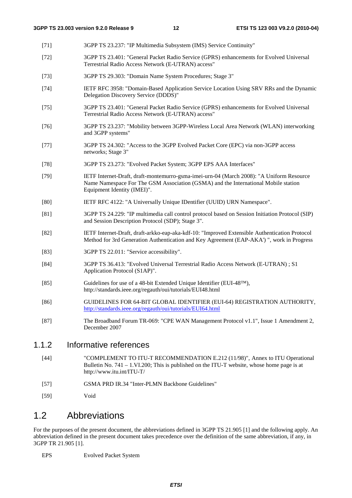- [71] 3GPP TS 23.237: "IP Multimedia Subsystem (IMS) Service Continuity"
- [72] 3GPP TS 23.401: "General Packet Radio Service (GPRS) enhancements for Evolved Universal Terrestrial Radio Access Network (E-UTRAN) access"
- [73] 3GPP TS 29.303: "Domain Name System Procedures; Stage 3"
- [74] IETF RFC 3958: "Domain-Based Application Service Location Using SRV RRs and the Dynamic Delegation Discovery Service (DDDS)"
- [75] 3GPP TS 23.401: "General Packet Radio Service (GPRS) enhancements for Evolved Universal Terrestrial Radio Access Network (E-UTRAN) access"
- [76] 3GPP TS 23.237: "Mobility between 3GPP-Wireless Local Area Network (WLAN) interworking and 3GPP systems"
- [77] 3GPP TS 24.302: "Access to the 3GPP Evolved Packet Core (EPC) via non-3GPP access networks; Stage 3"
- [78] 3GPP TS 23.273: "Evolved Packet System; 3GPP EPS AAA Interfaces"
- [79] IETF Internet-Draft, draft-montemurro-gsma-imei-urn-04 (March 2008): "A Uniform Resource Name Namespace For The GSM Association (GSMA) and the International Mobile station Equipment Identity (IMEI)".
- [80] IETF RFC 4122: "A Universally Unique IDentifier (UUID) URN Namespace".
- [81] 3GPP TS 24.229: "IP multimedia call control protocol based on Session Initiation Protocol (SIP) and Session Description Protocol (SDP); Stage 3".
- [82] IETF Internet-Draft, draft-arkko-eap-aka-kdf-10: "Improved Extensible Authentication Protocol Method for 3rd Generation Authentication and Key Agreement (EAP-AKA') ", work in Progress
- [83] 3GPP TS 22.011: "Service accessibility".
- [84] 3GPP TS 36.413: "Evolved Universal Terrestrial Radio Access Network (E-UTRAN) ; S1 Application Protocol (S1AP)".
- [85] Guidelines for use of a 48-bit Extended Unique Identifier (EUI-48™), http://standards.ieee.org/regauth/oui/tutorials/EUI48.html
- [86] GUIDELINES FOR 64-BIT GLOBAL IDENTIFIER (EUI-64) REGISTRATION AUTHORITY, <http://standards.ieee.org/regauth/oui/tutorials/EUI64.html>
- [87] The Broadband Forum TR-069: "CPE WAN Management Protocol v1.1", Issue 1 Amendment 2, December 2007

#### 1.1.2 Informative references

- [44] "COMPLEMENT TO ITU-T RECOMMENDATION E.212 (11/98)", Annex to ITU Operational Bulletin No. 741 – 1.VI.200; This is published on the ITU-T website, whose home page is at http://www.itu.int/ITU-T/
- [57] GSMA PRD IR.34 "Inter-PLMN Backbone Guidelines"
- [59] Void

### 1.2 Abbreviations

For the purposes of the present document, the abbreviations defined in 3GPP TS 21.905 [1] and the following apply. An abbreviation defined in the present document takes precedence over the definition of the same abbreviation, if any, in 3GPP TR 21.905 [1].

EPS Evolved Packet System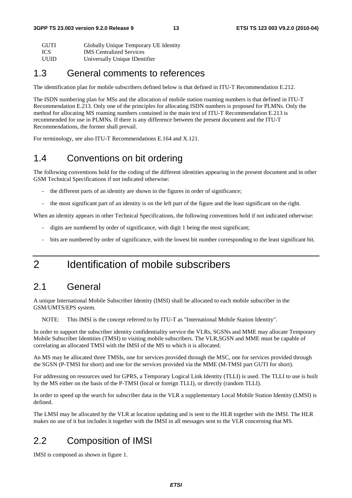| GUTI           | Globally Unique Temporary UE Identity                                  |
|----------------|------------------------------------------------------------------------|
| $T\cap \alpha$ | $\mathbf{M}$ $\alpha$ $\alpha$ $\cdots$ $\mathbf{M}$ $\alpha$ $\cdots$ |

ICS IMS Centralized Services

UUID Universally Unique IDentifier

### 1.3 General comments to references

The identification plan for mobile subscribers defined below is that defined in ITU-T Recommendation E.212.

The ISDN numbering plan for MSs and the allocation of mobile station roaming numbers is that defined in ITU-T Recommendation E.213. Only one of the principles for allocating ISDN numbers is proposed for PLMNs. Only the method for allocating MS roaming numbers contained in the main text of ITU-T Recommendation E.213 is recommended for use in PLMNs. If there is any difference between the present document and the ITU-T Recommendations, the former shall prevail.

For terminology, see also ITU-T Recommendations E.164 and X.121.

### 1.4 Conventions on bit ordering

The following conventions hold for the coding of the different identities appearing in the present document and in other GSM Technical Specifications if not indicated otherwise:

- the different parts of an identity are shown in the figures in order of significance;
- the most significant part of an identity is on the left part of the figure and the least significant on the right.

When an identity appears in other Technical Specifications, the following conventions hold if not indicated otherwise:

- digits are numbered by order of significance, with digit 1 being the most significant;
- bits are numbered by order of significance, with the lowest bit number corresponding to the least significant bit.

# 2 Identification of mobile subscribers

### 2.1 General

A unique International Mobile Subscriber Identity (IMSI) shall be allocated to each mobile subscriber in the GSM/UMTS/EPS system.

NOTE: This IMSI is the concept referred to by ITU-T as "International Mobile Station Identity".

In order to support the subscriber identity confidentiality service the VLRs, SGSNs and MME may allocate Temporary Mobile Subscriber Identities (TMSI) to visiting mobile subscribers. The VLR,SGSN and MME must be capable of correlating an allocated TMSI with the IMSI of the MS to which it is allocated.

An MS may be allocated three TMSIs, one for services provided through the MSC, one for services provided through the SGSN (P-TMSI for short) and one for the services provided via the MME (M-TMSI part GUTI for short).

For addressing on resources used for GPRS, a Temporary Logical Link Identity (TLLI) is used. The TLLI to use is built by the MS either on the basis of the P-TMSI (local or foreign TLLI), or directly (random TLLI).

In order to speed up the search for subscriber data in the VLR a supplementary Local Mobile Station Identity (LMSI) is defined.

The LMSI may be allocated by the VLR at location updating and is sent to the HLR together with the IMSI. The HLR makes no use of it but includes it together with the IMSI in all messages sent to the VLR concerning that MS.

# 2.2 Composition of IMSI

IMSI is composed as shown in figure 1.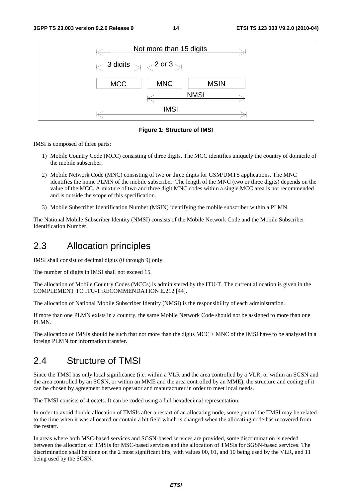

**Figure 1: Structure of IMSI** 

IMSI is composed of three parts:

- 1) Mobile Country Code (MCC) consisting of three digits. The MCC identifies uniquely the country of domicile of the mobile subscriber;
- 2) Mobile Network Code (MNC) consisting of two or three digits for GSM/UMTS applications. The MNC identifies the home PLMN of the mobile subscriber. The length of the MNC (two or three digits) depends on the value of the MCC. A mixture of two and three digit MNC codes within a single MCC area is not recommended and is outside the scope of this specification.
- 3) Mobile Subscriber Identification Number (MSIN) identifying the mobile subscriber within a PLMN.

The National Mobile Subscriber Identity (NMSI) consists of the Mobile Network Code and the Mobile Subscriber Identification Number.

#### 2.3 Allocation principles

IMSI shall consist of decimal digits (0 through 9) only.

The number of digits in IMSI shall not exceed 15.

The allocation of Mobile Country Codes (MCCs) is administered by the ITU-T. The current allocation is given in the COMPLEMENT TO ITU-T RECOMMENDATION E.212 [44].

The allocation of National Mobile Subscriber Identity (NMSI) is the responsibility of each administration.

If more than one PLMN exists in a country, the same Mobile Network Code should not be assigned to more than one PLMN.

The allocation of IMSIs should be such that not more than the digits MCC + MNC of the IMSI have to be analysed in a foreign PLMN for information transfer.

### 2.4 Structure of TMSI

Since the TMSI has only local significance (i.e. within a VLR and the area controlled by a VLR, or within an SGSN and the area controlled by an SGSN, or within an MME and the area controlled by an MME), the structure and coding of it can be chosen by agreement between operator and manufacturer in order to meet local needs.

The TMSI consists of 4 octets. It can be coded using a full hexadecimal representation.

In order to avoid double allocation of TMSIs after a restart of an allocating node, some part of the TMSI may be related to the time when it was allocated or contain a bit field which is changed when the allocating node has recovered from the restart.

In areas where both MSC-based services and SGSN-based services are provided, some discrimination is needed between the allocation of TMSIs for MSC-based services and the allocation of TMSIs for SGSN-based services. The discrimination shall be done on the 2 most significant bits, with values 00, 01, and 10 being used by the VLR, and 11 being used by the SGSN.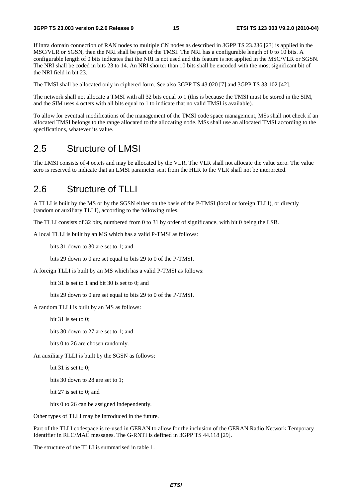If intra domain connection of RAN nodes to multiple CN nodes as described in 3GPP TS 23.236 [23] is applied in the MSC/VLR or SGSN, then the NRI shall be part of the TMSI. The NRI has a configurable length of 0 to 10 bits. A configurable length of 0 bits indicates that the NRI is not used and this feature is not applied in the MSC/VLR or SGSN. The NRI shall be coded in bits 23 to 14. An NRI shorter than 10 bits shall be encoded with the most significant bit of the NRI field in bit 23.

The TMSI shall be allocated only in ciphered form. See also 3GPP TS 43.020 [7] and 3GPP TS 33.102 [42].

The network shall not allocate a TMSI with all 32 bits equal to 1 (this is because the TMSI must be stored in the SIM, and the SIM uses 4 octets with all bits equal to 1 to indicate that no valid TMSI is available).

To allow for eventual modifications of the management of the TMSI code space management, MSs shall not check if an allocated TMSI belongs to the range allocated to the allocating node. MSs shall use an allocated TMSI according to the specifications, whatever its value.

#### 2.5 Structure of LMSI

The LMSI consists of 4 octets and may be allocated by the VLR. The VLR shall not allocate the value zero. The value zero is reserved to indicate that an LMSI parameter sent from the HLR to the VLR shall not be interpreted.

### 2.6 Structure of TLLI

A TLLI is built by the MS or by the SGSN either on the basis of the P-TMSI (local or foreign TLLI), or directly (random or auxiliary TLLI), according to the following rules.

The TLLI consists of 32 bits, numbered from 0 to 31 by order of significance, with bit 0 being the LSB.

A local TLLI is built by an MS which has a valid P-TMSI as follows:

bits 31 down to 30 are set to 1; and

bits 29 down to 0 are set equal to bits 29 to 0 of the P-TMSI.

A foreign TLLI is built by an MS which has a valid P-TMSI as follows:

bit 31 is set to 1 and bit 30 is set to 0; and

bits 29 down to 0 are set equal to bits 29 to 0 of the P-TMSI.

A random TLLI is built by an MS as follows:

bit 31 is set to 0;

bits 30 down to 27 are set to 1; and

bits 0 to 26 are chosen randomly.

An auxiliary TLLI is built by the SGSN as follows:

bit 31 is set to 0;

bits 30 down to 28 are set to 1;

bit 27 is set to 0; and

bits 0 to 26 can be assigned independently.

Other types of TLLI may be introduced in the future.

Part of the TLLI codespace is re-used in GERAN to allow for the inclusion of the GERAN Radio Network Temporary Identifier in RLC/MAC messages. The G-RNTI is defined in 3GPP TS 44.118 [29].

The structure of the TLLI is summarised in table 1.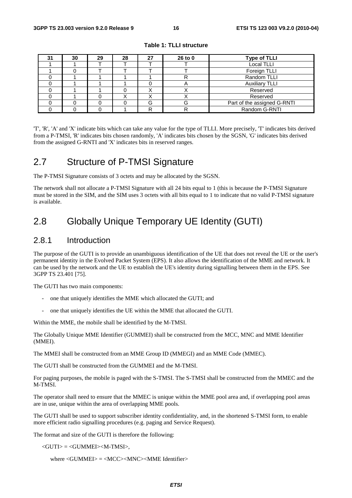| 31 | 30 | 29 | 28 | 27 | 26 to 0 | <b>Type of TLLI</b>         |
|----|----|----|----|----|---------|-----------------------------|
|    |    |    |    |    |         | <b>Local TLLI</b>           |
|    |    |    |    |    |         | Foreign TLLI                |
|    |    |    |    |    |         | Random TLLI                 |
|    |    |    |    |    | n       | <b>Auxiliary TLLI</b>       |
|    |    |    |    |    |         | Reserved                    |
|    |    |    |    | ↗  |         | Reserved                    |
|    |    |    |    | G  | G       | Part of the assigned G-RNTI |
|    |    |    |    | רז |         | Random G-RNTI               |

**Table 1: TLLI structure** 

'T', 'R', 'A' and 'X' indicate bits which can take any value for the type of TLLI. More precisely, 'T' indicates bits derived from a P-TMSI, 'R' indicates bits chosen randomly, 'A' indicates bits chosen by the SGSN, 'G' indicates bits derived from the assigned G-RNTI and 'X' indicates bits in reserved ranges.

### 2.7 Structure of P-TMSI Signature

The P-TMSI Signature consists of 3 octets and may be allocated by the SGSN.

The network shall not allocate a P-TMSI Signature with all 24 bits equal to 1 (this is because the P-TMSI Signature must be stored in the SIM, and the SIM uses 3 octets with all bits equal to 1 to indicate that no valid P-TMSI signature is available.

# 2.8 Globally Unique Temporary UE Identity (GUTI)

#### 2.8.1 Introduction

The purpose of the GUTI is to provide an unambiguous identification of the UE that does not reveal the UE or the user's permanent identity in the Evolved Packet System (EPS). It also allows the identification of the MME and network. It can be used by the network and the UE to establish the UE's identity during signalling between them in the EPS. See 3GPP TS 23.401 [75].

The GUTI has two main components:

- one that uniquely identifies the MME which allocated the GUTI; and
- one that uniquely identifies the UE within the MME that allocated the GUTI.

Within the MME, the mobile shall be identified by the M-TMSI.

The Globally Unique MME Identifier (GUMMEI) shall be constructed from the MCC, MNC and MME Identifier (MMEI).

The MMEI shall be constructed from an MME Group ID (MMEGI) and an MME Code (MMEC).

The GUTI shall be constructed from the GUMMEI and the M-TMSI.

For paging purposes, the mobile is paged with the S-TMSI. The S-TMSI shall be constructed from the MMEC and the M-TMSI.

The operator shall need to ensure that the MMEC is unique within the MME pool area and, if overlapping pool areas are in use, unique within the area of overlapping MME pools.

The GUTI shall be used to support subscriber identity confidentiality, and, in the shortened S-TMSI form, to enable more efficient radio signalling procedures (e.g. paging and Service Request).

The format and size of the GUTI is therefore the following:

 $\langle$ GUTI $\rangle$  =  $\langle$ GUMMEI $>$ M-TMSI $>$ .

where <GUMMEI> = <MCC><MNC><MME Identifier>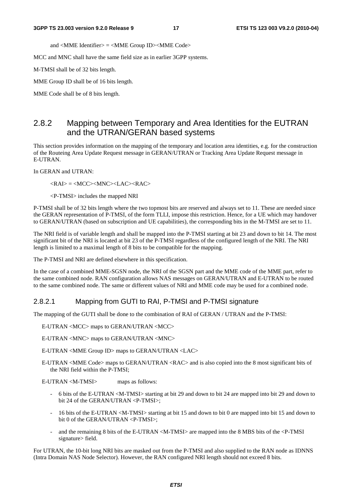and <MME Identifier> = <MME Group ID><MME Code>

MCC and MNC shall have the same field size as in earlier 3GPP systems.

M-TMSI shall be of 32 bits length.

MME Group ID shall be of 16 bits length.

MME Code shall be of 8 bits length.

#### 2.8.2 Mapping between Temporary and Area Identities for the EUTRAN and the UTRAN/GERAN based systems

This section provides information on the mapping of the temporary and location area identities, e.g. for the construction of the Routeing Area Update Request message in GERAN/UTRAN or Tracking Area Update Request message in E-UTRAN.

In GERAN and UTRAN:

<RAI> = <MCC><MNC><LAC><RAC>

<P-TMSI> includes the mapped NRI

P-TMSI shall be of 32 bits length where the two topmost bits are reserved and always set to 11. These are needed since the GERAN representation of P-TMSI, of the form TLLI, impose this restriction. Hence, for a UE which may handover to GERAN/UTRAN (based on subscription and UE capabilities), the corresponding bits in the M-TMSI are set to 11.

The NRI field is of variable length and shall be mapped into the P-TMSI starting at bit 23 and down to bit 14. The most significant bit of the NRI is located at bit 23 of the P-TMSI regardless of the configured length of the NRI. The NRI length is limited to a maximal length of 8 bits to be compatible for the mapping.

The P-TMSI and NRI are defined elsewhere in this specification.

In the case of a combined MME-SGSN node, the NRI of the SGSN part and the MME code of the MME part, refer to the same combined node. RAN configuration allows NAS messages on GERAN/UTRAN and E-UTRAN to be routed to the same combined node. The same or different values of NRI and MME code may be used for a combined node.

#### 2.8.2.1 Mapping from GUTI to RAI, P-TMSI and P-TMSI signature

The mapping of the GUTI shall be done to the combination of RAI of GERAN / UTRAN and the P-TMSI:

E-UTRAN <MCC> maps to GERAN/UTRAN <MCC>

E-UTRAN <MNC> maps to GERAN/UTRAN <MNC>

E-UTRAN <MME Group ID> maps to GERAN/UTRAN <LAC>

E-UTRAN <MME Code> maps to GERAN/UTRAN <RAC> and is also copied into the 8 most significant bits of the NRI field within the P-TMSI;

E-UTRAN <M-TMSI> maps as follows:

- 6 bits of the E-UTRAN <M-TMSI> starting at bit 29 and down to bit 24 are mapped into bit 29 and down to bit 24 of the GERAN/UTRAN <P-TMSI>;
- 16 bits of the E-UTRAN <M-TMSI> starting at bit 15 and down to bit 0 are mapped into bit 15 and down to bit 0 of the GERAN/UTRAN <P-TMSI>;
- and the remaining 8 bits of the E-UTRAN <M-TMSI> are mapped into the 8 MBS bits of the <P-TMSI signature> field.

For UTRAN, the 10-bit long NRI bits are masked out from the P-TMSI and also supplied to the RAN node as IDNNS (Intra Domain NAS Node Selector). However, the RAN configured NRI length should not exceed 8 bits.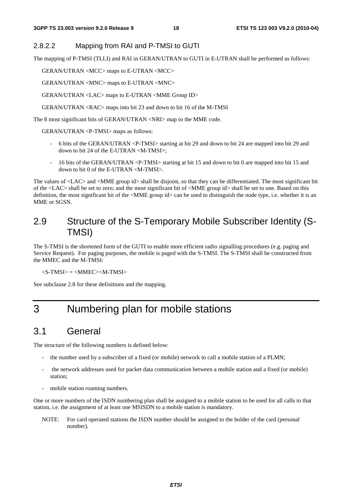#### 2.8.2.2 Mapping from RAI and P-TMSI to GUTI

The mapping of P-TMSI (TLLI) and RAI in GERAN/UTRAN to GUTI in E-UTRAN shall be performed as follows:

GERAN/UTRAN <MCC> maps to E-UTRAN <MCC>

GERAN/UTRAN <MNC> maps to E-UTRAN <MNC>

GERAN/UTRAN <LAC> maps to E-UTRAN <MME Group ID>

GERAN/UTRAN <RAC> maps into bit 23 and down to bit 16 of the M-TMSI

The 8 most significant bits of GERAN/UTRAN <NRI> map to the MME code.

GERAN/UTRAN <P-TMSI> maps as follows:

- 6 bits of the GERAN/UTRAN <P-TMSI> starting at bit 29 and down to bit 24 are mapped into bit 29 and down to bit 24 of the E-UTRAN <M-TMSI>;
- 16 bits of the GERAN/UTRAN <P-TMSI> starting at bit 15 and down to bit 0 are mapped into bit 15 and down to bit 0 of the E-UTRAN <M-TMSI>.

The values of <LAC> and <MME group id> shall be disjoint, so that they can be differentiated. The most significant bit of the <LAC> shall be set to zero; and the most significant bit of <MME group id> shall be set to one. Based on this definition, the most significant bit of the <MME group id> can be used to distinguish the node type, i.e. whether it is an MME or SGSN.

### 2.9 Structure of the S-Temporary Mobile Subscriber Identity (S-TMSI)

The S-TMSI is the shortened form of the GUTI to enable more efficient radio signalling procedures (e.g. paging and Service Request). For paging purposes, the mobile is paged with the S-TMSI. The S-TMSI shall be constructed from the MMEC and the M-TMSI:

 $<$ S-TMSI $>$  =  $<$ MMEC $>$  $<$ M-TMSI $>$ 

See subclause 2.8 for these definitions and the mapping.

# 3 Numbering plan for mobile stations

### 3.1 General

The structure of the following numbers is defined below:

- the number used by a subscriber of a fixed (or mobile) network to call a mobile station of a PLMN;
- the network addresses used for packet data communication between a mobile station and a fixed (or mobile) station;
- mobile station roaming numbers.

One or more numbers of the ISDN numbering plan shall be assigned to a mobile station to be used for all calls to that station, i.e. the assignment of at least one MSISDN to a mobile station is mandatory.

NOTE: For card operated stations the ISDN number should be assigned to the holder of the card (personal number).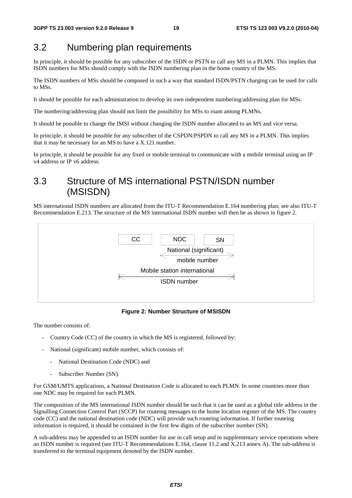### 3.2 Numbering plan requirements

In principle, it should be possible for any subscriber of the ISDN or PSTN to call any MS in a PLMN. This implies that ISDN numbers for MSs should comply with the ISDN numbering plan in the home country of the MS.

The ISDN numbers of MSs should be composed in such a way that standard ISDN/PSTN charging can be used for calls to MSs.

It should be possible for each administration to develop its own independent numbering/addressing plan for MSs.

The numbering/addressing plan should not limit the possibility for MSs to roam among PLMNs.

It should be possible to change the IMSI without changing the ISDN number allocated to an MS and vice versa.

In principle, it should be possible for any subscriber of the CSPDN/PSPDN to call any MS in a PLMN. This implies that it may be necessary for an MS to have a X.121 number.

In principle, it should be possible for any fixed or mobile terminal to communicate with a mobile terminal using an IP v4 address or IP v6 address.

### 3.3 Structure of MS international PSTN/ISDN number (MSISDN)

MS international ISDN numbers are allocated from the ITU-T Recommendation E.164 numbering plan; see also ITU-T Recommendation E.213. The structure of the MS international ISDN number will then be as shown in figure 2.



**Figure 2: Number Structure of MSISDN** 

The number consists of:

- Country Code (CC) of the country in which the MS is registered, followed by:
- National (significant) mobile number, which consists of:
	- National Destination Code (NDC) and
	- Subscriber Number (SN).

For GSM/UMTS applications, a National Destination Code is allocated to each PLMN. In some countries more than one NDC may be required for each PLMN.

The composition of the MS international ISDN number should be such that it can be used as a global title address in the Signalling Connection Control Part (SCCP) for routeing messages to the home location register of the MS. The country code (CC) and the national destination code (NDC) will provide such routeing information. If further routeing information is required, it should be contained in the first few digits of the subscriber number (SN).

A sub-address may be appended to an ISDN number for use in call setup and in supplementary service operations where an ISDN number is required (see ITU-T Recommendations E.164, clause 11.2 and X.213 annex A). The sub-address is transferred to the terminal equipment denoted by the ISDN number.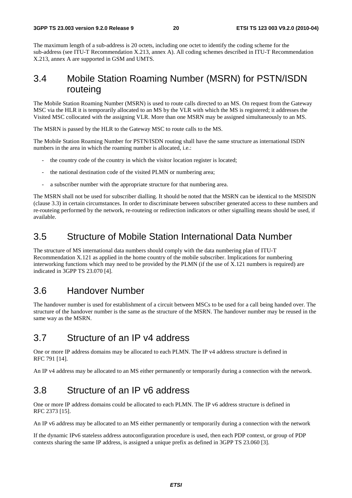The maximum length of a sub-address is 20 octets, including one octet to identify the coding scheme for the sub-address (see ITU-T Recommendation X.213, annex A). All coding schemes described in ITU-T Recommendation X.213, annex A are supported in GSM and UMTS.

### 3.4 Mobile Station Roaming Number (MSRN) for PSTN/ISDN routeing

The Mobile Station Roaming Number (MSRN) is used to route calls directed to an MS. On request from the Gateway MSC via the HLR it is temporarily allocated to an MS by the VLR with which the MS is registered; it addresses the Visited MSC collocated with the assigning VLR. More than one MSRN may be assigned simultaneously to an MS.

The MSRN is passed by the HLR to the Gateway MSC to route calls to the MS.

The Mobile Station Roaming Number for PSTN/ISDN routing shall have the same structure as international ISDN numbers in the area in which the roaming number is allocated, *i.e.*:

- the country code of the country in which the visitor location register is located;
- the national destination code of the visited PLMN or numbering area;
- a subscriber number with the appropriate structure for that numbering area.

The MSRN shall not be used for subscriber dialling. It should be noted that the MSRN can be identical to the MSISDN (clause 3.3) in certain circumstances. In order to discriminate between subscriber generated access to these numbers and re-routeing performed by the network, re-routeing or redirection indicators or other signalling means should be used, if available.

### 3.5 Structure of Mobile Station International Data Number

The structure of MS international data numbers should comply with the data numbering plan of ITU-T Recommendation X.121 as applied in the home country of the mobile subscriber. Implications for numbering interworking functions which may need to be provided by the PLMN (if the use of X.121 numbers is required) are indicated in 3GPP TS 23.070 [4].

### 3.6 Handover Number

The handover number is used for establishment of a circuit between MSCs to be used for a call being handed over. The structure of the handover number is the same as the structure of the MSRN. The handover number may be reused in the same way as the MSRN.

## 3.7 Structure of an IP v4 address

One or more IP address domains may be allocated to each PLMN. The IP v4 address structure is defined in RFC 791 [14].

An IP v4 address may be allocated to an MS either permanently or temporarily during a connection with the network.

### 3.8 Structure of an IP v6 address

One or more IP address domains could be allocated to each PLMN. The IP v6 address structure is defined in RFC 2373 [15].

An IP v6 address may be allocated to an MS either permanently or temporarily during a connection with the network

If the dynamic IPv6 stateless address autoconfiguration procedure is used, then each PDP context, or group of PDP contexts sharing the same IP address, is assigned a unique prefix as defined in 3GPP TS 23.060 [3].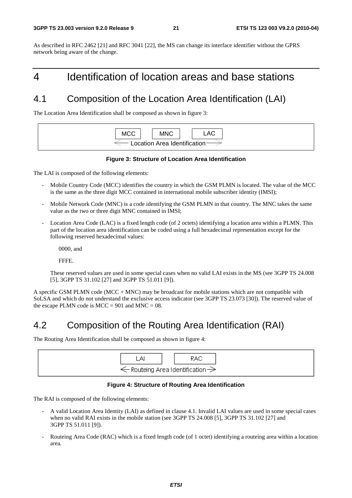As described in RFC 2462 [21] and RFC 3041 [22], the MS can change its interface identifier without the GPRS network being aware of the change.

# 4 Identification of location areas and base stations

# 4.1 Composition of the Location Area Identification (LAI)

The Location Area Identification shall be composed as shown in figure 3:



#### **Figure 3: Structure of Location Area Identification**

The LAI is composed of the following elements:

- Mobile Country Code (MCC) identifies the country in which the GSM PLMN is located. The value of the MCC is the same as the three digit MCC contained in international mobile subscriber identity (IMSI);
- Mobile Network Code (MNC) is a code identifying the GSM PLMN in that country. The MNC takes the same value as the two or three digit MNC contained in IMSI;
- Location Area Code (LAC) is a fixed length code (of 2 octets) identifying a location area within a PLMN. This part of the location area identification can be coded using a full hexadecimal representation except for the following reserved hexadecimal values:

0000, and

FFFE.

 These reserved values are used in some special cases when no valid LAI exists in the MS (see 3GPP TS 24.008 [5], 3GPP TS 31.102 [27] and 3GPP TS 51.011 [9]).

A specific GSM PLMN code ( $MCC + MNC$ ) may be broadcast for mobile stations which are not compatible with SoLSA and which do not understand the exclusive access indicator (see 3GPP TS 23.073 [30]). The reserved value of the escape PLMN code is  $MCC = 901$  and  $MNC = 08$ .

# 4.2 Composition of the Routing Area Identification (RAI)

The Routing Area Identification shall be composed as shown in figure 4:



#### **Figure 4: Structure of Routing Area Identification**

The RAI is composed of the following elements:

- A valid Location Area Identity (LAI) as defined in clause 4.1. Invalid LAI values are used in some special cases when no valid RAI exists in the mobile station (see 3GPP TS 24.008 [5], 3GPP TS 31.102 [27] and 3GPP TS 51.011 [9]).
- Routeing Area Code (RAC) which is a fixed length code (of 1 octet) identifying a routeing area within a location area.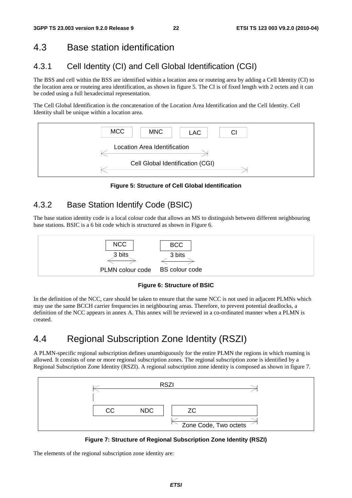# 4.3 Base station identification

# 4.3.1 Cell Identity (CI) and Cell Global Identification (CGI)

The BSS and cell within the BSS are identified within a location area or routeing area by adding a Cell Identity (CI) to the location area or routeing area identification, as shown in figure 5. The CI is of fixed length with 2 octets and it can be coded using a full hexadecimal representation.

The Cell Global Identification is the concatenation of the Location Area Identification and the Cell Identity. Cell Identity shall be unique within a location area.



**Figure 5: Structure of Cell Global Identification** 

### 4.3.2 Base Station Identify Code (BSIC)

The base station identity code is a local colour code that allows an MS to distinguish between different neighbouring base stations. BSIC is a 6 bit code which is structured as shown in Figure 6.



**Figure 6: Structure of BSIC** 

In the definition of the NCC, care should be taken to ensure that the same NCC is not used in adjacent PLMNs which may use the same BCCH carrier frequencies in neighbouring areas. Therefore, to prevent potential deadlocks, a definition of the NCC appears in annex A. This annex will be reviewed in a co-ordinated manner when a PLMN is created.

# 4.4 Regional Subscription Zone Identity (RSZI)

A PLMN-specific regional subscription defines unambiguously for the entire PLMN the regions in which roaming is allowed. It consists of one or more regional subscription zones. The regional subscription zone is identified by a Regional Subscription Zone Identity (RSZI). A regional subscription zone identity is composed as shown in figure 7.



**Figure 7: Structure of Regional Subscription Zone Identity (RSZI)** 

The elements of the regional subscription zone identity are: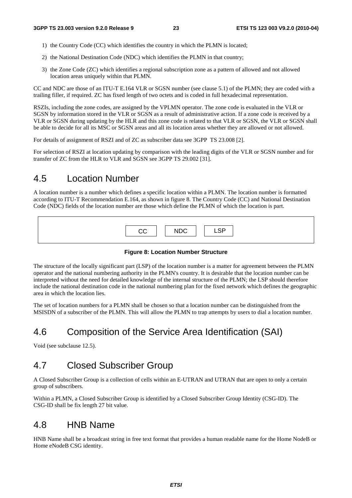- 1) the Country Code (CC) which identifies the country in which the PLMN is located;
- 2) the National Destination Code (NDC) which identifies the PLMN in that country;
- 3) the Zone Code (ZC) which identifies a regional subscription zone as a pattern of allowed and not allowed location areas uniquely within that PLMN.

CC and NDC are those of an ITU-T E.164 VLR or SGSN number (see clause 5.1) of the PLMN; they are coded with a trailing filler, if required. ZC has fixed length of two octets and is coded in full hexadecimal representation.

RSZIs, including the zone codes, are assigned by the VPLMN operator. The zone code is evaluated in the VLR or SGSN by information stored in the VLR or SGSN as a result of administrative action. If a zone code is received by a VLR or SGSN during updating by the HLR and this zone code is related to that VLR or SGSN, the VLR or SGSN shall be able to decide for all its MSC or SGSN areas and all its location areas whether they are allowed or not allowed.

For details of assignment of RSZI and of ZC as subscriber data see 3GPP TS 23.008 [2].

For selection of RSZI at location updating by comparison with the leading digits of the VLR or SGSN number and for transfer of ZC from the HLR to VLR and SGSN see 3GPP TS 29.002 [31].

### 4.5 Location Number

A location number is a number which defines a specific location within a PLMN. The location number is formatted according to ITU-T Recommendation E.164, as shown in figure 8. The Country Code (CC) and National Destination Code (NDC) fields of the location number are those which define the PLMN of which the location is part.

| <sub>CC</sub> | <b>NDC</b> | $\sim$<br>. .<br>-- |
|---------------|------------|---------------------|

#### **Figure 8: Location Number Structure**

The structure of the locally significant part (LSP) of the location number is a matter for agreement between the PLMN operator and the national numbering authority in the PLMN's country. It is desirable that the location number can be interpreted without the need for detailed knowledge of the internal structure of the PLMN; the LSP should therefore include the national destination code in the national numbering plan for the fixed network which defines the geographic area in which the location lies.

The set of location numbers for a PLMN shall be chosen so that a location number can be distinguished from the MSISDN of a subscriber of the PLMN. This will allow the PLMN to trap attempts by users to dial a location number.

### 4.6 Composition of the Service Area Identification (SAI)

Void (see subclause 12.5).

### 4.7 Closed Subscriber Group

A Closed Subscriber Group is a collection of cells within an E-UTRAN and UTRAN that are open to only a certain group of subscribers.

Within a PLMN, a Closed Subscriber Group is identified by a Closed Subscriber Group Identity (CSG-ID). The CSG-ID shall be fix length 27 bit value.

#### 4.8 HNB Name

HNB Name shall be a broadcast string in free text format that provides a human readable name for the Home NodeB or Home eNodeB CSG identity.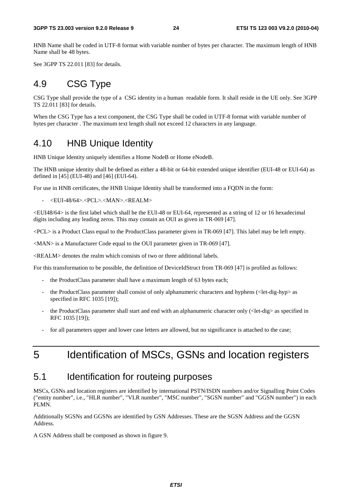HNB Name shall be coded in UTF-8 format with variable number of bytes per character. The maximum length of HNB Name shall be 48 bytes.

See 3GPP TS 22.011 [83] for details.

### 4.9 CSG Type

CSG Type shall provide the type of a CSG identity in a human readable form. It shall reside in the UE only. See 3GPP TS 22.011 [83] for details.

When the CSG Type has a text component, the CSG Type shall be coded in UTF-8 format with variable number of bytes per character . The maximum text length shall not exceed 12 characters in any language.

### 4.10 HNB Unique Identity

HNB Unique Identity uniquely identifies a Home NodeB or Home eNodeB.

The HNB unique identity shall be defined as either a 48-bit or 64-bit extended unique identifier (EUI-48 or EUI-64) as defined in [45] (EUI-48) and [46] (EUI-64).

For use in HNB certificates, the HNB Unique Identity shall be transformed into a FQDN in the form:

- <EUI-48/64>.<PCL>.<MAN>.<REALM>

<EUI48/64> is the first label which shall be the EUI-48 or EUI-64, represented as a string of 12 or 16 hexadecimal digits including any leading zeros. This may contain an OUI as given in TR-069 [47].

<PCL> is a Product Class equal to the ProductClass parameter given in TR-069 [47]. This label may be left empty.

<MAN> is a Manufacturer Code equal to the OUI parameter given in TR-069 [47].

<REALM> denotes the realm which consists of two or three additional labels.

For this transformation to be possible, the definition of DeviceIdStruct from TR-069 [47] is profiled as follows:

- the ProductClass parameter shall have a maximum length of 63 bytes each;
- the ProductClass parameter shall consist of only alphanumeric characters and hyphens (<let-dig-hyp> as specified in RFC 1035 [19]);
- the ProductClass parameter shall start and end with an alphanumeric character only (<let-dig> as specified in RFC 1035 [19]);
- for all parameters upper and lower case letters are allowed, but no significance is attached to the case;

# 5 Identification of MSCs, GSNs and location registers

### 5.1 Identification for routeing purposes

MSCs, GSNs and location registers are identified by international PSTN/ISDN numbers and/or Signalling Point Codes ("entity number", i.e., "HLR number", "VLR number", "MSC number", "SGSN number" and "GGSN number") in each PLMN.

Additionally SGSNs and GGSNs are identified by GSN Addresses. These are the SGSN Address and the GGSN Address.

A GSN Address shall be composed as shown in figure 9.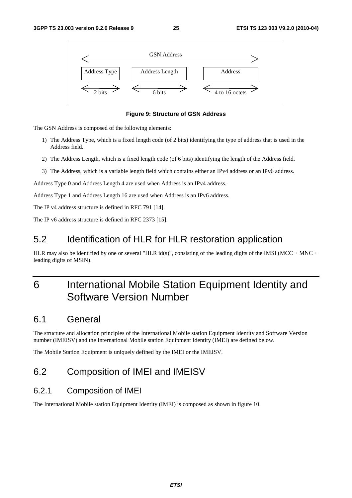



The GSN Address is composed of the following elements:

- 1) The Address Type, which is a fixed length code (of 2 bits) identifying the type of address that is used in the Address field.
- 2) The Address Length, which is a fixed length code (of 6 bits) identifying the length of the Address field.
- 3) The Address, which is a variable length field which contains either an IPv4 address or an IPv6 address.

Address Type 0 and Address Length 4 are used when Address is an IPv4 address.

Address Type 1 and Address Length 16 are used when Address is an IPv6 address.

The IP v4 address structure is defined in RFC 791 [14].

The IP v6 address structure is defined in RFC 2373 [15].

### 5.2 Identification of HLR for HLR restoration application

HLR may also be identified by one or several "HLR id(s)", consisting of the leading digits of the IMSI (MCC + MNC + leading digits of MSIN).

# 6 International Mobile Station Equipment Identity and Software Version Number

### 6.1 General

The structure and allocation principles of the International Mobile station Equipment Identity and Software Version number (IMEISV) and the International Mobile station Equipment Identity (IMEI) are defined below.

The Mobile Station Equipment is uniquely defined by the IMEI or the IMEISV.

### 6.2 Composition of IMEI and IMEISV

#### 6.2.1 Composition of IMEI

The International Mobile station Equipment Identity (IMEI) is composed as shown in figure 10.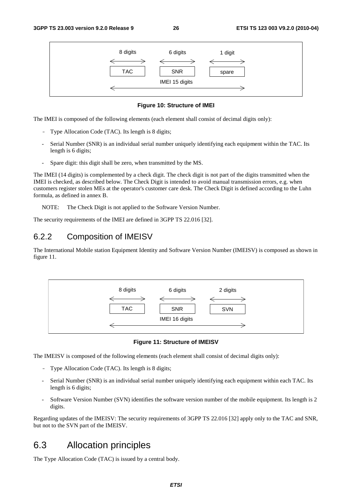

#### **Figure 10: Structure of IMEI**

The IMEI is composed of the following elements (each element shall consist of decimal digits only):

- Type Allocation Code (TAC). Its length is 8 digits;
- Serial Number (SNR) is an individual serial number uniquely identifying each equipment within the TAC. Its length is 6 digits;
- Spare digit: this digit shall be zero, when transmitted by the MS.

The IMEI (14 digits) is complemented by a check digit. The check digit is not part of the digits transmitted when the IMEI is checked, as described below. The Check Digit is intended to avoid manual transmission errors, e.g. when customers register stolen MEs at the operator's customer care desk. The Check Digit is defined according to the Luhn formula, as defined in annex B.

NOTE: The Check Digit is not applied to the Software Version Number.

The security requirements of the IMEI are defined in 3GPP TS 22.016 [32].

#### 6.2.2 Composition of IMEISV

The International Mobile station Equipment Identity and Software Version Number (IMEISV) is composed as shown in figure 11.



**Figure 11: Structure of IMEISV** 

The IMEISV is composed of the following elements (each element shall consist of decimal digits only):

- Type Allocation Code (TAC). Its length is 8 digits;
- Serial Number (SNR) is an individual serial number uniquely identifying each equipment within each TAC. Its length is 6 digits;
- Software Version Number (SVN) identifies the software version number of the mobile equipment. Its length is 2 digits.

Regarding updates of the IMEISV: The security requirements of 3GPP TS 22.016 [32] apply only to the TAC and SNR, but not to the SVN part of the IMEISV.

#### 6.3 Allocation principles

The Type Allocation Code (TAC) is issued by a central body.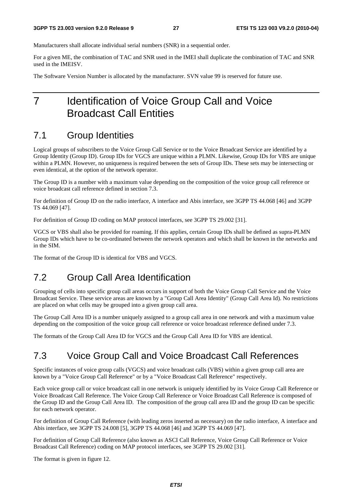Manufacturers shall allocate individual serial numbers (SNR) in a sequential order.

For a given ME, the combination of TAC and SNR used in the IMEI shall duplicate the combination of TAC and SNR used in the IMEISV.

The Software Version Number is allocated by the manufacturer. SVN value 99 is reserved for future use.

# 7 Identification of Voice Group Call and Voice Broadcast Call Entities

#### 7.1 Group Identities

Logical groups of subscribers to the Voice Group Call Service or to the Voice Broadcast Service are identified by a Group Identity (Group ID). Group IDs for VGCS are unique within a PLMN. Likewise, Group IDs for VBS are unique within a PLMN. However, no uniqueness is required between the sets of Group IDs. These sets may be intersecting or even identical, at the option of the network operator.

The Group ID is a number with a maximum value depending on the composition of the voice group call reference or voice broadcast call reference defined in section 7.3.

For definition of Group ID on the radio interface, A interface and Abis interface, see 3GPP TS 44.068 [46] and 3GPP TS 44.069 [47].

For definition of Group ID coding on MAP protocol interfaces, see 3GPP TS 29.002 [31].

VGCS or VBS shall also be provided for roaming. If this applies, certain Group IDs shall be defined as supra-PLMN Group IDs which have to be co-ordinated between the network operators and which shall be known in the networks and in the SIM.

The format of the Group ID is identical for VBS and VGCS.

### 7.2 Group Call Area Identification

Grouping of cells into specific group call areas occurs in support of both the Voice Group Call Service and the Voice Broadcast Service. These service areas are known by a "Group Call Area Identity" (Group Call Area Id). No restrictions are placed on what cells may be grouped into a given group call area.

The Group Call Area ID is a number uniquely assigned to a group call area in one network and with a maximum value depending on the composition of the voice group call reference or voice broadcast reference defined under 7.3.

The formats of the Group Call Area ID for VGCS and the Group Call Area ID for VBS are identical.

### 7.3 Voice Group Call and Voice Broadcast Call References

Specific instances of voice group calls (VGCS) and voice broadcast calls (VBS) within a given group call area are known by a "Voice Group Call Reference" or by a "Voice Broadcast Call Reference" respectively.

Each voice group call or voice broadcast call in one network is uniquely identified by its Voice Group Call Reference or Voice Broadcast Call Reference. The Voice Group Call Reference or Voice Broadcast Call Reference is composed of the Group ID and the Group Call Area ID. The composition of the group call area ID and the group ID can be specific for each network operator.

For definition of Group Call Reference (with leading zeros inserted as necessary) on the radio interface, A interface and Abis interface, see 3GPP TS 24.008 [5], 3GPP TS 44.068 [46] and 3GPP TS 44.069 [47].

For definition of Group Call Reference (also known as ASCI Call Reference, Voice Group Call Reference or Voice Broadcast Call Reference) coding on MAP protocol interfaces, see 3GPP TS 29.002 [31].

The format is given in figure 12.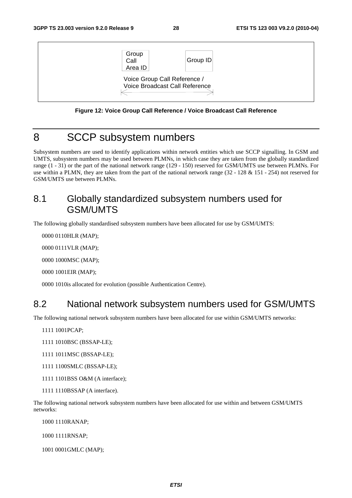

**Figure 12: Voice Group Call Reference / Voice Broadcast Call Reference** 

### 8 SCCP subsystem numbers

Subsystem numbers are used to identify applications within network entities which use SCCP signalling. In GSM and UMTS, subsystem numbers may be used between PLMNs, in which case they are taken from the globally standardized range (1 - 31) or the part of the national network range (129 - 150) reserved for GSM/UMTS use between PLMNs. For use within a PLMN, they are taken from the part of the national network range (32 - 128 & 151 - 254) not reserved for GSM/UMTS use between PLMNs.

### 8.1 Globally standardized subsystem numbers used for GSM/UMTS

The following globally standardised subsystem numbers have been allocated for use by GSM/UMTS:

0000 0110 HLR (MAP);

0000 0111 VLR (MAP);

0000 1000 MSC (MAP);

0000 1001 EIR (MAP):

0000 1010 is allocated for evolution (possible Authentication Centre).

### 8.2 National network subsystem numbers used for GSM/UMTS

The following national network subsystem numbers have been allocated for use within GSM/UMTS networks:

1111 1001 PCAP;

1111 1010BSC (BSSAP-LE);

1111 1011 MSC (BSSAP-LE);

1111 1100 SMLC (BSSAP-LE);

- 1111 1101BSS O&M (A interface);
- 1111 1110BSSAP (A interface).

The following national network subsystem numbers have been allocated for use within and between GSM/UMTS networks:

1000 1110 RANAP;

1000 1111 RNSAP;

1001 0001 GMLC (MAP);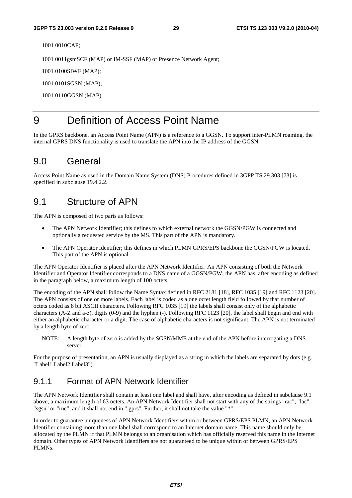1001 0010 CAP:

1001 0011 gsmSCF (MAP) or IM-SSF (MAP) or Presence Network Agent;

1001 0100 SIWF (MAP);

1001 0101SGSN (MAP);

1001 0110 GGSN (MAP).

### 9 Definition of Access Point Name

In the GPRS backbone, an Access Point Name (APN) is a reference to a GGSN. To support inter-PLMN roaming, the internal GPRS DNS functionality is used to translate the APN into the IP address of the GGSN.

### 9.0 General

Access Point Name as used in the Domain Name System (DNS) Procedures defined in 3GPP TS 29.303 [73] is specified in subclause 19.4.2.2.

#### 9.1 Structure of APN

The APN is composed of two parts as follows:

- The APN Network Identifier; this defines to which external network the GGSN/PGW is connected and optionally a requested service by the MS. This part of the APN is mandatory.
- The APN Operator Identifier; this defines in which PLMN GPRS/EPS backbone the GGSN/PGW is located. This part of the APN is optional.

The APN Operator Identifier is placed after the APN Network Identifier. An APN consisting of both the Network Identifier and Operator Identifier corresponds to a DNS name of a GGSN/PGW; the APN has, after encoding as defined in the paragraph below, a maximum length of 100 octets.

The encoding of the APN shall follow the Name Syntax defined in RFC 2181 [18], RFC 1035 [19] and RFC 1123 [20]. The APN consists of one or more labels. Each label is coded as a one octet length field followed by that number of octets coded as 8 bit ASCII characters. Following RFC 1035 [19] the labels shall consist only of the alphabetic characters (A-Z and a-z), digits (0-9) and the hyphen (-). Following RFC 1123 [20], the label shall begin and end with either an alphabetic character or a digit. The case of alphabetic characters is not significant. The APN is not terminated by a length byte of zero.

NOTE: A length byte of zero is added by the SGSN/MME at the end of the APN before interrogating a DNS server.

For the purpose of presentation, an APN is usually displayed as a string in which the labels are separated by dots (e.g. "Label1.Label2.Label3").

### 9.1.1 Format of APN Network Identifier

The APN Network Identifier shall contain at least one label and shall have, after encoding as defined in subclause 9.1 above, a maximum length of 63 octets. An APN Network Identifier shall not start with any of the strings "rac", "lac", "sgsn" or "rnc", and it shall not end in ".gprs". Further, it shall not take the value "\*".

In order to guarantee uniqueness of APN Network Identifiers within or between GPRS/EPS PLMN, an APN Network Identifier containing more than one label shall correspond to an Internet domain name. This name should only be allocated by the PLMN if that PLMN belongs to an organisation which has officially reserved this name in the Internet domain. Other types of APN Network Identifiers are not guaranteed to be unique within or between GPRS/EPS PLMNs.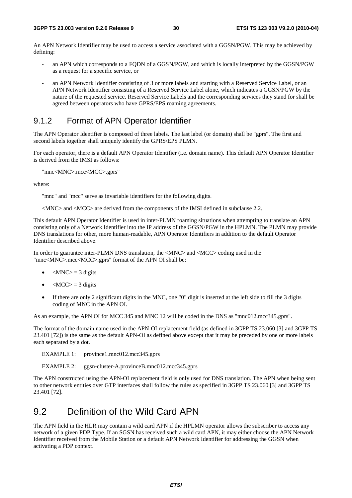An APN Network Identifier may be used to access a service associated with a GGSN/PGW. This may be achieved by defining:

- an APN which corresponds to a FQDN of a GGSN/PGW, and which is locally interpreted by the GGSN/PGW as a request for a specific service, or
- an APN Network Identifier consisting of 3 or more labels and starting with a Reserved Service Label, or an APN Network Identifier consisting of a Reserved Service Label alone, which indicates a GGSN/PGW by the nature of the requested service. Reserved Service Labels and the corresponding services they stand for shall be agreed between operators who have GPRS/EPS roaming agreements.

#### 9.1.2 Format of APN Operator Identifier

The APN Operator Identifier is composed of three labels. The last label (or domain) shall be "gprs". The first and second labels together shall uniquely identify the GPRS/EPS PLMN.

For each operator, there is a default APN Operator Identifier (i.e. domain name). This default APN Operator Identifier is derived from the IMSI as follows:

"mnc<MNC>.mcc<MCC>.gprs"

where:

"mnc" and "mcc" serve as invariable identifiers for the following digits.

<MNC> and <MCC> are derived from the components of the IMSI defined in subclause 2.2.

This default APN Operator Identifier is used in inter-PLMN roaming situations when attempting to translate an APN consisting only of a Network Identifier into the IP address of the GGSN/PGW in the HPLMN. The PLMN may provide DNS translations for other, more human-readable, APN Operator Identifiers in addition to the default Operator Identifier described above.

In order to guarantee inter-PLMN DNS translation, the <MNC> and <MCC> coding used in the "mnc<MNC>.mcc<MCC>.gprs" format of the APN OI shall be:

- $|MNC\rangle = 3$  digits
- $\langle MCC \rangle = 3$  digits
- If there are only 2 significant digits in the MNC, one "0" digit is inserted at the left side to fill the 3 digits coding of MNC in the APN OI.

As an example, the APN OI for MCC 345 and MNC 12 will be coded in the DNS as "mnc012.mcc345.gprs".

The format of the domain name used in the APN-OI replacement field (as defined in 3GPP TS 23.060 [3] and 3GPP TS 23.401 [72]) is the same as the default APN-OI as defined above except that it may be preceded by one or more labels each separated by a dot.

EXAMPLE 1: province1.mnc012.mcc345.gprs

EXAMPLE 2: ggsn-cluster-A.provinceB.mnc012.mcc345.gprs

The APN constructed using the APN-OI replacement field is only used for DNS translation. The APN when being sent to other network entities over GTP interfaces shall follow the rules as specified in 3GPP TS 23.060 [3] and 3GPP TS 23.401 [72].

### 9.2 Definition of the Wild Card APN

The APN field in the HLR may contain a wild card APN if the HPLMN operator allows the subscriber to access any network of a given PDP Type. If an SGSN has received such a wild card APN, it may either choose the APN Network Identifier received from the Mobile Station or a default APN Network Identifier for addressing the GGSN when activating a PDP context.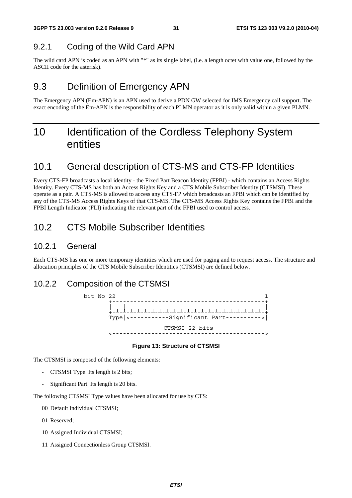#### 9.2.1 Coding of the Wild Card APN

The wild card APN is coded as an APN with "\*" as its single label, (i.e. a length octet with value one, followed by the ASCII code for the asterisk).

### 9.3 Definition of Emergency APN

The Emergency APN (Em-APN) is an APN used to derive a PDN GW selected for IMS Emergency call support. The exact encoding of the Em-APN is the responsibility of each PLMN operator as it is only valid within a given PLMN.

# 10 Identification of the Cordless Telephony System entities

### 10.1 General description of CTS-MS and CTS-FP Identities

Every CTS-FP broadcasts a local identity - the Fixed Part Beacon Identity (FPBI) - which contains an Access Rights Identity. Every CTS-MS has both an Access Rights Key and a CTS Mobile Subscriber Identity (CTSMSI). These operate as a pair. A CTS-MS is allowed to access any CTS-FP which broadcasts an FPBI which can be identified by any of the CTS-MS Access Rights Keys of that CTS-MS. The CTS-MS Access Rights Key contains the FPBI and the FPBI Length Indicator (FLI) indicating the relevant part of the FPBI used to control access.

### 10.2 CTS Mobile Subscriber Identities

#### 10.2.1 General

Each CTS-MS has one or more temporary identities which are used for paging and to request access. The structure and allocation principles of the CTS Mobile Subscriber Identities (CTSMSI) are defined below.

#### 10.2.2 Composition of the CTSMSI



#### **Figure 13: Structure of CTSMSI**

The CTSMSI is composed of the following elements:

- CTSMSI Type. Its length is 2 bits;
- Significant Part. Its length is 20 bits.

The following CTSMSI Type values have been allocated for use by CTS:

- 00 Default Individual CTSMSI;
- 01 Reserved;
- 10 Assigned Individual CTSMSI;
- 11 Assigned Connectionless Group CTSMSI.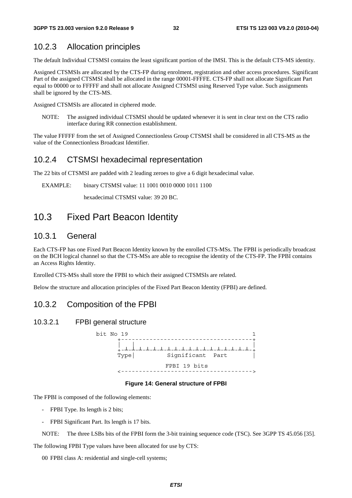#### 10.2.3 Allocation principles

The default Individual CTSMSI contains the least significant portion of the IMSI. This is the default CTS-MS identity.

Assigned CTSMSIs are allocated by the CTS-FP during enrolment, registration and other access procedures. Significant Part of the assigned CTSMSI shall be allocated in the range 00001-FFFFE. CTS-FP shall not allocate Significant Part equal to 00000 or to FFFFF and shall not allocate Assigned CTSMSI using Reserved Type value. Such assignments shall be ignored by the CTS-MS.

Assigned CTSMSIs are allocated in ciphered mode.

NOTE: The assigned individual CTSMSI should be updated whenever it is sent in clear text on the CTS radio interface during RR connection establishment.

The value FFFFF from the set of Assigned Connectionless Group CTSMSI shall be considered in all CTS-MS as the value of the Connectionless Broadcast Identifier.

#### 10.2.4 CTSMSI hexadecimal representation

The 22 bits of CTSMSI are padded with 2 leading zeroes to give a 6 digit hexadecimal value.

EXAMPLE: binary CTSMSI value: 11 1001 0010 0000 1011 1100

hexadecimal CTSMSI value: 39 20 BC.

### 10.3 Fixed Part Beacon Identity

#### 10.3.1 General

Each CTS-FP has one Fixed Part Beacon Identity known by the enrolled CTS-MSs. The FPBI is periodically broadcast on the BCH logical channel so that the CTS-MSs are able to recognise the identity of the CTS-FP. The FPBI contains an Access Rights Identity.

Enrolled CTS-MSs shall store the FPBI to which their assigned CTSMSIs are related.

Below the structure and allocation principles of the Fixed Part Beacon Identity (FPBI) are defined.

#### 10.3.2 Composition of the FPBI

#### 10.3.2.1 FPBI general structure



#### **Figure 14: General structure of FPBI**

The FPBI is composed of the following elements:

- FPBI Type. Its length is 2 bits;
- FPBI Significant Part. Its length is 17 bits.

NOTE: The three LSBs bits of the FPBI form the 3-bit training sequence code (TSC). See 3GPP TS 45.056 [35].

The following FPBI Type values have been allocated for use by CTS:

00 FPBI class A: residential and single-cell systems;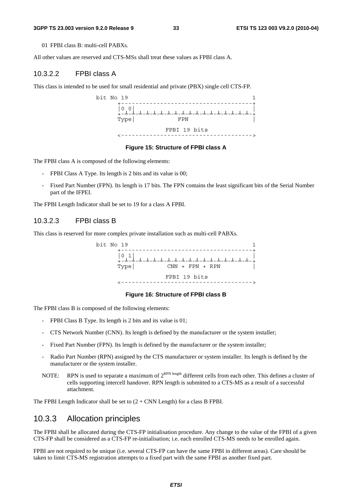#### **3GPP TS 23.003 version 9.2.0 Release 9 33 ETSI TS 123 003 V9.2.0 (2010-04)**

01 FPBI class B: multi-cell PABXs.

All other values are reserved and CTS-MSs shall treat these values as FPBI class A.

#### 10.3.2.2 FPBI class A

This class is intended to be used for small residential and private (PBX) single cell CTS-FP.



#### **Figure 15: Structure of FPBI class A**

The FPBI class A is composed of the following elements:

- FPBI Class A Type. Its length is 2 bits and its value is 00;
- Fixed Part Number (FPN). Its length is 17 bits. The FPN contains the least significant bits of the Serial Number part of the IFPEI.

The FPBI Length Indicator shall be set to 19 for a class A FPBI.

#### 10.3.2.3 FPBI class B

This class is reserved for more complex private installation such as multi-cell PABXs.



#### **Figure 16: Structure of FPBI class B**

The FPBI class B is composed of the following elements:

- FPBI Class B Type. Its length is 2 bits and its value is 01;
- CTS Network Number (CNN). Its length is defined by the manufacturer or the system installer;
- Fixed Part Number (FPN). Its length is defined by the manufacturer or the system installer;
- Radio Part Number (RPN) assigned by the CTS manufacturer or system installer. Its length is defined by the manufacturer or the system installer.
- NOTE: RPN is used to separate a maximum of  $2^{RPN \text{ length}}$  different cells from each other. This defines a cluster of cells supporting intercell handover. RPN length is submitted to a CTS-MS as a result of a successful attachment.

The FPBI Length Indicator shall be set to  $(2 + CNN$  Length) for a class B FPBI.

#### 10.3.3 Allocation principles

The FPBI shall be allocated during the CTS-FP initialisation procedure. Any change to the value of the FPBI of a given CTS-FP shall be considered as a CTS-FP re-initialisation; i.e. each enrolled CTS-MS needs to be enrolled again.

FPBI are not required to be unique (i.e. several CTS-FP can have the same FPBI in different areas). Care should be taken to limit CTS-MS registration attempts to a fixed part with the same FPBI as another fixed part.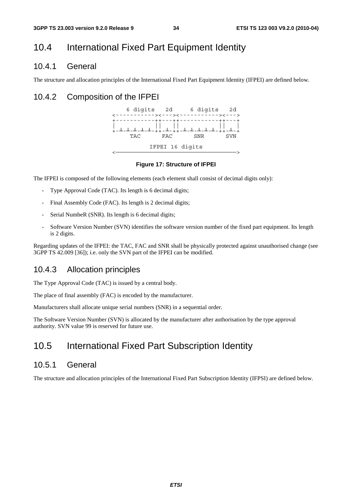### 10.4 International Fixed Part Equipment Identity

#### 10.4.1 General

The structure and allocation principles of the International Fixed Part Equipment Identity (IFPEI) are defined below.

#### 10.4.2 Composition of the IFPEI



#### **Figure 17: Structure of IFPEI**

The IFPEI is composed of the following elements (each element shall consist of decimal digits only):

- Type Approval Code (TAC). Its length is 6 decimal digits;
- Final Assembly Code (FAC). Its length is 2 decimal digits;
- Serial NumbeR (SNR). Its length is 6 decimal digits;
- Software Version Number (SVN) identifies the software version number of the fixed part equipment. Its length is 2 digits.

Regarding updates of the IFPEI: the TAC, FAC and SNR shall be physically protected against unauthorised change (see 3GPP TS 42.009 [36]); i.e. only the SVN part of the IFPEI can be modified.

#### 10.4.3 Allocation principles

The Type Approval Code (TAC) is issued by a central body.

The place of final assembly (FAC) is encoded by the manufacturer.

Manufacturers shall allocate unique serial numbers (SNR) in a sequential order.

The Software Version Number (SVN) is allocated by the manufacturer after authorisation by the type approval authority. SVN value 99 is reserved for future use.

### 10.5 International Fixed Part Subscription Identity

#### 10.5.1 General

The structure and allocation principles of the International Fixed Part Subscription Identity (IFPSI) are defined below.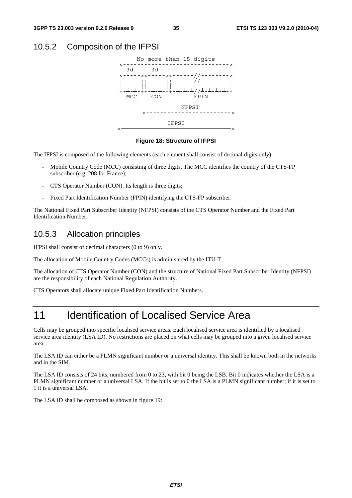#### 10.5.2 Composition of the IFPSI



#### **Figure 18: Structure of IFPSI**

The IFPSI is composed of the following elements (each element shall consist of decimal digits only):

- Mobile Country Code (MCC) consisting of three digits. The MCC identifies the country of the CTS-FP subscriber (e.g. 208 for France);
- CTS Operator Number (CON). Its length is three digits;
- Fixed Part Identification Number (FPIN) identifying the CTS-FP subscriber.

The National Fixed Part Subscriber Identity (NFPSI) consists of the CTS Operator Number and the Fixed Part Identification Number.

#### 10.5.3 Allocation principles

IFPSI shall consist of decimal characters (0 to 9) only.

The allocation of Mobile Country Codes (MCCs) is administered by the ITU-T.

The allocation of CTS Operator Number (CON) and the structure of National Fixed Part Subscriber Identity (NFPSI) are the responsibility of each National Regulation Authority.

CTS Operators shall allocate unique Fixed Part Identification Numbers.

# 11 Identification of Localised Service Area

Cells may be grouped into specific localised service areas. Each localised service area is identified by a localised service area identity (LSA ID). No restrictions are placed on what cells may be grouped into a given localised service area.

The LSA ID can either be a PLMN significant number or a universal identity. This shall be known both in the networks and in the SIM.

The LSA ID consists of 24 bits, numbered from 0 to 23, with bit 0 being the LSB. Bit 0 indicates whether the LSA is a PLMN significant number or a universal LSA. If the bit is set to 0 the LSA is a PLMN significant number; if it is set to 1 it is a universal LSA.

The LSA ID shall be composed as shown in figure 19: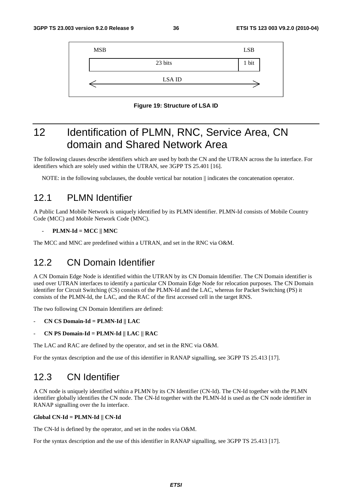| <b>MSB</b> |               | <b>LSB</b> |
|------------|---------------|------------|
|            | 23 bits       | 1 bit      |
|            | <b>LSA ID</b> |            |

**Figure 19: Structure of LSA ID** 

# 12 Identification of PLMN, RNC, Service Area, CN domain and Shared Network Area

The following clauses describe identifiers which are used by both the CN and the UTRAN across the Iu interface. For identifiers which are solely used within the UTRAN, see 3GPP TS 25.401 [16].

NOTE: in the following subclauses, the double vertical bar notation  $\parallel$  indicates the concatenation operator.

# 12.1 PLMN Identifier

A Public Land Mobile Network is uniquely identified by its PLMN identifier. PLMN-Id consists of Mobile Country Code (MCC) and Mobile Network Code (MNC).

#### - **PLMN-Id = MCC || MNC**

The MCC and MNC are predefined within a UTRAN, and set in the RNC via O&M.

# 12.2 CN Domain Identifier

A CN Domain Edge Node is identified within the UTRAN by its CN Domain Identifier. The CN Domain identifier is used over UTRAN interfaces to identify a particular CN Domain Edge Node for relocation purposes. The CN Domain identifier for Circuit Switching (CS) consists of the PLMN-Id and the LAC, whereas for Packet Switching (PS) it consists of the PLMN-Id, the LAC, and the RAC of the first accessed cell in the target RNS.

The two following CN Domain Identifiers are defined:

- **CN CS Domain-Id = PLMN-Id || LAC**
- **CN PS Domain-Id = PLMN-Id || LAC || RAC**

The LAC and RAC are defined by the operator, and set in the RNC via O&M.

For the syntax description and the use of this identifier in RANAP signalling, see 3GPP TS 25.413 [17].

# 12.3 CN Identifier

A CN node is uniquely identified within a PLMN by its CN Identifier (CN-Id). The CN-Id together with the PLMN identifier globally identifies the CN node. The CN-Id together with the PLMN-Id is used as the CN node identifier in RANAP signalling over the Iu interface.

#### **Global CN-Id = PLMN-Id || CN-Id**

The CN-Id is defined by the operator, and set in the nodes via O&M.

For the syntax description and the use of this identifier in RANAP signalling, see 3GPP TS 25.413 [17].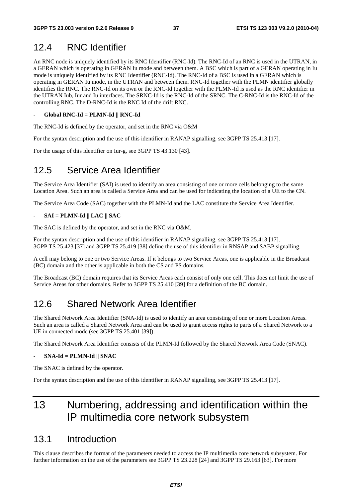# 12.4 RNC Identifier

An RNC node is uniquely identified by its RNC Identifier (RNC-Id). The RNC-Id of an RNC is used in the UTRAN, in a GERAN which is operating in GERAN Iu mode and between them. A BSC which is part of a GERAN operating in Iu mode is uniquely identified by its RNC Identifier (RNC-Id). The RNC-Id of a BSC is used in a GERAN which is operating in GERAN Iu mode, in the UTRAN and between them. RNC-Id together with the PLMN identifier globally identifies the RNC. The RNC-Id on its own or the RNC-Id together with the PLMN-Id is used as the RNC identifier in the UTRAN Iub, Iur and Iu interfaces. The SRNC-Id is the RNC-Id of the SRNC. The C-RNC-Id is the RNC-Id of the controlling RNC. The D-RNC-Id is the RNC Id of the drift RNC.

#### - **Global RNC-Id = PLMN-Id || RNC-Id**

The RNC-Id is defined by the operator, and set in the RNC via O&M

For the syntax description and the use of this identifier in RANAP signalling, see 3GPP TS 25.413 [17].

For the usage of this identifier on Iur-g, see 3GPP TS 43.130 [43].

# 12.5 Service Area Identifier

The Service Area Identifier (SAI) is used to identify an area consisting of one or more cells belonging to the same Location Area. Such an area is called a Service Area and can be used for indicating the location of a UE to the CN.

The Service Area Code (SAC) together with the PLMN-Id and the LAC constitute the Service Area Identifier.

#### - **SAI = PLMN-Id || LAC || SAC**

The SAC is defined by the operator, and set in the RNC via O&M.

For the syntax description and the use of this identifier in RANAP signalling, see 3GPP TS 25.413 [17]. 3GPP TS 25.423 [37] and 3GPP TS 25.419 [38] define the use of this identifier in RNSAP and SABP signalling.

A cell may belong to one or two Service Areas. If it belongs to two Service Areas, one is applicable in the Broadcast (BC) domain and the other is applicable in both the CS and PS domains.

The Broadcast (BC) domain requires that its Service Areas each consist of only one cell. This does not limit the use of Service Areas for other domains. Refer to 3GPP TS 25.410 [39] for a definition of the BC domain.

# 12.6 Shared Network Area Identifier

The Shared Network Area Identifier (SNA-Id) is used to identify an area consisting of one or more Location Areas. Such an area is called a Shared Network Area and can be used to grant access rights to parts of a Shared Network to a UE in connected mode (see 3GPP TS 25.401 [39]).

The Shared Network Area Identifier consists of the PLMN-Id followed by the Shared Network Area Code (SNAC).

#### - **SNA-Id = PLMN-Id || SNAC**

The SNAC is defined by the operator.

For the syntax description and the use of this identifier in RANAP signalling, see 3GPP TS 25.413 [17].

# 13 Numbering, addressing and identification within the IP multimedia core network subsystem

## 13.1 Introduction

This clause describes the format of the parameters needed to access the IP multimedia core network subsystem. For further information on the use of the parameters see 3GPP TS 23.228 [24] and 3GPP TS 29.163 [63]. For more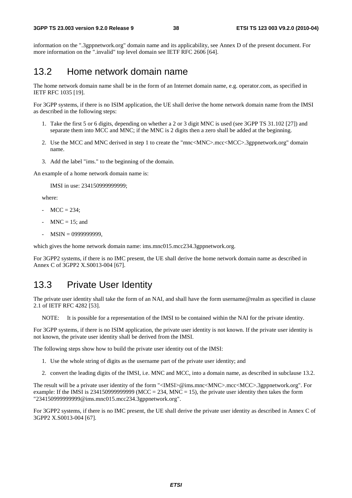information on the ".3gppnetwork.org" domain name and its applicability, see Annex D of the present document. For more information on the ".invalid" top level domain see IETF RFC 2606 [64].

## 13.2 Home network domain name

The home network domain name shall be in the form of an Internet domain name, e.g. operator.com, as specified in IETF RFC 1035 [19].

For 3GPP systems, if there is no ISIM application, the UE shall derive the home network domain name from the IMSI as described in the following steps:

- 1. Take the first 5 or 6 digits, depending on whether a 2 or 3 digit MNC is used (see 3GPP TS 31.102 [27]) and separate them into MCC and MNC; if the MNC is 2 digits then a zero shall be added at the beginning.
- 2. Use the MCC and MNC derived in step 1 to create the "mnc<MNC>.mcc<MCC>.3gppnetwork.org" domain name.
- 3. Add the label "ims." to the beginning of the domain.

An example of a home network domain name is:

IMSI in use: 234150999999999;

where:

- $MCC = 234$ ;
- $MNC = 15$ ; and
- MSIN = 0999999999,

which gives the home network domain name: ims.mnc015.mcc234.3gppnetwork.org.

For 3GPP2 systems, if there is no IMC present, the UE shall derive the home network domain name as described in Annex C of 3GPP2 X.S0013-004 [67].

## 13.3 Private User Identity

The private user identity shall take the form of an NAI, and shall have the form username@realm as specified in clause 2.1 of IETF RFC 4282 [53].

NOTE: It is possible for a representation of the IMSI to be contained within the NAI for the private identity.

For 3GPP systems, if there is no ISIM application, the private user identity is not known. If the private user identity is not known, the private user identity shall be derived from the IMSI.

The following steps show how to build the private user identity out of the IMSI:

- 1. Use the whole string of digits as the username part of the private user identity; and
- 2. convert the leading digits of the IMSI, i.e. MNC and MCC, into a domain name, as described in subclause 13.2.

The result will be a private user identity of the form "<IMSI>@ims.mnc<MNC>.mcc<MCC>.3gppnetwork.org". For example: If the IMSI is 2341509999999999 (MCC = 234, MNC = 15), the private user identity then takes the form "234150999999999@ims.mnc015.mcc234.3gppnetwork.org".

For 3GPP2 systems, if there is no IMC present, the UE shall derive the private user identity as described in Annex C of 3GPP2 X.S0013-004 [67].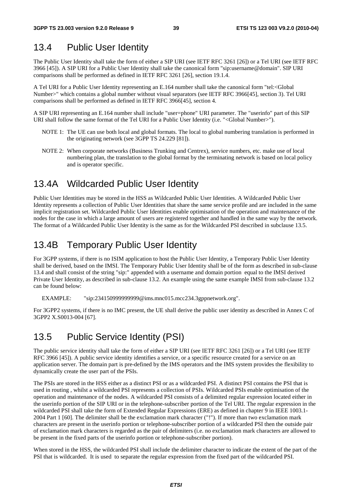# 13.4 Public User Identity

The Public User Identity shall take the form of either a SIP URI (see IETF RFC 3261 [26]) or a Tel URI (see IETF RFC 3966 [45]). A SIP URI for a Public User Identity shall take the canonical form "sip:username@domain". SIP URI comparisons shall be performed as defined in IETF RFC 3261 [26], section 19.1.4.

A Tel URI for a Public User Identity representing an E.164 number shall take the canonical form "tel:<Global Number>" which contains a global number without visual separators (see IETF RFC 3966[45], section 3). Tel URI comparisons shall be performed as defined in IETF RFC 3966[45], section 4.

A SIP URI representing an E.164 number shall include "user=phone" URI parameter. The "userinfo" part of this SIP URI shall follow the same format of the Tel URI for a Public User Identity (i.e. "<Global Number>").

- NOTE 1: The UE can use both local and global formats. The local to global numbering translation is performed in the originating network (see 3GPP TS 24.229 [81]).
- NOTE 2: When corporate networks (Business Trunking and Centrex), service numbers, etc. make use of local numbering plan, the translation to the global format by the terminating network is based on local policy and is operator specific.

# 13.4A Wildcarded Public User Identity

Public User Identities may be stored in the HSS as Wildcarded Public User Identities. A Wildcarded Public User Identity represents a collection of Public User Identities that share the same service profile and are included in the same implicit registration set. Wildcarded Public User Identities enable optimisation of the operation and maintenance of the nodes for the case in which a large amount of users are registered together and handled in the same way by the network. The format of a Wildcarded Public User Identity is the same as for the Wildcarded PSI described in subclause 13.5.

# 13.4B Temporary Public User Identity

For 3GPP systems, if there is no ISIM application to host the Public User Identity, a Temporary Public User Identity shall be derived, based on the IMSI. The Temporary Public User Identity shall be of the form as described in sub-clause 13.4 and shall consist of the string "sip:" appended with a username and domain portion equal to the IMSI derived Private User Identity, as described in sub-clause 13.2. An example using the same example IMSI from sub-clause 13.2 can be found below:

EXAMPLE: "sip:234150999999999@ims.mnc015.mcc234.3gppnetwork.org".

For 3GPP2 systems, if there is no IMC present, the UE shall derive the public user identity as described in Annex C of 3GPP2 X.S0013-004 [67].

# 13.5 Public Service Identity (PSI)

The public service identity shall take the form of either a SIP URI (see IETF RFC 3261 [26]) or a Tel URI (see IETF RFC 3966 [45]). A public service identity identifies a service, or a specific resource created for a service on an application server. The domain part is pre-defined by the IMS operators and the IMS system provides the flexibility to dynamically create the user part of the PSIs.

The PSIs are stored in the HSS either as a distinct PSI or as a wildcarded PSI. A distinct PSI contains the PSI that is used in routing , whilst a wildcarded PSI represents a collection of PSIs. Wildcarded PSIs enable optimisation of the operation and maintenance of the nodes. A wildcarded PSI consists of a delimited regular expression located either in the userinfo portion of the SIP URI or in the telephone-subscriber portion of the Tel URI. The regular expression in the wildcarded PSI shall take the form of Extended Regular Expressions (ERE) as defined in chapter 9 in IEEE 1003.1- 2004 Part 1 [60]. The delimiter shall be the exclamation mark character ("!"). If more than two exclamation mark characters are present in the userinfo portion or telephone-subscriber portion of a wildcarded PSI then the outside pair of exclamation mark characters is regarded as the pair of delimiters (i.e. no exclamation mark characters are allowed to be present in the fixed parts of the userinfo portion or telephone-subscriber portion).

When stored in the HSS, the wildcarded PSI shall include the delimiter character to indicate the extent of the part of the PSI that is wildcarded. It is used to separate the regular expression from the fixed part of the wildcarded PSI.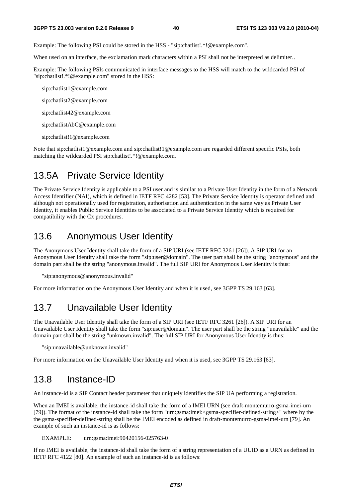Example: The following PSI could be stored in the HSS - "sip:chatlist!.\*!@example.com".

When used on an interface, the exclamation mark characters within a PSI shall not be interpreted as delimiter..

Example: The following PSIs communicated in interface messages to the HSS will match to the wildcarded PSI of "sip:chatlist!.\*!@example.com" stored in the HSS:

sip:chatlist1@example.com

sip:chatlist2@example.com

sip:chatlist42@example.com

sip:chatlistAbC@example.com

sip:chatlist!1@example.com

Note that sip:chatlist1@example.com and sip:chatlist!1@example.com are regarded different specific PSIs, both matching the wildcarded PSI sip:chatlist!.\*!@example.com.

## 13.5A Private Service Identity

The Private Service Identity is applicable to a PSI user and is similar to a Private User Identity in the form of a Network Access Identifier (NAI), which is defined in IETF RFC 4282 [53]. The Private Service Identity is operator defined and although not operationally used for registration, authorisation and authentication in the same way as Private User Identity, it enables Public Service Identities to be associated to a Private Service Identity which is required for compatibility with the Cx procedures.

### 13.6 Anonymous User Identity

The Anonymous User Identity shall take the form of a SIP URI (see IETF RFC 3261 [26]). A SIP URI for an Anonymous User Identity shall take the form "sip:user@domain". The user part shall be the string "anonymous" and the domain part shall be the string "anonymous.invalid". The full SIP URI for Anonymous User Identity is thus:

"sip:anonymous@anonymous.invalid"

For more information on the Anonymous User Identity and when it is used, see 3GPP TS 29.163 [63].

# 13.7 Unavailable User Identity

The Unavailable User Identity shall take the form of a SIP URI (see IETF RFC 3261 [26]). A SIP URI for an Unavailable User Identity shall take the form "sip:user@domain". The user part shall be the string "unavailable" and the domain part shall be the string "unknown.invalid". The full SIP URI for Anonymous User Identity is thus:

"sip:unavailable@unknown.invalid"

For more information on the Unavailable User Identity and when it is used, see 3GPP TS 29.163 [63].

### 13.8 Instance-ID

An instance-id is a SIP Contact header parameter that uniquely identifies the SIP UA performing a registration.

When an IMEI is available, the instance-id shall take the form of a IMEI URN (see draft-montemurro-gsma-imei-urn [79]). The format of the instance-id shall take the form "urn:gsma:imei:<gsma-specifier-defined-string>" where by the the gsma-specifier-defined-string shall be the IMEI encoded as defined in draft-montemurro-gsma-imei-urn [79]. An example of such an instance-id is as follows:

EXAMPLE: urn:gsma:imei:90420156-025763-0

If no IMEI is available, the instance-id shall take the form of a string representation of a UUID as a URN as defined in IETF RFC 4122 [80]. An example of such an instance-id is as follows: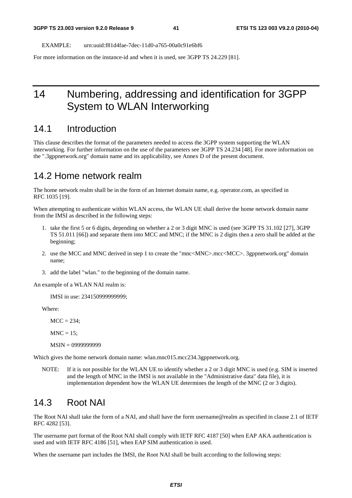EXAMPLE: urn:uuid:f81d4fae-7dec-11d0-a765-00a0c91e6bf6

For more information on the instance-id and when it is used, see 3GPP TS 24.229 [81].

# 14 Numbering, addressing and identification for 3GPP System to WLAN Interworking

### 14.1 Introduction

This clause describes the format of the parameters needed to access the 3GPP system supporting the WLAN interworking. For further information on the use of the parameters see 3GPP TS 24.234 [48]. For more information on the ".3gppnetwork.org" domain name and its applicability, see Annex D of the present document.

#### 14.2 Home network realm

The home network realm shall be in the form of an Internet domain name, e.g. operator.com, as specified in RFC 1035 [19].

When attempting to authenticate within WLAN access, the WLAN UE shall derive the home network domain name from the IMSI as described in the following steps:

- 1. take the first 5 or 6 digits, depending on whether a 2 or 3 digit MNC is used (see 3GPP TS 31.102 [27], 3GPP TS 51.011 [66]) and separate them into MCC and MNC; if the MNC is 2 digits then a zero shall be added at the beginning;
- 2. use the MCC and MNC derived in step 1 to create the "mnc<MNC>.mcc<MCC>. 3gppnetwork.org" domain name;
- 3. add the label "wlan." to the beginning of the domain name.

An example of a WLAN NAI realm is:

IMSI in use: 234150999999999;

Where:

 $MCC = 234$ :

 $MNC = 15$ ;

MSIN = 0999999999

Which gives the home network domain name: wlan.mnc015.mcc234.3gppnetwork.org.

NOTE: If it is not possible for the WLAN UE to identify whether a 2 or 3 digit MNC is used (e.g. SIM is inserted and the length of MNC in the IMSI is not available in the "Administrative data" data file), it is implementation dependent how the WLAN UE determines the length of the MNC (2 or 3 digits).

## 14.3 Root NAI

The Root NAI shall take the form of a NAI, and shall have the form username@realm as specified in clause 2.1 of IETF RFC 4282 [53].

The username part format of the Root NAI shall comply with IETF RFC 4187 [50] when EAP AKA authentication is used and with IETF RFC 4186 [51], when EAP SIM authentication is used.

When the username part includes the IMSI, the Root NAI shall be built according to the following steps: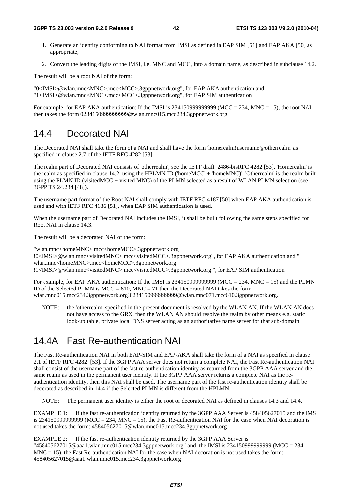#### **3GPP TS 23.003 version 9.2.0 Release 9 42 ETSI TS 123 003 V9.2.0 (2010-04)**

- 1. Generate an identity conforming to NAI format from IMSI as defined in EAP SIM [51] and EAP AKA [50] as appropriate;
- 2. Convert the leading digits of the IMSI, i.e. MNC and MCC, into a domain name, as described in subclause 14.2.

The result will be a root NAI of the form:

"0<IMSI>@wlan.mnc<MNC>.mcc<MCC>.3gppnetwork.org", for EAP AKA authentication and "1<IMSI>@wlan.mnc<MNC>.mcc<MCC>.3gppnetwork.org", for EAP SIM authentication

For example, for EAP AKA authentication: If the IMSI is  $2341509999999999$  (MCC = 234, MNC = 15), the root NAI then takes the form 0234150999999999@wlan.mnc015.mcc234.3gppnetwork.org.

# 14.4 Decorated NAI

The Decorated NAI shall take the form of a NAI and shall have the form 'homerealm!username@otherrealm' as specified in clause 2.7 of the IETF RFC 4282 [53].

The realm part of Decorated NAI consists of 'otherrealm', see the IETF draft 2486-bisRFC 4282 [53]. 'Homerealm' is the realm as specified in clause 14.2, using the HPLMN ID ('homeMCC' + 'homeMNC)'. 'Otherrealm' is the realm built using the PLMN ID (visitedMCC + visited MNC) of the PLMN selected as a result of WLAN PLMN selection (see 3GPP TS 24.234 [48]).

The username part format of the Root NAI shall comply with IETF RFC 4187 [50] when EAP AKA authentication is used and with IETF RFC 4186 [51], when EAP SIM authentication is used.

When the username part of Decorated NAI includes the IMSI, it shall be built following the same steps specified for Root NAI in clause 14.3.

The result will be a decorated NAI of the form:

"wlan.mnc<homeMNC>.mcc<homeMCC>.3gppnetwork.org !0<IMSI>@wlan.mnc<visitedMNC>.mcc<visitedMCC>.3gppnetwork.org", for EAP AKA authentication and " wlan.mnc<homeMNC>.mcc<homeMCC>.3gppnetwork.org !1<IMSI>@wlan.mnc<visitedMNC>.mcc<visitedMCC>.3gppnetwork.org ", for EAP SIM authentication

For example, for EAP AKA authentication: If the IMSI is 23415099999999999 (MCC = 234, MNC = 15) and the PLMN ID of the Selected PLMN is  $MCC = 610$ ,  $MNC = 71$  then the Decorated NAI takes the form wlan.mnc015.mcc234.3gppnetwork.org!0234150999999999@wlan.mnc071.mcc610.3gppnetwork.org.

NOTE: the 'otherrealm' specified in the present document is resolved by the WLAN AN. If the WLAN AN does not have access to the GRX, then the WLAN AN should resolve the realm by other means e.g. static look-up table, private local DNS server acting as an authoritative name server for that sub-domain.

# 14.4A Fast Re-authentication NAI

The Fast Re-authentication NAI in both EAP-SIM and EAP-AKA shall take the form of a NAI as specified in clause 2.1 of IETF RFC 4282 [53]. If the 3GPP AAA server does not return a complete NAI, the Fast Re-authentication NAI shall consist of the username part of the fast re-authentication identity as returned from the 3GPP AAA server and the same realm as used in the permanent user identity. If the 3GPP AAA server returns a complete NAI as the reauthentication identity, then this NAI shall be used. The username part of the fast re-authentication identity shall be decorated as described in 14.4 if the Selected PLMN is different from the HPLMN.

NOTE: The permanent user identity is either the root or decorated NAI as defined in clauses 14.3 and 14.4.

EXAMPLE 1: If the fast re-authentication identity returned by the 3GPP AAA Server is 458405627015 and the IMSI is 2341509999999999 (MCC = 234, MNC = 15), the Fast Re-authentication NAI for the case when NAI decoration is not used takes the form: 458405627015@wlan.mnc015.mcc234.3gppnetwork.org

EXAMPLE 2: If the fast re-authentication identity returned by the 3GPP AAA Server is "458405627015@aaa1.wlan.mnc015.mcc234.3gppnetwork.org" and the IMSI is 234150999999999 (MCC = 234,  $MNC = 15$ ), the Fast Re-authentication NAI for the case when NAI decoration is not used takes the form: 458405627015@aaa1.wlan.mnc015.mcc234.3gppnetwork.org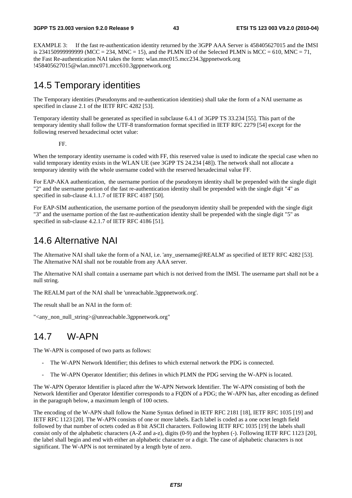EXAMPLE 3: If the fast re-authentication identity returned by the 3GPP AAA Server is 458405627015 and the IMSI is 2341509999999999999 (MCC = 234, MNC = 15), and the PLMN ID of the Selected PLMN is MCC = 610, MNC = 71, the Fast Re-authentication NAI takes the form: wlan.mnc015.mcc234.3gppnetwork.org !458405627015@wlan.mnc071.mcc610.3gppnetwork.org

# 14.5 Temporary identities

The Temporary identities (Pseudonyms and re-authentication identities) shall take the form of a NAI username as specified in clause 2.1 of the IETF RFC 4282 [53].

Temporary identity shall be generated as specified in subclause 6.4.1 of 3GPP TS 33.234 [55]. This part of the temporary identity shall follow the UTF-8 transformation format specified in IETF RFC 2279 [54] except for the following reserved hexadecimal octet value:

FF.

When the temporary identity username is coded with FF, this reserved value is used to indicate the special case when no valid temporary identity exists in the WLAN UE (see 3GPP TS 24.234 [48]). The network shall not allocate a temporary identity with the whole username coded with the reserved hexadecimal value FF.

For EAP-AKA authentication, the username portion of the pseudonym identity shall be prepended with the single digit "2" and the username portion of the fast re-authentication identity shall be prepended with the single digit "4" as specified in sub-clause 4.1.1.7 of IETF RFC 4187 [50].

For EAP-SIM authentication, the username portion of the pseudonym identity shall be prepended with the single digit "3" and the username portion of the fast re-authentication identity shall be prepended with the single digit "5" as specified in sub-clause 4.2.1.7 of IETF RFC 4186 [51].

# 14.6 Alternative NAI

The Alternative NAI shall take the form of a NAI, i.e. 'any\_username@REALM' as specified of IETF RFC 4282 [53]. The Alternative NAI shall not be routable from any AAA server.

The Alternative NAI shall contain a username part which is not derived from the IMSI. The username part shall not be a null string.

The REALM part of the NAI shall be 'unreachable.3gppnetwork.org'.

The result shall be an NAI in the form of:

"<any\_non\_null\_string>@unreachable.3gppnetwork.org"

# 14.7 W-APN

The W-APN is composed of two parts as follows:

- The W-APN Network Identifier; this defines to which external network the PDG is connected.
- The W-APN Operator Identifier; this defines in which PLMN the PDG serving the W-APN is located.

The W-APN Operator Identifier is placed after the W-APN Network Identifier. The W-APN consisting of both the Network Identifier and Operator Identifier corresponds to a FQDN of a PDG; the W-APN has, after encoding as defined in the paragraph below, a maximum length of 100 octets.

The encoding of the W-APN shall follow the Name Syntax defined in IETF RFC 2181 [18], IETF RFC 1035 [19] and IETF RFC 1123 [20]. The W-APN consists of one or more labels. Each label is coded as a one octet length field followed by that number of octets coded as 8 bit ASCII characters. Following IETF RFC 1035 [19] the labels shall consist only of the alphabetic characters (A-Z and a-z), digits (0-9) and the hyphen (-). Following IETF RFC 1123 [20], the label shall begin and end with either an alphabetic character or a digit. The case of alphabetic characters is not significant. The W-APN is not terminated by a length byte of zero.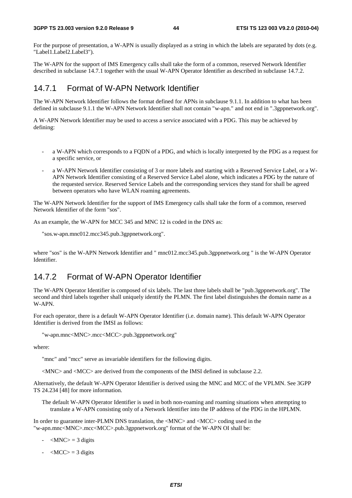For the purpose of presentation, a W-APN is usually displayed as a string in which the labels are separated by dots (e.g. "Label1.Label2.Label3").

The W-APN for the support of IMS Emergency calls shall take the form of a common, reserved Network Identifier described in subclause 14.7.1 together with the usual W-APN Operator Identifier as described in subclause 14.7.2.

### 14.7.1 Format of W-APN Network Identifier

The W-APN Network Identifier follows the format defined for APNs in subclause 9.1.1. In addition to what has been defined in subclause 9.1.1 the W-APN Network Identifier shall not contain "w-apn." and not end in ".3gppnetwork.org".

A W-APN Network Identifier may be used to access a service associated with a PDG. This may be achieved by defining:

- a W-APN which corresponds to a FQDN of a PDG, and which is locally interpreted by the PDG as a request for a specific service, or
- a W-APN Network Identifier consisting of 3 or more labels and starting with a Reserved Service Label, or a W-APN Network Identifier consisting of a Reserved Service Label alone, which indicates a PDG by the nature of the requested service. Reserved Service Labels and the corresponding services they stand for shall be agreed between operators who have WLAN roaming agreements.

The W-APN Network Identifier for the support of IMS Emergency calls shall take the form of a common, reserved Network Identifier of the form "sos".

As an example, the W-APN for MCC 345 and MNC 12 is coded in the DNS as:

```
"sos.w-apn.mnc012.mcc345.pub.3gppnetwork.org".
```
where "sos" is the W-APN Network Identifier and " mnc012.mcc345.pub.3gppnetwork.org " is the W-APN Operator Identifier.

### 14.7.2 Format of W-APN Operator Identifier

The W-APN Operator Identifier is composed of six labels. The last three labels shall be "pub.3gppnetwork.org". The second and third labels together shall uniquely identify the PLMN. The first label distinguishes the domain name as a W-APN.

For each operator, there is a default W-APN Operator Identifier (i.e. domain name). This default W-APN Operator Identifier is derived from the IMSI as follows:

"w-apn.mnc<MNC>.mcc<MCC>.pub.3gppnetwork.org"

where:

"mnc" and "mcc" serve as invariable identifiers for the following digits.

<MNC> and <MCC> are derived from the components of the IMSI defined in subclause 2.2.

Alternatively, the default W-APN Operator Identifier is derived using the MNC and MCC of the VPLMN. See 3GPP TS 24.234 [48] for more information.

The default W-APN Operator Identifier is used in both non-roaming and roaming situations when attempting to translate a W-APN consisting only of a Network Identifier into the IP address of the PDG in the HPLMN.

In order to guarantee inter-PLMN DNS translation, the <MNC> and <MCC> coding used in the "w-apn.mnc<MNC>.mcc<MCC>.pub.3gppnetwork.org" format of the W-APN OI shall be:

- $-MNC$  = 3 digits
- $-MCC$  = 3 digits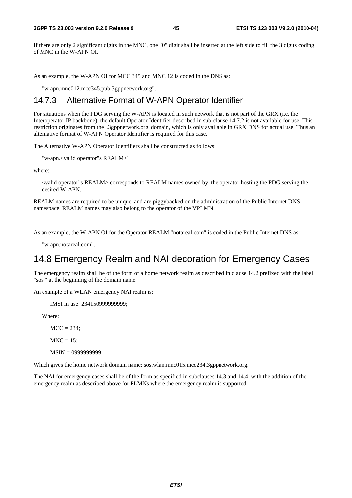If there are only 2 significant digits in the MNC, one "0" digit shall be inserted at the left side to fill the 3 digits coding of MNC in the W-APN OI.

As an example, the W-APN OI for MCC 345 and MNC 12 is coded in the DNS as:

"w-apn.mnc012.mcc345.pub.3gppnetwork.org".

#### 14.7.3 Alternative Format of W-APN Operator Identifier

For situations when the PDG serving the W-APN is located in such network that is not part of the GRX (i.e. the Interoperator IP backbone), the default Operator Identifier described in sub-clause 14.7.2 is not available for use. This restriction originates from the '.3gppnetwork.org' domain, which is only available in GRX DNS for actual use. Thus an alternative format of W-APN Operator Identifier is required for this case.

The Alternative W-APN Operator Identifiers shall be constructed as follows:

"w-apn.<valid operator"s REALM>"

where:

<valid operator"s REALM> corresponds to REALM names owned by the operator hosting the PDG serving the desired W-APN.

REALM names are required to be unique, and are piggybacked on the administration of the Public Internet DNS namespace. REALM names may also belong to the operator of the VPLMN.

As an example, the W-APN OI for the Operator REALM "notareal.com" is coded in the Public Internet DNS as:

"w-apn.notareal.com".

# 14.8 Emergency Realm and NAI decoration for Emergency Cases

The emergency realm shall be of the form of a home network realm as described in clause 14.2 prefixed with the label "sos." at the beginning of the domain name.

An example of a WLAN emergency NAI realm is:

IMSI in use: 234150999999999;

Where:

 $MCC = 234$ :

 $MNC = 15$ :

MSIN = 0999999999

Which gives the home network domain name: sos.wlan.mnc015.mcc234.3gppnetwork.org.

The NAI for emergency cases shall be of the form as specified in subclauses 14.3 and 14.4, with the addition of the emergency realm as described above for PLMNs where the emergency realm is supported.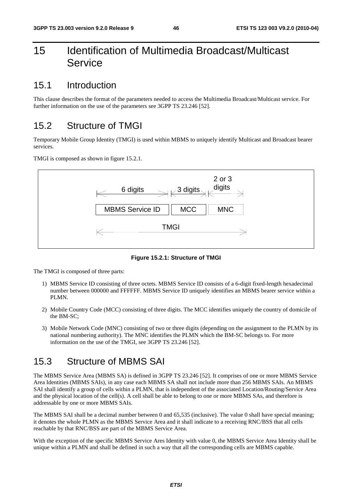# 15 Identification of Multimedia Broadcast/Multicast Service

### 15.1 Introduction

This clause describes the format of the parameters needed to access the Multimedia Broadcast/Multicast service. For further information on the use of the parameters see 3GPP TS 23.246 [52].

## 15.2 Structure of TMGI

Temporary Mobile Group Identity (TMGI) is used within MBMS to uniquely identify Multicast and Broadcast bearer services.

TMGI is composed as shown in figure 15.2.1.



**Figure 15.2.1: Structure of TMGI** 

The TMGI is composed of three parts:

- 1) MBMS Service ID consisting of three octets. MBMS Service ID consists of a 6-digit fixed-length hexadecimal number between 000000 and FFFFFF. MBMS Service ID uniquely identifies an MBMS bearer service within a PLMN.
- 2) Mobile Country Code (MCC) consisting of three digits. The MCC identifies uniquely the country of domicile of the BM-SC;
- 3) Mobile Network Code (MNC) consisting of two or three digits (depending on the assignment to the PLMN by its national numbering authority). The MNC identifies the PLMN which the BM-SC belongs to. For more information on the use of the TMGI, see 3GPP TS 23.246 [52].

# 15.3 Structure of MBMS SAI

The MBMS Service Area (MBMS SA) is defined in 3GPP TS 23.246 [52]. It comprises of one or more MBMS Service Area Identities (MBMS SAIs), in any case each MBMS SA shall not include more than 256 MBMS SAIs. An MBMS SAI shall identify a group of cells within a PLMN, that is independent of the associated Location/Routing/Service Area and the physical location of the cell(s). A cell shall be able to belong to one or more MBMS SAs, and therefore is addressable by one or more MBMS SAIs.

The MBMS SAI shall be a decimal number between 0 and 65,535 (inclusive). The value 0 shall have special meaning; it denotes the whole PLMN as the MBMS Service Area and it shall indicate to a receiving RNC/BSS that all cells reachable by that RNC/BSS are part of the MBMS Service Area.

With the exception of the specific MBMS Service Ares Identity with value 0, the MBMS Service Area Identity shall be unique within a PLMN and shall be defined in such a way that all the corresponding cells are MBMS capable.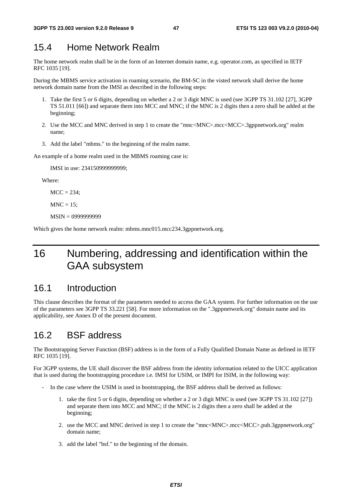## 15.4 Home Network Realm

The home network realm shall be in the form of an Internet domain name, e.g. operator.com, as specified in IETF RFC 1035 [19].

During the MBMS service activation in roaming scenario, the BM-SC in the visted network shall derive the home network domain name from the IMSI as described in the following steps:

- 1. Take the first 5 or 6 digits, depending on whether a 2 or 3 digit MNC is used (see 3GPP TS 31.102 [27], 3GPP TS 51.011 [66]) and separate them into MCC and MNC; if the MNC is 2 digits then a zero shall be added at the beginning;
- 2. Use the MCC and MNC derived in step 1 to create the "mnc<MNC>.mcc<MCC>.3gppnetwork.org" realm name;
- 3. Add the label "mbms." to the beginning of the realm name.

An example of a home realm used in the MBMS roaming case is:

IMSI in use: 234150999999999;

Where:

 $MCC = 234$ :

 $MNC = 15$ :

MSIN = 0999999999

Which gives the home network realm: mbms.mnc015.mcc234.3gppnetwork.org.

# 16 Numbering, addressing and identification within the GAA subsystem

### 16.1 Introduction

This clause describes the format of the parameters needed to access the GAA system. For further information on the use of the parameters see 3GPP TS 33.221 [58]. For more information on the ".3gppnetwork.org" domain name and its applicability, see Annex D of the present document.

# 16.2 BSF address

The Bootstrapping Server Function (BSF) address is in the form of a Fully Qualified Domain Name as defined in IETF RFC 1035 [19].

For 3GPP systems, the UE shall discover the BSF address from the identity information related to the UICC application that is used during the bootstrapping procedure i.e. IMSI for USIM, or IMPI for ISIM, in the following way:

- In the case where the USIM is used in bootstrapping, the BSF address shall be derived as follows:
	- 1. take the first 5 or 6 digits, depending on whether a 2 or 3 digit MNC is used (see 3GPP TS 31.102 [27]) and separate them into MCC and MNC; if the MNC is 2 digits then a zero shall be added at the beginning;
	- 2. use the MCC and MNC derived in step 1 to create the "mnc<MNC>.mcc<MCC>.pub.3gppnetwork.org" domain name;
	- 3. add the label "bsf." to the beginning of the domain.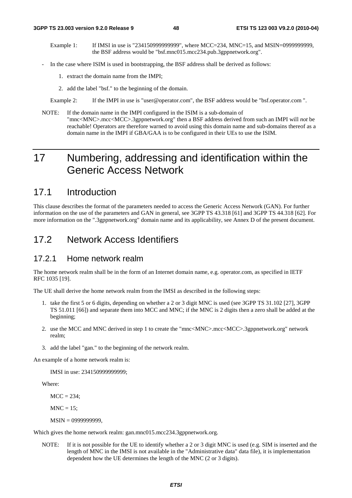- Example 1: If IMSI in use is "234150999999999", where MCC=234, MNC=15, and MSIN=0999999999, the BSF address would be "bsf.mnc015.mcc234.pub.3gppnetwork.org".
- In the case where ISIM is used in bootstrapping, the BSF address shall be derived as follows:
	- 1. extract the domain name from the IMPI;
	- 2. add the label "bsf." to the beginning of the domain.
	- Example 2: If the IMPI in use is "user@operator.com", the BSF address would be "bsf.operator.com ".
- NOTE: If the domain name in the IMPI configured in the ISIM is a sub-domain of "mnc<MNC>.mcc<MCC>.3gppnetwork.org" then a BSF address derived from such an IMPI will *not* be reachable! Operators are therefore warned to avoid using this domain name and sub-domains thereof as a domain name in the IMPI if GBA/GAA is to be configured in their UEs to use the ISIM.

# 17 Numbering, addressing and identification within the Generic Access Network

## 17.1 Introduction

This clause describes the format of the parameters needed to access the Generic Access Network (GAN). For further information on the use of the parameters and GAN in general, see 3GPP TS 43.318 [61] and 3GPP TS 44.318 [62]. For more information on the ".3gppnetwork.org" domain name and its applicability, see Annex D of the present document.

### 17.2 Network Access Identifiers

#### 17.2.1 Home network realm

The home network realm shall be in the form of an Internet domain name, e.g. operator.com, as specified in IETF RFC 1035 [19].

The UE shall derive the home network realm from the IMSI as described in the following steps:

- 1. take the first 5 or 6 digits, depending on whether a 2 or 3 digit MNC is used (see 3GPP TS 31.102 [27], 3GPP TS 51.011 [66]) and separate them into MCC and MNC; if the MNC is 2 digits then a zero shall be added at the beginning;
- 2. use the MCC and MNC derived in step 1 to create the "mnc<MNC>.mcc<MCC>.3gppnetwork.org" network realm;
- 3. add the label "gan." to the beginning of the network realm.

An example of a home network realm is:

IMSI in use: 234150999999999;

Where:

 $MCC = 234$ ;

 $MNC = 15$ ;

MSIN = 0999999999,

Which gives the home network realm: gan.mnc015.mcc234.3gppnetwork.org.

NOTE: If it is not possible for the UE to identify whether a 2 or 3 digit MNC is used (e.g. SIM is inserted and the length of MNC in the IMSI is not available in the "Administrative data" data file), it is implementation dependent how the UE determines the length of the MNC (2 or 3 digits).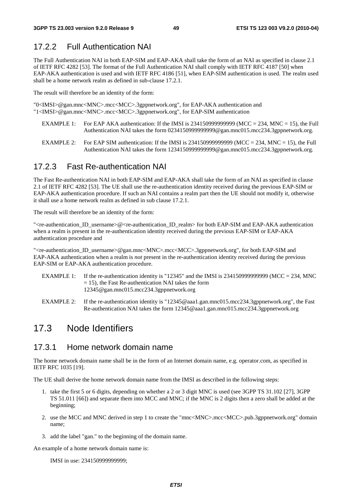# 17.2.2 Full Authentication NAI

The Full Authentication NAI in both EAP-SIM and EAP-AKA shall take the form of an NAI as specified in clause 2.1 of IETF RFC 4282 [53]. The format of the Full Authentication NAI shall comply with IETF RFC 4187 [50] when EAP-AKA authentication is used and with IETF RFC 4186 [51], when EAP-SIM authentication is used. The realm used shall be a home network realm as defined in sub-clause 17.2.1.

The result will therefore be an identity of the form:

"0<IMSI>@gan.mnc<MNC>.mcc<MCC>.3gppnetwork.org", for EAP-AKA authentication and "1<IMSI>@gan.mnc<MNC>.mcc<MCC>.3gppnetwork.org", for EAP-SIM authentication

- EXAMPLE 1: For EAP AKA authentication: If the IMSI is  $2341509999999999$  (MCC = 234, MNC = 15), the Full Authentication NAI takes the form 0234150999999999@gan.mnc015.mcc234.3gppnetwork.org.
- EXAMPLE 2: For EAP SIM authentication: If the IMSI is  $2341509999999999$  (MCC = 234, MNC = 15), the Full Authentication NAI takes the form 1234150999999999@gan.mnc015.mcc234.3gppnetwork.org.

#### 17.2.3 Fast Re-authentication NAI

The Fast Re-authentication NAI in both EAP-SIM and EAP-AKA shall take the form of an NAI as specified in clause 2.1 of IETF RFC 4282 [53]. The UE shall use the re-authentication identity received during the previous EAP-SIM or EAP-AKA authentication procedure. If such an NAI contains a realm part then the UE should not modify it, otherwise it shall use a home network realm as defined in sub clause 17.2.1.

The result will therefore be an identity of the form:

"<re-authentication\_ID\_username>@<re-authentication\_ID\_realm> for both EAP-SIM and EAP-AKA authentication when a realm is present in the re-authentication identity received during the previous EAP-SIM or EAP-AKA authentication procedure and

"<re-authentication\_ID\_username>@gan.mnc<MNC>.mcc<MCC>.3gppnetwork.org", for both EAP-SIM and EAP-AKA authentication when a realm is *not* present in the re-authentication identity received during the previous EAP-SIM or EAP-AKA authentication procedure.

- EXAMPLE 1: If the re-authentication identity is "12345" and the IMSI is 2341509999999999 (MCC = 234, MNC  $= 15$ ), the Fast Re-authentication NAI takes the form 12345@gan.mnc015.mcc234.3gppnetwork.org
- EXAMPLE 2: If the re-authentication identity is "12345@aaa1.gan.mnc015.mcc234.3gppnetwork.org", the Fast Re-authentication NAI takes the form 12345@aaa1.gan.mnc015.mcc234.3gppnetwork.org

## 17.3 Node Identifiers

#### 17.3.1 Home network domain name

The home network domain name shall be in the form of an Internet domain name, e.g. operator.com, as specified in IETF RFC 1035 [19].

The UE shall derive the home network domain name from the IMSI as described in the following steps:

- 1. take the first 5 or 6 digits, depending on whether a 2 or 3 digit MNC is used (see 3GPP TS 31.102 [27], 3GPP TS 51.011 [66]) and separate them into MCC and MNC; if the MNC is 2 digits then a zero shall be added at the beginning;
- 2. use the MCC and MNC derived in step 1 to create the "mnc<MNC>.mcc<MCC>.pub.3gppnetwork.org" domain name;
- 3. add the label "gan." to the beginning of the domain name.

An example of a home network domain name is:

IMSI in use: 234150999999999;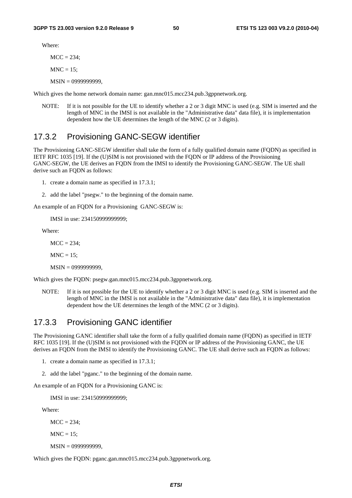Where:

 $MCC = 234$ ;

 $MNC = 15$ :

MSIN = 0999999999,

Which gives the home network domain name: gan.mnc015.mcc234.pub.3gppnetwork.org.

NOTE: If it is not possible for the UE to identify whether a 2 or 3 digit MNC is used (e.g. SIM is inserted and the length of MNC in the IMSI is not available in the "Administrative data" data file), it is implementation dependent how the UE determines the length of the MNC (2 or 3 digits).

#### 17.3.2 Provisioning GANC-SEGW identifier

The Provisioning GANC-SEGW identifier shall take the form of a fully qualified domain name (FQDN) as specified in IETF RFC 1035 [19]. If the (U)SIM is not provisioned with the FQDN or IP address of the Provisioning GANC-SEGW, the UE derives an FQDN from the IMSI to identify the Provisioning GANC-SEGW. The UE shall derive such an FQDN as follows:

- 1. create a domain name as specified in 17.3.1;
- 2. add the label "psegw." to the beginning of the domain name.

An example of an FQDN for a Provisioning GANC-SEGW is:

IMSI in use: 234150999999999;

Where:

 $MCC = 234$ ;

 $MNC = 15$ ;

MSIN = 0999999999,

Which gives the FQDN: psegw.gan.mnc015.mcc234.pub.3gppnetwork.org.

NOTE: If it is not possible for the UE to identify whether a 2 or 3 digit MNC is used (e.g. SIM is inserted and the length of MNC in the IMSI is not available in the "Administrative data" data file), it is implementation dependent how the UE determines the length of the MNC (2 or 3 digits).

#### 17.3.3 Provisioning GANC identifier

The Provisioning GANC identifier shall take the form of a fully qualified domain name (FQDN) as specified in IETF RFC 1035 [19]. If the (U)SIM is not provisioned with the FQDN or IP address of the Provisioning GANC, the UE derives an FQDN from the IMSI to identify the Provisioning GANC. The UE shall derive such an FQDN as follows:

- 1. create a domain name as specified in 17.3.1;
- 2. add the label "pganc." to the beginning of the domain name.

An example of an FODN for a Provisioning GANC is:

IMSI in use: 234150999999999;

Where:

 $MCC = 234$ :

 $MNC = 15$ ;

MSIN = 0999999999,

Which gives the FQDN: pganc.gan.mnc015.mcc234.pub.3gppnetwork.org.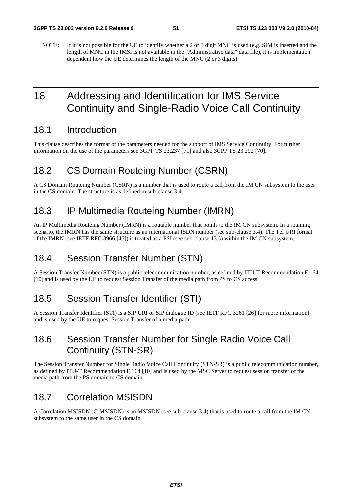NOTE: If it is not possible for the UE to identify whether a 2 or 3 digit MNC is used (e.g. SIM is inserted and the length of MNC in the IMSI is not available in the "Administrative data" data file), it is implementation dependent how the UE determines the length of the MNC (2 or 3 digits).

# 18 Addressing and Identification for IMS Service Continuity and Single-Radio Voice Call Continuity

### 18.1 Introduction

This clause describes the format of the parameters needed for the support of IMS Service Continuity. For further information on the use of the parameters see 3GPP TS 23.237 [71] and also 3GPP TS 23.292 [70].

## 18.2 CS Domain Routeing Number (CSRN)

A CS Domain Routeing Number (CSRN) is a number that is used to route a call from the IM CN subsystem to the user in the CS domain. The structure is as defined in sub-clause 3.4.

# 18.3 IP Multimedia Routeing Number (IMRN)

An IP Multimedia Routeing Number (IMRN) is a routable number that points to the IM CN subsystem. In a roaming scenario, the IMRN has the same structure as an international ISDN number (see sub-clause 3.4). The Tel URI format of the IMRN (see IETF RFC 3966 [45]) is treated as a PSI (see sub-clause 13.5) within the IM CN subsystem.

# 18.4 Session Transfer Number (STN)

A Session Transfer Number (STN) is a public telecommunication number, as defined by ITU-T Recommendation E.164 [10] and is used by the UE to request Session Transfer of the media path from PS to CS access.

# 18.5 Session Transfer Identifier (STI)

A Session Transfer Identifier (STI) is a SIP URI or SIP dialogue ID (see IETF RFC 3261 [26] for more information) and is used by the UE to request Session Transfer of a media path.

# 18.6 Session Transfer Number for Single Radio Voice Call Continuity (STN-SR)

The Session Transfer Number for Single Radio Voice Call Continuity (STN-SR) is a public telecommunication number, as defined by ITU-T Recommendation E.164 [10] and is used by the MSC Server to request session transfer of the media path from the PS domain to CS domain.

# 18.7 Correlation MSISDN

A Correlation MSISDN (C-MSISDN) is an MSISDN (see sub-clause 3.4) that is used to route a call from the IM CN subsystem to the same user in the CS domain.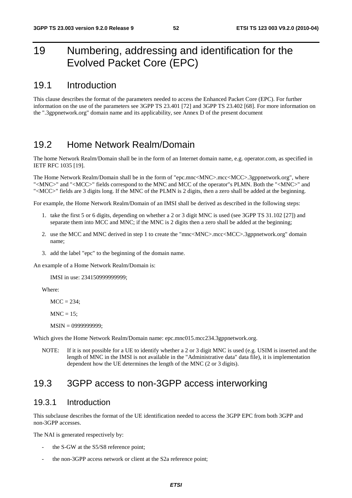# 19 Numbering, addressing and identification for the Evolved Packet Core (EPC)

### 19.1 Introduction

This clause describes the format of the parameters needed to access the Enhanced Packet Core (EPC). For further information on the use of the parameters see 3GPP TS 23.401 [72] and 3GPP TS 23.402 [68]. For more information on the ".3gppnetwork.org" domain name and its applicability, see Annex D of the present document

## 19.2 Home Network Realm/Domain

The home Network Realm/Domain shall be in the form of an Internet domain name, e.g. operator.com, as specified in IETF RFC 1035 [19].

The Home Network Realm/Domain shall be in the form of "epc.mnc<MNC>.mcc<MCC>.3gppnetwork.org", where "<MNC>" and "<MCC>" fields correspond to the MNC and MCC of the operator"s PLMN. Both the "<MNC>" and "<MCC>" fields are 3 digits long. If the MNC of the PLMN is 2 digits, then a zero shall be added at the beginning.

For example, the Home Network Realm/Domain of an IMSI shall be derived as described in the following steps:

- 1. take the first 5 or 6 digits, depending on whether a 2 or 3 digit MNC is used (see 3GPP TS 31.102 [27]) and separate them into MCC and MNC; if the MNC is 2 digits then a zero shall be added at the beginning;
- 2. use the MCC and MNC derived in step 1 to create the "mnc<MNC>.mcc<MCC>.3gppnetwork.org" domain name;
- 3. add the label "epc" to the beginning of the domain name.

An example of a Home Network Realm/Domain is:

IMSI in use: 234150999999999;

Where:

 $MCC = 234$ :

 $MNC = 15$ ;

MSIN = 0999999999;

Which gives the Home Network Realm/Domain name: epc.mnc015.mcc234.3gppnetwork.org.

NOTE: If it is not possible for a UE to identify whether a 2 or 3 digit MNC is used (e.g. USIM is inserted and the length of MNC in the IMSI is not available in the "Administrative data" data file), it is implementation dependent how the UE determines the length of the MNC (2 or 3 digits).

## 19.3 3GPP access to non-3GPP access interworking

#### 19.3.1 Introduction

This subclause describes the format of the UE identification needed to access the 3GPP EPC from both 3GPP and non-3GPP accesses.

The NAI is generated respectively by:

- the S-GW at the S5/S8 reference point;
- the non-3GPP access network or client at the S2a reference point;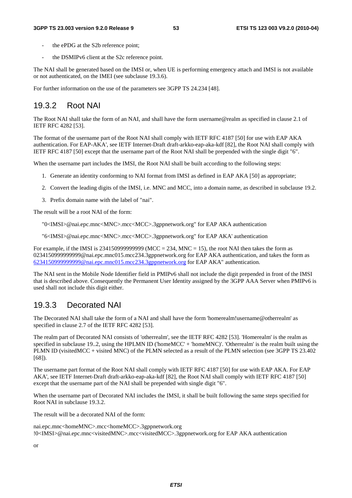- the ePDG at the S2b reference point:
- the DSMIPv6 client at the S2c reference point.

The NAI shall be generated based on the IMSI or, when UE is performing emergency attach and IMSI is not available or not authenticated, on the IMEI (see subclause 19.3.6).

For further information on the use of the parameters see 3GPP TS 24.234 [48].

#### 19.3.2 Root NAI

The Root NAI shall take the form of an NAI, and shall have the form username@realm as specified in clause 2.1 of IETF RFC 4282 [53].

The format of the username part of the Root NAI shall comply with IETF RFC 4187 [50] for use with EAP AKA authentication. For EAP-AKA', see IETF Internet-Draft draft-arkko-eap-aka-kdf [82], the Root NAI shall comply with IETF RFC 4187 [50] except that the username part of the Root NAI shall be prepended with the single digit "6".

When the username part includes the IMSI, the Root NAI shall be built according to the following steps:

- 1. Generate an identity conforming to NAI format from IMSI as defined in EAP AKA [50] as appropriate;
- 2. Convert the leading digits of the IMSI, i.e. MNC and MCC, into a domain name, as described in subclause 19.2.
- 3. Prefix domain name with the label of "nai".

The result will be a root NAI of the form:

"0<IMSI>@nai.epc.mnc<MNC>.mcc<MCC>.3gppnetwork.org" for EAP AKA authentication

"6<IMSI>@nai.epc.mnc<MNC>.mcc<MCC>.3gppnetwork.org" for EAP AKA' authentication

For example, if the IMSI is  $2341509999999999$  (MCC = 234, MNC = 15), the root NAI then takes the form as 0234150999999999@nai.epc.mnc015.mcc234.3gppnetwork.org for EAP AKA authentication, and takes the form as [6234150999999999@nai.epc.mnc015.mcc234.3gppnetwork.org](mailto:0234150999999999@epc.mnc015.mcc234.3gppnetwork.org) for EAP AKA" authentication.

The NAI sent in the Mobile Node Identifier field in PMIPv6 shall not include the digit prepended in front of the IMSI that is described above. Consequently the Permanent User Identity assigned by the 3GPP AAA Server when PMIPv6 is used shall not include this digit either.

#### 19.3.3 Decorated NAI

The Decorated NAI shall take the form of a NAI and shall have the form 'homerealm!username@otherrealm' as specified in clause 2.7 of the IETF RFC 4282 [53].

The realm part of Decorated NAI consists of 'otherrealm', see the IETF RFC 4282 [53]. 'Homerealm' is the realm as specified in subclause 19..2, using the HPLMN ID ('homeMCC' + 'homeMNC)'. 'Otherrealm' is the realm built using the PLMN ID (visitedMCC + visited MNC) of the PLMN selected as a result of the PLMN selection (see 3GPP TS 23.402 [68]).

The username part format of the Root NAI shall comply with IETF RFC 4187 [50] for use with EAP AKA. For EAP AKA', see IETF Internet-Draft draft-arkko-eap-aka-kdf [82], the Root NAI shall comply with IETF RFC 4187 [50] except that the username part of the NAI shall be prepended with single digit "6".

When the username part of Decorated NAI includes the IMSI, it shall be built following the same steps specified for Root NAI in subclause 19.3.2.

The result will be a decorated NAI of the form:

nai.epc.mnc<homeMNC>.mcc<homeMCC>.3gppnetwork.org !0<IMSI>@nai.epc.mnc<visitedMNC>.mcc<visitedMCC>.3gppnetwork.org for EAP AKA authentication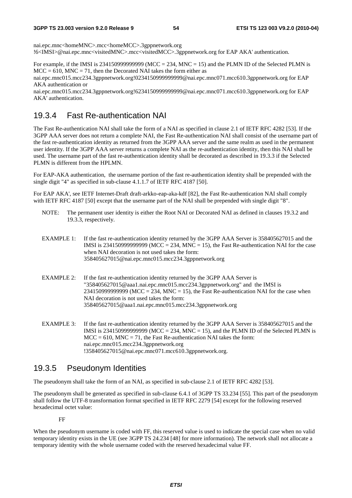nai.epc.mnc<homeMNC>.mcc<homeMCC>.3gppnetwork.org !6<IMSI>@nai.epc.mnc<visitedMNC>.mcc<visitedMCC>.3gppnetwork.org for EAP AKA' authentication.

For example, if the IMSI is  $234150999999999$  (MCC = 234, MNC = 15) and the PLMN ID of the Selected PLMN is  $MCC = 610$ ,  $MNC = 71$ , then the Decorated NAI takes the form either as

nai.epc.mnc015.mcc234.3gppnetwork.org!0234150999999999@nai.epc.mnc071.mcc610.3gppnetwork.org for EAP AKA authentication or

nai.epc.mnc015.mcc234.3gppnetwork.org!6234150999999999@nai.epc.mnc071.mcc610.3gppnetwork.org for EAP AKA' authentication.

### 19.3.4 Fast Re-authentication NAI

The Fast Re-authentication NAI shall take the form of a NAI as specified in clause 2.1 of IETF RFC 4282 [53]. If the 3GPP AAA server does not return a complete NAI, the Fast Re-authentication NAI shall consist of the username part of the fast re-authentication identity as returned from the 3GPP AAA server and the same realm as used in the permanent user identity. If the 3GPP AAA server returns a complete NAI as the re-authentication identity, then this NAI shall be used. The username part of the fast re-authentication identity shall be decorated as described in 19.3.3 if the Selected PLMN is different from the HPLMN.

For EAP-AKA authentication, the username portion of the fast re-authentication identity shall be prepended with the single digit "4" as specified in sub-clause 4.1.1.7 of IETF RFC 4187 [50].

For EAP AKA', see IETF Internet-Draft draft-arkko-eap-aka-kdf [82], the Fast Re-authentication NAI shall comply with IETF RFC 4187 [50] except that the username part of the NAI shall be prepended with single digit "8".

- NOTE: The permanent user identity is either the Root NAI or Decorated NAI as defined in clauses 19.3.2 and 19.3.3, respectively.
- EXAMPLE 1: If the fast re-authentication identity returned by the 3GPP AAA Server is 358405627015 and the IMSI is 2341509999999999 (MCC = 234, MNC = 15), the Fast Re-authentication NAI for the case when NAI decoration is not used takes the form: 358405627015@nai.epc.mnc015.mcc234.3gppnetwork.org
- EXAMPLE 2: If the fast re-authentication identity returned by the 3GPP AAA Server is "358405627015@aaa1.nai.epc.mnc015.mcc234.3gppnetwork.org" and the IMSI is  $234150999999999$  (MCC = 234, MNC = 15), the Fast Re-authentication NAI for the case when NAI decoration is not used takes the form: 358405627015@aaa1.nai.epc.mnc015.mcc234.3gppnetwork.org
- EXAMPLE 3: If the fast re-authentication identity returned by the 3GPP AAA Server is 358405627015 and the IMSI is 23415099999999999 (MCC = 234, MNC = 15), and the PLMN ID of the Selected PLMN is  $MCC = 610$ ,  $MNC = 71$ , the Fast Re-authentication NAI takes the form: nai.epc.mnc015.mcc234.3gppnetwork.org !358405627015@nai.epc.mnc071.mcc610.3gppnetwork.org.

### 19.3.5 Pseudonym Identities

The pseudonym shall take the form of an NAI, as specified in sub-clause 2.1 of IETF RFC 4282 [53].

The pseudonym shall be generated as specified in sub-clause 6.4.1 of 3GPP TS 33.234 [55]. This part of the pseudonym shall follow the UTF-8 transformation format specified in IETF RFC 2279 [54] except for the following reserved hexadecimal octet value:

#### FF

When the pseudonym username is coded with FF, this reserved value is used to indicate the special case when no valid temporary identity exists in the UE (see 3GPP TS 24.234 [48] for more information). The network shall not allocate a temporary identity with the whole username coded with the reserved hexadecimal value FF.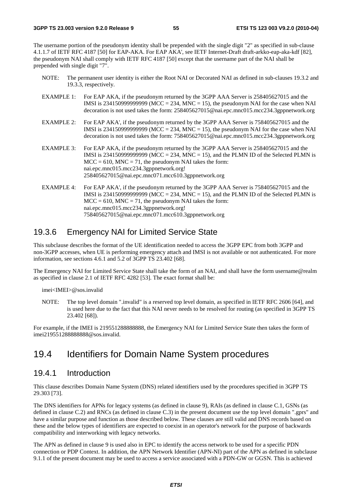The username portion of the pseudonym identity shall be prepended with the single digit "2" as specified in sub-clause 4.1.1.7 of IETF RFC 4187 [50] for EAP-AKA. For EAP AKA', see IETF Internet-Draft draft-arkko-eap-aka-kdf [82], the pseudonym NAI shall comply with IETF RFC 4187 [50] except that the username part of the NAI shall be prepended with single digit "7".

- NOTE: The permanent user identity is either the Root NAI or Decorated NAI as defined in sub-clauses 19.3.2 and 19.3.3, respectively.
- EXAMPLE 1: For EAP AKA, if the pseudonym returned by the 3GPP AAA Server is 258405627015 and the IMSI is 234150999999999 (MCC = 234, MNC = 15), the pseudonym NAI for the case when NAI decoration is not used takes the form: 258405627015@nai.epc.mnc015.mcc234.3gppnetwork.org
- EXAMPLE 2: For EAP AKA', if the pseudonym returned by the 3GPP AAA Server is 758405627015 and the IMSI is 2341509999999999 (MCC = 234, MNC = 15), the pseudonym NAI for the case when NAI decoration is not used takes the form: 758405627015@nai.epc.mnc015.mcc234.3gppnetwork.org
- EXAMPLE 3: For EAP AKA, if the pseudonym returned by the 3GPP AAA Server is 258405627015 and the IMSI is  $234150999999999$  (MCC =  $234$ , MNC = 15), and the PLMN ID of the Selected PLMN is  $MCC = 610$ ,  $MNC = 71$ , the pseudonym NAI takes the form: nai.epc.mnc015.mcc234.3gppnetwork.org! 258405627015@nai.epc.mnc071.mcc610.3gppnetwork.org
- EXAMPLE 4: For EAP AKA', if the pseudonym returned by the 3GPP AAA Server is 758405627015 and the IMSI is 2341509999999999 (MCC = 234, MNC = 15), and the PLMN ID of the Selected PLMN is  $MCC = 610$ ,  $MNC = 71$ , the pseudonym NAI takes the form: nai.epc.mnc015.mcc234.3gppnetwork.org! 758405627015@nai.epc.mnc071.mcc610.3gppnetwork.org

#### 19.3.6 Emergency NAI for Limited Service State

This subclause describes the format of the UE identification needed to access the 3GPP EPC from both 3GPP and non-3GPP accesses, when UE is performing emergency attach and IMSI is not available or not authenticated. For more information, see sections 4.6.1 and 5.2 of 3GPP TS 23.402 [68].

The Emergency NAI for Limited Service State shall take the form of an NAI, and shall have the form username@realm as specified in clause 2.1 of IETF RFC 4282 [53]. The exact format shall be:

imei<IMEI>@sos.invalid

NOTE: The top level domain ".invalid" is a reserved top level domain, as specified in IETF RFC 2606 [64], and is used here due to the fact that this NAI never needs to be resolved for routing (as specified in 3GPP TS 23.402 [68]).

For example, if the IMEI is 219551288888888, the Emergency NAI for Limited Service State then takes the form of imei219551288888888@sos.invalid.

### 19.4 Identifiers for Domain Name System procedures

#### 19.4.1 Introduction

This clause describes Domain Name System (DNS) related identifiers used by the procedures specified in 3GPP TS 29.303 [73].

The DNS identifiers for APNs for legacy systems (as defined in clause 9), RAIs (as defined in clause C.1, GSNs (as defined in clause C.2) and RNCs (as defined in clause C.3) in the present document use the top level domain ".gprs" and have a similar purpose and function as those described below. These clauses are still valid and DNS records based on these and the below types of identifiers are expected to coexist in an operator's network for the purpose of backwards compatibility and interworking with legacy networks.

The APN as defined in clause 9 is used also in EPC to identify the access network to be used for a specific PDN connection or PDP Context. In addition, the APN Network Identifier (APN-NI) part of the APN as defined in subclause 9.1.1 of the present document may be used to access a service associated with a PDN-GW or GGSN. This is achieved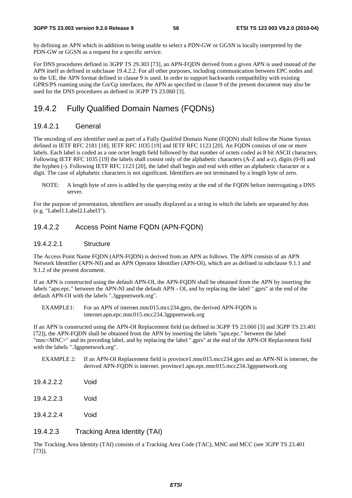by defining an APN which in addition to being usable to select a PDN-GW or GGSN is locally interpreted by the PDN-GW or GGSN as a request for a specific service.

For DNS procedures defined in 3GPP TS 29.303 [73], an APN-FQDN derived from a given APN is used instead of the APN itself as defined in subclause 19.4.2.2. For all other purposes, including communication between EPC nodes and to the UE, the APN format defined in clause 9 is used. In order to support backwards compatibility with existing GPRS/PS roaming using the Gn/Gp interfaces, the APN as specified in clause 9 of the present document may also be used for the DNS procedures as defined in 3GPP TS 23.060 [3].

#### 19.4.2 Fully Qualified Domain Names (FQDNs)

#### 19.4.2.1 General

The encoding of any identifier used as part of a Fully Qualifed Domain Name (FQDN) shall follow the Name Syntax defined in IETF RFC 2181 [18], IETF RFC 1035 [19] and IETF RFC 1123 [20]. An FQDN consists of one or more labels. Each label is coded as a one octet length field followed by that number of octets coded as 8 bit ASCII characters. Following IETF RFC 1035 [19] the labels shall consist only of the alphabetic characters (A-Z and a-z), digits (0-9) and the hyphen (-). Following IETF RFC 1123 [20], the label shall begin and end with either an alphabetic character or a digit. The case of alphabetic characters is not significant. Identifiers are not terminated by a length byte of zero.

NOTE: A length byte of zero is added by the querying entity at the end of the FQDN before interrogating a DNS server.

For the purpose of presentation, identifiers are usually displayed as a string in which the labels are separated by dots (e.g. "Label1.Label2.Label3").

#### 19.4.2.2 Access Point Name FQDN (APN-FQDN)

#### 19.4.2.2.1 Structure

The Access Point Name FQDN (APN-FQDN) is derived from an APN as follows. The APN consists of an APN Network Identifier (APN-NI) and an APN Operator Identifier (APN-OI), which are as defined in subclause 9.1.1 and 9.1.2 of the present document.

If an APN is constructed using the default APN-OI, the APN-FQDN shall be obtained from the APN by inserting the labels "apn.epc." between the APN-NI and the default APN - OI, and by replacing the label ".gprs" at the end of the default APN-OI with the labels ".3gppnetwork.org".

EXAMPLE1: For an APN of internet.mnc015.mcc234.gprs, the derived APN-FQDN is internet.apn.epc.mnc015.mcc234.3gppnetwork.org

If an APN is constructed using the APN-OI Replacement field (as defined in 3GPP TS 23.060 [3] and 3GPP TS 23.401 [72]), the APN-FQDN shall be obtained from the APN by inserting the labels "apn.epc." between the label "mnc<MNC>" and its preceding label, and by replacing the label ".gprs" at the end of the APN-OI Replacement field with the labels ".3gppnetwork.org".

EXAMPLE 2: If an APN-OI Replacement field is province1.mnc015.mcc234.gprs and an APN-NI is internet, the derived APN-FQDN is internet. province1.apn.epc.mnc015.mcc234.3gppnetwork.org

19.4.2.2.2 Void

19.4.2.2.3 Void

19.4.2.2.4 Void

#### 19.4.2.3 Tracking Area Identity (TAI)

The Tracking Area Identity (TAI) consists of a Tracking Area Code (TAC), MNC and MCC (see 3GPP TS 23.401 [73]).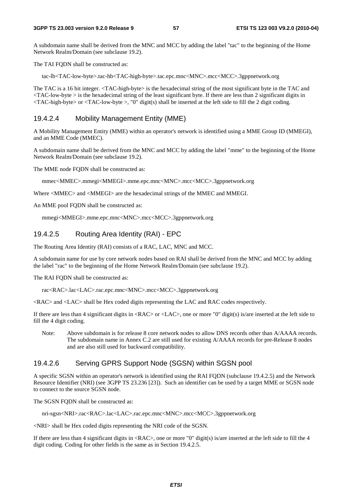A subdomain name shall be derived from the MNC and MCC by adding the label "tac" to the beginning of the Home Network Realm/Domain (see subclause 19.2).

The TAI FODN shall be constructed as:

tac-lb<TAC-low-byte>.tac-hb<TAC-high-byte>.tac.epc.mnc<MNC>.mcc<MCC>.3gppnetwork.org

The TAC is a 16 bit integer. <TAC-high-byte> is the hexadecimal string of the most significant byte in the TAC and  $\langle$ TAC-low-byte  $>$  is the hexadecimal string of the least significant byte. If there are less than 2 significant digits in  $\langle$ TAC-high-byte> or  $\langle$ TAC-low-byte >, "0" digit(s) shall be inserted at the left side to fill the 2 digit coding.

#### 19.4.2.4 Mobility Management Entity (MME)

A Mobility Management Entity (MME) within an operator's network is identified using a MME Group ID (MMEGI), and an MME Code (MMEC).

A subdomain name shall be derived from the MNC and MCC by adding the label "mme" to the beginning of the Home Network Realm/Domain (see subclause 19.2).

The MME node FQDN shall be constructed as:

mmec<MMEC>.mmegi<MMEGI>.mme.epc.mnc<MNC>.mcc<MCC>.3gppnetwork.org

Where <MMEC> and <MMEGI> are the hexadecimal strings of the MMEC and MMEGI.

An MME pool FQDN shall be constructed as:

mmegi<MMEGI>.mme.epc.mnc<MNC>.mcc<MCC>.3gppnetwork.org

#### 19.4.2.5 Routing Area Identity (RAI) - EPC

The Routing Area Identity (RAI) consists of a RAC, LAC, MNC and MCC.

A subdomain name for use by core network nodes based on RAI shall be derived from the MNC and MCC by adding the label "rac" to the beginning of the Home Network Realm/Domain (see subclause 19.2).

The RAI FODN shall be constructed as:

rac<RAC>.lac<LAC>.rac.epc.mnc<MNC>.mcc<MCC>.3gppnetwork.org

<RAC> and <LAC> shall be Hex coded digits representing the LAC and RAC codes respectively.

If there are less than 4 significant digits in <RAC> or <LAC>, one or more "0" digit(s) is/are inserted at the left side to fill the 4 digit coding.

Note: Above subdomain is for release 8 core network nodes to allow DNS records other than A/AAAA records. The subdomain name in Annex C.2 are still used for existing A/AAAA records for pre-Release 8 nodes and are also still used for backward compatibility.

#### 19.4.2.6 Serving GPRS Support Node (SGSN) within SGSN pool

A specific SGSN within an operator's network is identified using the RAI FQDN (subclause 19.4.2.5) and the Network Resource Identifier (NRI) (see 3GPP TS 23.236 [23]). Such an identifier can be used by a target MME or SGSN node to connect to the source SGSN node.

The SGSN FODN shall be constructed as:

nri-sgsn<NRI>.rac<RAC>.lac<LAC>.rac.epc.mnc<MNC>.mcc<MCC>.3gppnetwork.org

<NRI> shall be Hex coded digits representing the NRI code of the SGSN.

If there are less than 4 significant digits in  $\langle RAC \rangle$ , one or more "0" digit(s) is/are inserted at the left side to fill the 4 digit coding. Coding for other fields is the same as in Section 19.4.2.5.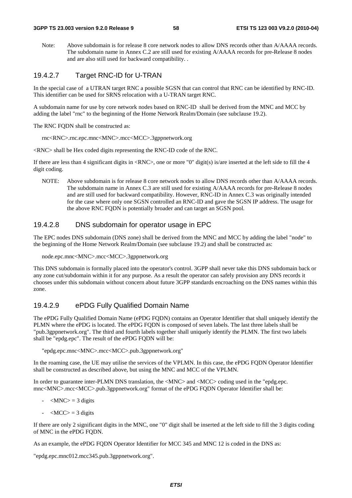Note: Above subdomain is for release 8 core network nodes to allow DNS records other than A/AAAA records. The subdomain name in Annex C.2 are still used for existing A/AAAA records for pre-Release 8 nodes and are also still used for backward compatibility. .

#### 19.4.2.7 Target RNC-ID for U-TRAN

In the special case of a UTRAN target RNC a possible SGSN that can control that RNC can be identified by RNC-ID. This identifier can be used for SRNS relocation with a U-TRAN target RNC.

A subdomain name for use by core network nodes based on RNC-ID shall be derived from the MNC and MCC by adding the label "rnc" to the beginning of the Home Network Realm/Domain (see subclause 19.2).

The RNC FQDN shall be constructed as:

rnc<RNC>.rnc.epc.mnc<MNC>.mcc<MCC>.3gppnetwork.org

<RNC> shall be Hex coded digits representing the RNC-ID code of the RNC.

If there are less than 4 significant digits in  $\langle RNC \rangle$ , one or more "0" digit(s) is/are inserted at the left side to fill the 4 digit coding.

NOTE: Above subdomain is for release 8 core network nodes to allow DNS records other than A/AAAA records. The subdomain name in Annex C.3 are still used for existing A/AAAA records for pre-Release 8 nodes and are still used for backward compatibility. However, RNC-ID in Annex C.3 was originally intended for the case where only one SGSN controlled an RNC-ID and gave the SGSN IP address. The usage for the above RNC FQDN is potentially broader and can target an SGSN pool.

#### 19.4.2.8 DNS subdomain for operator usage in EPC

The EPC nodes DNS subdomain (DNS zone) shall be derived from the MNC and MCC by adding the label "node" to the beginning of the Home Network Realm/Domain (see subclause 19.2) and shall be constructed as:

node.epc.mnc<MNC>.mcc<MCC>.3gppnetwork.org

This DNS subdomain is formally placed into the operator's control. 3GPP shall never take this DNS subdomain back or any zone cut/subdomain within it for any purpose. As a result the operator can safely provision any DNS records it chooses under this subdomain without concern about future 3GPP standards encroaching on the DNS names within this zone.

#### 19.4.2.9 ePDG Fully Qualified Domain Name

The ePDG Fully Qualified Domain Name (ePDG FQDN) contains an Operator Identifier that shall uniquely identify the PLMN where the ePDG is located. The ePDG FQDN is composed of seven labels. The last three labels shall be "pub.3gppnetwork.org". The third and fourth labels together shall uniquely identify the PLMN. The first two labels shall be "epdg.epc". The result of the ePDG FQDN will be:

"epdg.epc.mnc<MNC>.mcc<MCC>.pub.3gppnetwork.org"

In the roaming case, the UE may utilise the services of the VPLMN. In this case, the ePDG FQDN Operator Identifier shall be constructed as described above, but using the MNC and MCC of the VPLMN.

In order to guarantee inter-PLMN DNS translation, the  $\langle MNC \rangle$  and  $\langle MCC \rangle$  coding used in the "epdg.epc. mnc<MNC>.mcc<MCC>.pub.3gppnetwork.org" format of the ePDG FQDN Operator Identifier shall be:

- $-MNC$  = 3 digits
- $\langle MCC \rangle = 3$  digits

If there are only 2 significant digits in the MNC, one "0" digit shall be inserted at the left side to fill the 3 digits coding of MNC in the ePDG FQDN.

As an example, the ePDG FODN Operator Identifier for MCC 345 and MNC 12 is coded in the DNS as:

"epdg.epc.mnc012.mcc345.pub.3gppnetwork.org".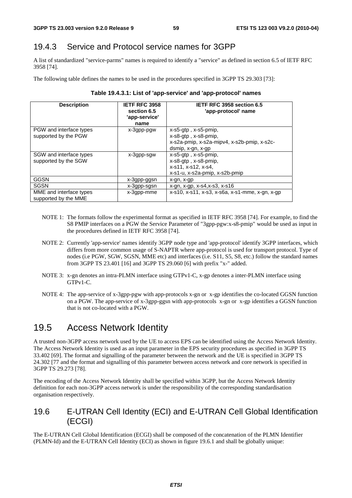### 19.4.3 Service and Protocol service names for 3GPP

A list of standardized "service-parms" names is required to identify a "service" as defined in section 6.5 of IETF RFC 3958 [74].

The following table defines the names to be used in the procedures specified in 3GPP TS 29.303 [73]:

| <b>Description</b>                              | <b>IETF RFC 3958</b><br>section 6.5<br>'app-service'<br>name | IETF RFC 3958 section 6.5<br>'app-protocol' name                                                                          |
|-------------------------------------------------|--------------------------------------------------------------|---------------------------------------------------------------------------------------------------------------------------|
| PGW and interface types<br>supported by the PGW | x-3gpp-pgw                                                   | $x$ -s5-gtp, $x$ -s5-pmip,<br>x-s8-gtp, x-s8-pmip,                                                                        |
|                                                 |                                                              | x-s2a-pmip, x-s2a-mipv4, x-s2b-pmip, x-s2c-<br>dsmip, x-gn, x-gp                                                          |
| SGW and interface types<br>supported by the SGW | x-3gpp-sgw                                                   | $x$ -s5-gtp, $x$ -s5-pmip,<br>$x$ -s $8$ -qtp, $x$ -s $8$ -pmip,<br>x-s11, x-s12, x-s4,<br>x-s1-u, x-s2a-pmip, x-s2b-pmip |
| GGSN                                            | x-3gpp-ggsn                                                  | x-gn, x-gp                                                                                                                |
| SGSN                                            | x-3gpp-sgsn                                                  | x-gn, x-gp, x-s4, x-s3, x-s16                                                                                             |
| MME and interface types<br>supported by the MME | x-3gpp-mme                                                   | x-s10, x-s11, x-s3, x-s6a, x-s1-mme, x-gn, x-gp                                                                           |

#### **Table 19.4.3.1: List of 'app-service' and 'app-protocol' names**

- NOTE 1: The formats follow the experimental format as specified in IETF RFC 3958 [74]. For example, to find the S8 PMIP interfaces on a PGW the Service Parameter of "3gpp-pgw:x-s8-pmip" would be used as input in the procedures defined in IETF RFC 3958 [74].
- NOTE 2: Currently 'app-service' names identify 3GPP node type and 'app-protocol' identify 3GPP interfaces, which differs from more common usage of S-NAPTR where app-protocol is used for transport protocol. Type of nodes (i.e PGW, SGW, SGSN, MME etc) and interfaces (i.e. S11, S5, S8, etc.) follow the standard names from 3GPP TS 23.401 [16] and 3GPP TS 29.060 [6] with prefix "x-" added.
- NOTE 3: x-gn denotes an intra-PLMN interface using GTPv1-C, x-gp denotes a inter-PLMN interface using GTPv1-C.
- NOTE 4: The app-service of x-3gpp-pgw with app-protocols x-gn or x-gp identifies the co-located GGSN function on a PGW. The app-service of x-3gpp-ggsn with app-protocols x-gn or x-gp identifies a GGSN function that is not co-located with a PGW.

## 19.5 Access Network Identity

A trusted non-3GPP access network used by the UE to access EPS can be identified using the Access Network Identity. The Access Network Identity is used as an input parameter in the EPS security procedures as specified in 3GPP TS 33.402 [69]. The format and signalling of the parameter between the network and the UE is specified in 3GPP TS 24.302 [77 and the format and signalling of this parameter between access network and core network is specified in 3GPP TS 29.273 [78].

The encoding of the Access Network Identity shall be specified within 3GPP, but the Access Network Identity definition for each non-3GPP access network is under the responsibility of the corresponding standardisation organisation respectively.

### 19.6 E-UTRAN Cell Identity (ECI) and E-UTRAN Cell Global Identification (ECGI)

The E-UTRAN Cell Global Identification (ECGI) shall be composed of the concatenation of the PLMN Identifier (PLMN-Id) and the E-UTRAN Cell Identity (ECI) as shown in figure 19.6.1 and shall be globally unique: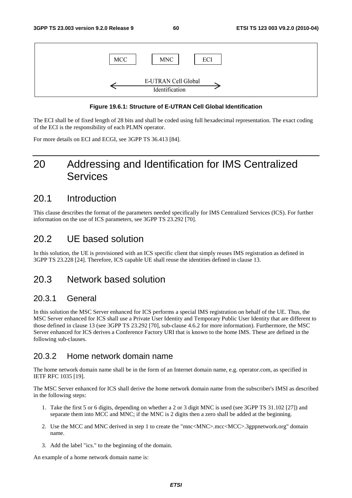

#### **Figure 19.6.1: Structure of E-UTRAN Cell Global Identification**

The ECI shall be of fixed length of 28 bits and shall be coded using full hexadecimal representation. The exact coding of the ECI is the responsibility of each PLMN operator.

For more details on ECI and ECGI, see 3GPP TS 36.413 [84].

# 20 Addressing and Identification for IMS Centralized Services

### 20.1 Introduction

This clause describes the format of the parameters needed specifically for IMS Centralized Services (ICS). For further information on the use of ICS parameters, see 3GPP TS 23.292 [70].

### 20.2 UE based solution

In this solution, the UE is provisioned with an ICS specific client that simply reuses IMS registration as defined in 3GPP TS 23.228 [24]. Therefore, ICS capable UE shall reuse the identities defined in clause 13.

### 20.3 Network based solution

#### 20.3.1 General

In this solution the MSC Server enhanced for ICS performs a special IMS registration on behalf of the UE. Thus, the MSC Server enhanced for ICS shall use a Private User Identity and Temporary Public User Identity that are different to those defined in clause 13 (see 3GPP TS 23.292 [70], sub-clause 4.6.2 for more information). Furthermore, the MSC Server enhanced for ICS derives a Conference Factory URI that is known to the home IMS. These are defined in the following sub-clauses.

#### 20.3.2 Home network domain name

The home network domain name shall be in the form of an Internet domain name, e.g. operator.com, as specified in IETF RFC 1035 [19].

The MSC Server enhanced for ICS shall derive the home network domain name from the subscriber's IMSI as described in the following steps:

- 1. Take the first 5 or 6 digits, depending on whether a 2 or 3 digit MNC is used (see 3GPP TS 31.102 [27]) and separate them into MCC and MNC; if the MNC is 2 digits then a zero shall be added at the beginning.
- 2. Use the MCC and MNC derived in step 1 to create the "mnc<MNC>.mcc<MCC>.3gppnetwork.org" domain name.
- 3. Add the label "ics." to the beginning of the domain.

An example of a home network domain name is: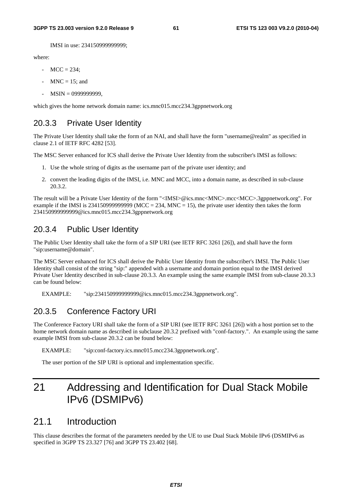IMSI in use: 234150999999999;

where:

- $MCC = 234$ :
- $MNC = 15$ ; and
- MSIN = 0999999999,

which gives the home network domain name: ics.mnc015.mcc234.3gppnetwork.org

#### 20.3.3 Private User Identity

The Private User Identity shall take the form of an NAI, and shall have the form "username@realm" as specified in clause 2.1 of IETF RFC 4282 [53].

The MSC Server enhanced for ICS shall derive the Private User Identity from the subscriber's IMSI as follows:

- 1. Use the whole string of digits as the username part of the private user identity; and
- 2. convert the leading digits of the IMSI, i.e. MNC and MCC, into a domain name, as described in sub-clause 20.3.2.

The result will be a Private User Identity of the form "<IMSI>@ics.mnc<MNC>.mcc<MCC>.3gppnetwork.org". For example if the IMSI is 2341509999999999 (MCC = 234, MNC = 15), the private user identity then takes the form 234150999999999@ics.mnc015.mcc234.3gppnetwork.org

### 20.3.4 Public User Identity

The Public User Identity shall take the form of a SIP URI (see IETF RFC 3261 [26]), and shall have the form "sip:username@domain".

The MSC Server enhanced for ICS shall derive the Public User Identity from the subscriber's IMSI. The Public User Identity shall consist of the string "sip:" appended with a username and domain portion equal to the IMSI derived Private User Identity described in sub-clause 20.3.3. An example using the same example IMSI from sub-clause 20.3.3 can be found below:

EXAMPLE: "sip:234150999999999@ics.mnc015.mcc234.3gppnetwork.org".

### 20.3.5 Conference Factory URI

The Conference Factory URI shall take the form of a SIP URI (see IETF RFC 3261 [26]) with a host portion set to the home network domain name as described in subclause 20.3.2 prefixed with "conf-factory.". An example using the same example IMSI from sub-clause 20.3.2 can be found below:

EXAMPLE: "sip:conf-factory.ics.mnc015.mcc234.3gppnetwork.org".

The user portion of the SIP URI is optional and implementation specific.

# 21 Addressing and Identification for Dual Stack Mobile IPv6 (DSMIPv6)

### 21.1 Introduction

This clause describes the format of the parameters needed by the UE to use Dual Stack Mobile IPv6 (DSMIPv6 as specified in 3GPP TS 23.327 [76] and 3GPP TS 23.402 [68].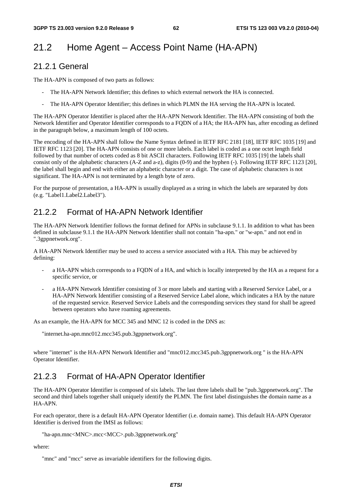# 21.2 Home Agent – Access Point Name (HA-APN)

#### 21.2.1 General

The HA-APN is composed of two parts as follows:

- The HA-APN Network Identifier; this defines to which external network the HA is connected.
- The HA-APN Operator Identifier; this defines in which PLMN the HA serving the HA-APN is located.

The HA-APN Operator Identifier is placed after the HA-APN Network Identifier. The HA-APN consisting of both the Network Identifier and Operator Identifier corresponds to a FQDN of a HA; the HA-APN has, after encoding as defined in the paragraph below, a maximum length of 100 octets.

The encoding of the HA-APN shall follow the Name Syntax defined in IETF RFC 2181 [18], IETF RFC 1035 [19] and IETF RFC 1123 [20]. The HA-APN consists of one or more labels. Each label is coded as a one octet length field followed by that number of octets coded as 8 bit ASCII characters. Following IETF RFC 1035 [19] the labels shall consist only of the alphabetic characters (A-Z and a-z), digits (0-9) and the hyphen (-). Following IETF RFC 1123 [20], the label shall begin and end with either an alphabetic character or a digit. The case of alphabetic characters is not significant. The HA-APN is not terminated by a length byte of zero.

For the purpose of presentation, a HA-APN is usually displayed as a string in which the labels are separated by dots (e.g. "Label1.Label2.Label3").

### 21.2.2 Format of HA-APN Network Identifier

The HA-APN Network Identifier follows the format defined for APNs in subclause 9.1.1. In addition to what has been defined in subclause 9.1.1 the HA-APN Network Identifier shall not contain "ha-apn." or "w-apn." and not end in ".3gppnetwork.org".

A HA-APN Network Identifier may be used to access a service associated with a HA. This may be achieved by defining:

- a HA-APN which corresponds to a FQDN of a HA, and which is locally interpreted by the HA as a request for a specific service, or
- a HA-APN Network Identifier consisting of 3 or more labels and starting with a Reserved Service Label, or a HA-APN Network Identifier consisting of a Reserved Service Label alone, which indicates a HA by the nature of the requested service. Reserved Service Labels and the corresponding services they stand for shall be agreed between operators who have roaming agreements.

As an example, the HA-APN for MCC 345 and MNC 12 is coded in the DNS as:

"internet.ha-apn.mnc012.mcc345.pub.3gppnetwork.org".

where "internet" is the HA-APN Network Identifier and "mnc012.mcc345.pub.3gppnetwork.org " is the HA-APN Operator Identifier.

### 21.2.3 Format of HA-APN Operator Identifier

The HA-APN Operator Identifier is composed of six labels. The last three labels shall be "pub.3gppnetwork.org". The second and third labels together shall uniquely identify the PLMN. The first label distinguishes the domain name as a HA-APN.

For each operator, there is a default HA-APN Operator Identifier (i.e. domain name). This default HA-APN Operator Identifier is derived from the IMSI as follows:

"ha-apn.mnc<MNC>.mcc<MCC>.pub.3gppnetwork.org"

where:

"mnc" and "mcc" serve as invariable identifiers for the following digits.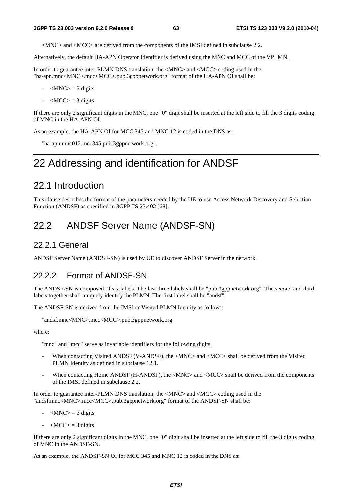<MNC> and <MCC> are derived from the components of the IMSI defined in subclause 2.2.

Alternatively, the default HA-APN Operator Identifier is derived using the MNC and MCC of the VPLMN.

In order to guarantee inter-PLMN DNS translation, the <MNC> and <MCC> coding used in the "ha-apn.mnc<MNC>.mcc<MCC>.pub.3gppnetwork.org" format of the HA-APN OI shall be:

- $-MNC$  = 3 digits
- $-MCC$  = 3 digits

If there are only 2 significant digits in the MNC, one "0" digit shall be inserted at the left side to fill the 3 digits coding of MNC in the HA-APN OI.

As an example, the HA-APN OI for MCC 345 and MNC 12 is coded in the DNS as:

"ha-apn.mnc012.mcc345.pub.3gppnetwork.org".

# 22 Addressing and identification for ANDSF

### 22.1 Introduction

This clause describes the format of the parameters needed by the UE to use Access Network Discovery and Selection Function (ANDSF) as specified in 3GPP TS 23.402 [68].

## 22.2 ANDSF Server Name (ANDSF-SN)

#### 22.2.1 General

ANDSF Server Name (ANDSF-SN) is used by UE to discover ANDSF Server in the network.

#### 22.2.2 Format of ANDSF-SN

The ANDSF-SN is composed of six labels. The last three labels shall be "pub.3gppnetwork.org". The second and third labels together shall uniquely identify the PLMN. The first label shall be "andsf".

The ANDSF-SN is derived from the IMSI or Visited PLMN Identity as follows:

```
"andsf.mnc<MNC>.mcc<MCC>.pub.3gppnetwork.org"
```
where:

"mnc" and "mcc" serve as invariable identifiers for the following digits.

- When contacting Visited ANDSF (V-ANDSF), the <MNC> and <MCC> shall be derived from the Visited PLMN Identity as defined in subclause 12.1.
- When contacting Home ANDSF (H-ANDSF), the <MNC> and <MCC> shall be derived from the components of the IMSI defined in subclause 2.2.

In order to guarantee inter-PLMN DNS translation, the <MNC> and <MCC> coding used in the "andsf.mnc<MNC>.mcc<MCC>.pub.3gppnetwork.org" format of the ANDSF-SN shall be:

- $-MNC$  = 3 digits
- $\langle MCC \rangle = 3$  digits

If there are only 2 significant digits in the MNC, one "0" digit shall be inserted at the left side to fill the 3 digits coding of MNC in the ANDSF-SN.

As an example, the ANDSF-SN OI for MCC 345 and MNC 12 is coded in the DNS as: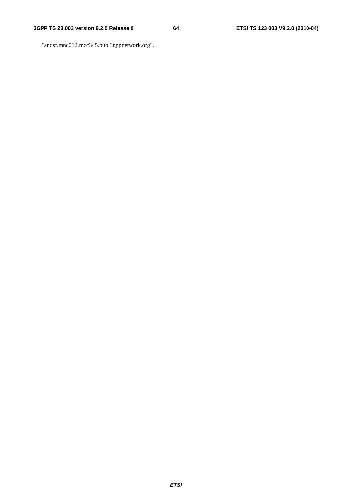"andsf.mnc012.mcc345.pub.3gppnetwork.org".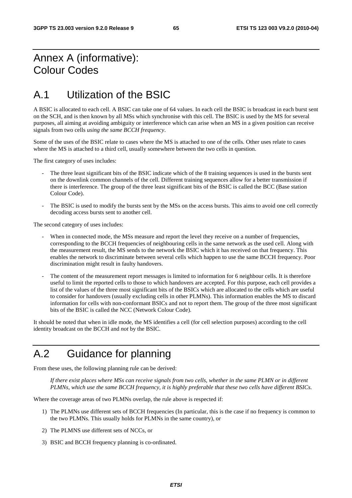# Annex A (informative): Colour Codes

# A.1 Utilization of the BSIC

A BSIC is allocated to each cell. A BSIC can take one of 64 values. In each cell the BSIC is broadcast in each burst sent on the SCH, and is then known by all MSs which synchronise with this cell. The BSIC is used by the MS for several purposes, all aiming at avoiding ambiguity or interference which can arise when an MS in a given position can receive signals from two cells *using the same BCCH frequency*.

Some of the uses of the BSIC relate to cases where the MS is attached to one of the cells. Other uses relate to cases where the MS is attached to a third cell, usually somewhere between the two cells in question.

The first category of uses includes:

- The three least significant bits of the BSIC indicate which of the 8 training sequences is used in the bursts sent on the downlink common channels of the cell. Different training sequences allow for a better transmission if there is interference. The group of the three least significant bits of the BSIC is called the BCC (Base station Colour Code).
- The BSIC is used to modify the bursts sent by the MSs on the access bursts. This aims to avoid one cell correctly decoding access bursts sent to another cell.

The second category of uses includes:

- When in connected mode, the MSs measure and report the level they receive on a number of frequencies, corresponding to the BCCH frequencies of neighbouring cells in the same network as the used cell. Along with the measurement result, the MS sends to the network the BSIC which it has received on that frequency. This enables the network to discriminate between several cells which happen to use the same BCCH frequency. Poor discrimination might result in faulty handovers.
- The content of the measurement report messages is limited to information for 6 neighbour cells. It is therefore useful to limit the reported cells to those to which handovers are accepted. For this purpose, each cell provides a list of the values of the three most significant bits of the BSICs which are allocated to the cells which are useful to consider for handovers (usually excluding cells in other PLMNs). This information enables the MS to discard information for cells with non-conformant BSICs and not to report them. The group of the three most significant bits of the BSIC is called the NCC (Network Colour Code).

It should be noted that when in idle mode, the MS identifies a cell (for cell selection purposes) according to the cell identity broadcast on the BCCH and *not* by the BSIC.

# A.2 Guidance for planning

From these uses, the following planning rule can be derived:

 *If there exist places where MSs can receive signals from two cells, whether in the same PLMN or in different PLMNs, which use the same BCCH frequency, it is highly preferable that these two cells have different BSICs.* 

Where the coverage areas of two PLMNs overlap, the rule above is respected if:

- 1) The PLMNs use different sets of BCCH frequencies (In particular, this is the case if no frequency is common to the two PLMNs. This usually holds for PLMNs in the same country), or
- 2) The PLMNS use different sets of NCCs, or
- 3) BSIC and BCCH frequency planning is co-ordinated.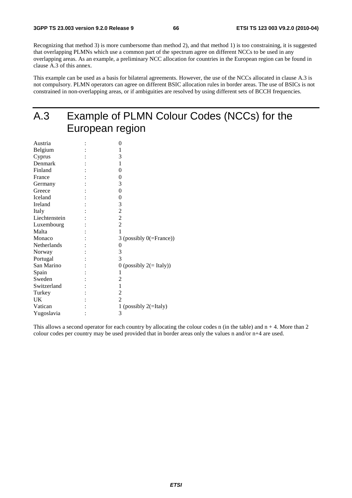Recognizing that method 3) is more cumbersome than method 2), and that method 1) is too constraining, it is suggested that overlapping PLMNs which use a common part of the spectrum agree on different NCCs to be used in any overlapping areas. As an example, a preliminary NCC allocation for countries in the European region can be found in clause A.3 of this annex.

This example can be used as a basis for bilateral agreements. However, the use of the NCCs allocated in clause A.3 is not compulsory. PLMN operators can agree on different BSIC allocation rules in border areas. The use of BSICs is not constrained in non-overlapping areas, or if ambiguities are resolved by using different sets of BCCH frequencies.

# A.3 Example of PLMN Colour Codes (NCCs) for the European region

| 0                           |
|-----------------------------|
| 1                           |
| 3                           |
| 1                           |
| 0                           |
| 0                           |
| 3                           |
| $\boldsymbol{0}$            |
| 0                           |
| 3                           |
| $\overline{c}$              |
| $\overline{c}$              |
| $\overline{2}$              |
| 1                           |
| 3 (possibly $0$ (=France))  |
| 0                           |
| 3                           |
| 3                           |
| 0 (possibly $2 (= Italy)$ ) |
| 1                           |
| 2                           |
| 1                           |
| $\overline{c}$              |
| $\overline{2}$              |
| 1 (possibly $2($ =Italy)    |
| 3                           |
|                             |

This allows a second operator for each country by allocating the colour codes n (in the table) and  $n + 4$ . More than 2 colour codes per country may be used provided that in border areas only the values n and/or n+4 are used.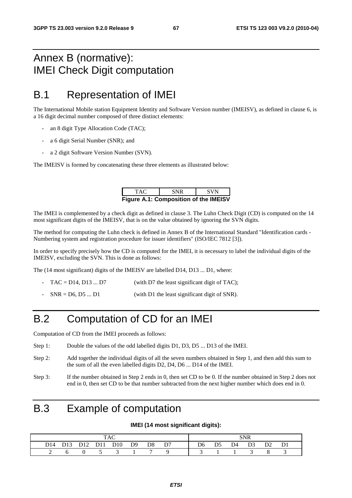# Annex B (normative): IMEI Check Digit computation

# B.1 Representation of IMEI

The International Mobile station Equipment Identity and Software Version number (IMEISV), as defined in clause 6, is a 16 digit decimal number composed of three distinct elements:

- an 8 digit Type Allocation Code (TAC);
- a 6 digit Serial Number (SNR); and
- a 2 digit Software Version Number (SVN).

The IMEISV is formed by concatenating these three elements as illustrated below:

| TAC.                                         | <b>SNR</b> | <b>SVN</b> |  |  |  |  |  |  |  |
|----------------------------------------------|------------|------------|--|--|--|--|--|--|--|
| <b>Figure A.1: Composition of the IMEISV</b> |            |            |  |  |  |  |  |  |  |

The IMEI is complemented by a check digit as defined in clause 3. The Luhn Check Digit (CD) is computed on the 14 most significant digits of the IMEISV, that is on the value obtained by ignoring the SVN digits.

The method for computing the Luhn check is defined in Annex B of the International Standard "Identification cards - Numbering system and registration procedure for issuer identifiers" (ISO/IEC 7812 [3]).

In order to specify precisely how the CD is computed for the IMEI, it is necessary to label the individual digits of the IMEISV, excluding the SVN. This is done as follows:

The (14 most significant) digits of the IMEISV are labelled D14, D13 ... D1, where:

- $TAC = D14, D13 \dots D7$  (with D7 the least significant digit of TAC);
- $SNR = D6, D5 ... D1$  (with D1 the least significant digit of SNR).

# B.2 Computation of CD for an IMEI

Computation of CD from the IMEI proceeds as follows:

- Step 1: Double the values of the odd labelled digits D1, D3, D5 ... D13 of the IMEI.
- Step 2: Add together the individual digits of all the seven numbers obtained in Step 1, and then add this sum to the sum of all the even labelled digits D2, D4, D6 ... D14 of the IMEI.
- Step 3: If the number obtained in Step 2 ends in 0, then set CD to be 0. If the number obtained in Step 2 does not end in 0, then set CD to be that number subtracted from the next higher number which does end in 0.

# B.3 Example of computation

#### **IMEI (14 most significant digits):**

|  |  |  |  |                              |  |  |  | SNR |                                                                                           |  |  |
|--|--|--|--|------------------------------|--|--|--|-----|-------------------------------------------------------------------------------------------|--|--|
|  |  |  |  | D14 D13 D12 D11 D10 D9 D8 D7 |  |  |  |     | D <sub>6</sub> D <sub>5</sub> D <sub>4</sub> D <sub>3</sub> D <sub>2</sub> D <sub>1</sub> |  |  |
|  |  |  |  | $0 \t 5 \t 3 \t 1$           |  |  |  |     |                                                                                           |  |  |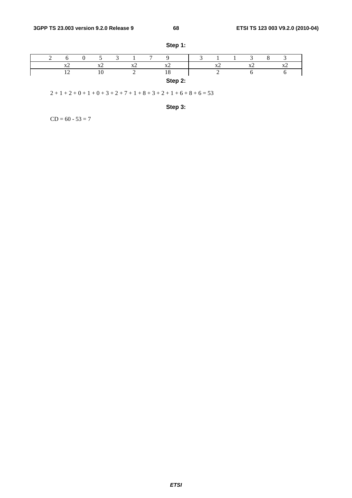|  |          |                          |                            | $\overline{a}$ |                                         |  |           |                        |           |  |
|--|----------|--------------------------|----------------------------|----------------|-----------------------------------------|--|-----------|------------------------|-----------|--|
|  | $\Delta$ | $\mathbf{v}$<br>$\Delta$ | $\mathbf{v}'$<br>$\Lambda$ |                | $\mathbf{r}$<br>$\overline{\mathbf{A}}$ |  | $\lambda$ | <b>Tr</b><br>$\lambda$ | $\Lambda$ |  |
|  |          |                          |                            |                | 1 ດ<br>10                               |  |           |                        |           |  |
|  |          |                          |                            |                | Step 2:                                 |  |           |                        |           |  |

**Step 1:** 

 $2 + 1 + 2 + 0 + 1 + 0 + 3 + 2 + 7 + 1 + 8 + 3 + 2 + 1 + 6 + 8 + 6 = 53$ 



 $CD = 60 - 53 = 7$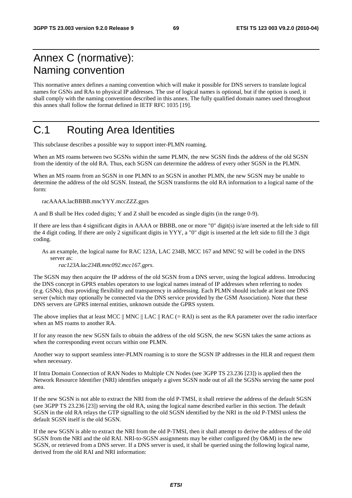# Annex C (normative): Naming convention

This normative annex defines a naming convention which will make it possible for DNS servers to translate logical names for GSNs and RAs to physical IP addresses. The use of logical names is optional, but if the option is used, it shall comply with the naming convention described in this annex. The fully qualified domain names used throughout this annex shall follow the format defined in IETF RFC 1035 [19].

# C.1 Routing Area Identities

This subclause describes a possible way to support inter-PLMN roaming.

When an MS roams between two SGSNs within the same PLMN, the new SGSN finds the address of the old SGSN from the identity of the old RA. Thus, each SGSN can determine the address of every other SGSN in the PLMN.

When an MS roams from an SGSN in one PLMN to an SGSN in another PLMN, the new SGSN may be unable to determine the address of the old SGSN. Instead, the SGSN transforms the old RA information to a logical name of the form:

racAAAA.lacBBBB.mncYYY.mccZZZ.gprs

A and B shall be Hex coded digits; Y and Z shall be encoded as single digits (in the range 0-9).

If there are less than 4 significant digits in AAAA or BBBB, one or more "0" digit(s) is/are inserted at the left side to fill the 4 digit coding. If there are only 2 significant digits in YYY, a "0" digit is inserted at the left side to fill the 3 digit coding.

As an example, the logical name for RAC 123A, LAC 234B, MCC 167 and MNC 92 will be coded in the DNS server as:

*rac123A.lac234B.mnc092.mcc167.gprs*.

The SGSN may then acquire the IP address of the old SGSN from a DNS server, using the logical address. Introducing the DNS concept in GPRS enables operators to use logical names instead of IP addresses when referring to nodes (e.g. GSNs), thus providing flexibility and transparency in addressing. Each PLMN should include at least one DNS server (which may optionally be connected via the DNS service provided by the GSM Association). Note that these DNS servers are GPRS internal entities, unknown outside the GPRS system.

The above implies that at least MCC  $\parallel$  MNC  $\parallel$  LAC  $\parallel$  RAC (= RAI) is sent as the RA parameter over the radio interface when an MS roams to another RA.

If for any reason the new SGSN fails to obtain the address of the old SGSN, the new SGSN takes the same actions as when the corresponding event occurs within one PLMN.

Another way to support seamless inter-PLMN roaming is to store the SGSN IP addresses in the HLR and request them when necessary.

If Intra Domain Connection of RAN Nodes to Multiple CN Nodes (see 3GPP TS 23.236 [23]) is applied then the Network Resource Identifier (NRI) identifies uniquely a given SGSN node out of all the SGSNs serving the same pool area.

If the new SGSN is not able to extract the NRI from the old P-TMSI, it shall retrieve the address of the default SGSN (see 3GPP TS 23.236 [23]) serving the old RA, using the logical name described earlier in this section. The default SGSN in the old RA relays the GTP signalling to the old SGSN identified by the NRI in the old P-TMSI unless the default SGSN itself is the old SGSN.

If the new SGSN is able to extract the NRI from the old P-TMSI, then it shall attempt to derive the address of the old SGSN from the NRI and the old RAI. NRI-to-SGSN assignments may be either configured (by O&M) in the new SGSN, or retrieved from a DNS server. If a DNS server is used, it shall be queried using the following logical name, derived from the old RAI and NRI information: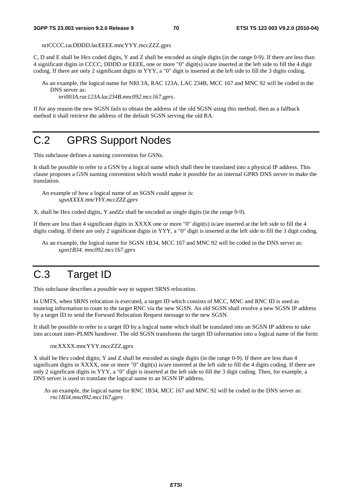nriCCCC.racDDDD.lacEEEE.mncYYY.mccZZZ.gprs

C, D and E shall be Hex coded digits, Y and Z shall be encoded as single digits (in the range 0-9). If there are less than 4 significant digits in CCCC, DDDD or EEEE, one or more "0" digit(s) is/are inserted at the left side to fill the 4 digit coding. If there are only 2 significant digits in YYY, a "0" digit is inserted at the left side to fill the 3 digits coding.

As an example, the logical name for NRI 3A, RAC 123A, LAC 234B, MCC 167 and MNC 92 will be coded in the DNS server as:

*nri003A.rac123A.lac234B.mnc092.mcc167.gprs*.

If for any reason the new SGSN fails to obtain the address of the old SGSN using this method, then as a fallback method it shall retrieve the address of the default SGSN serving the old RA.

# C.2 GPRS Support Nodes

This subclause defines a naming convention for GSNs.

It shall be possible to refer to a GSN by a logical name which shall then be translated into a physical IP address. This clause proposes a GSN naming convention which would make it possible for an internal GPRS DNS server to make the translation.

An example of how a logical name of an SGSN could appear is: *sgsnXXXX.mncYYY.mccZZZ.gprs* 

X, shall be Hex coded digits, Y andZz shall be encoded as single digits (in the range 0-9)*.* 

If there are less than 4 significant digits in XXXX one or more "0" digit(s) is/are inserted at the left side to fill the 4 digits coding. If there are only 2 significant digits in YYY, a "0" digit is inserted at the left side to fill the 3 digit coding.

As an example, the logical name for SGSN 1B34, MCC 167 and MNC 92 will be coded in the DNS server as: *sgsn1B34. mnc092.mcc167.gprs*

# C.3 Target ID

This subclause describes a possible way to support SRNS relocation.

In UMTS, when SRNS relocation is executed, a target ID which consists of MCC, MNC and RNC ID is used as routeing information to route to the target RNC via the new SGSN. An old SGSN shall resolve a new SGSN IP address by a target ID to send the Forward Relocation Request message to the new SGSN.

It shall be possible to refer to a target ID by a logical name which shall be translated into an SGSN IP address to take into account inter-PLMN handover. The old SGSN transforms the target ID information into a logical name of the form:

rncXXXX.mncYYY.mccZZZ.gprs

X shall be Hex coded digits; Y and Z shall be encoded as single digits (in the range 0-9). If there are less than 4 significant digits in XXXX, one or more "0" digit(s) is/are inserted at the left side to fill the 4 digits coding. If there are only 2 significant digits in YYY, a "0" digit is inserted at the left side to fill the 3 digit coding. Then, for example, a DNS server is used to translate the logical name to an SGSN IP address.

As an example, the logical name for RNC 1B34, MCC 167 and MNC 92 will be coded in the DNS server as: *rnc1B34.mnc092.mcc167.gprs*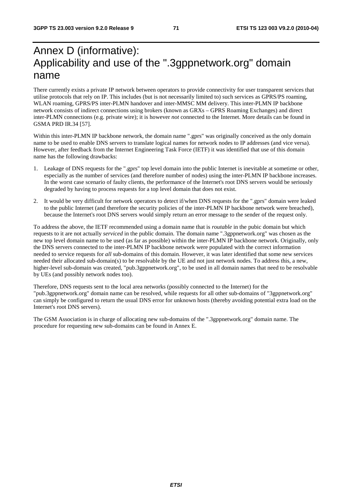# Annex D (informative): Applicability and use of the ".3gppnetwork.org" domain name

There currently exists a private IP network between operators to provide connectivity for user transparent services that utilise protocols that rely on IP. This includes (but is not necessarily limited to) such services as GPRS/PS roaming, WLAN roaming, GPRS/PS inter-PLMN handover and inter-MMSC MM delivery. This inter-PLMN IP backbone network consists of indirect connections using brokers (known as GRXs – GPRS Roaming Exchanges) and direct inter-PLMN connections (e.g. private wire); it is however *not* connected to the Internet. More details can be found in GSMA PRD IR.34 [57].

Within this inter-PLMN IP backbone network, the domain name ".gprs" was originally conceived as the only domain name to be used to enable DNS servers to translate logical names for network nodes to IP addresses (and vice versa). However, after feedback from the Internet Engineering Task Force (IETF) it was identified that use of this domain name has the following drawbacks:

- 1. Leakage of DNS requests for the ".gprs" top level domain into the public Internet is inevitable at sometime or other, especially as the number of services (and therefore number of nodes) using the inter-PLMN IP backbone increases. In the worst case scenario of faulty clients, the performance of the Internet's root DNS servers would be seriously degraded by having to process requests for a top level domain that does not exist.
- 2. It would be very difficult for network operators to detect if/when DNS requests for the ".gprs" domain were leaked to the public Internet (and therefore the security policies of the inter-PLMN IP backbone network were breached), because the Internet's root DNS servers would simply return an error message to the sender of the request only.

To address the above, the IETF recommended using a domain name that is *routable* in the pubic domain but which requests to it are not actually *serviced* in the public domain. The domain name ".3gppnetwork.org" was chosen as the new top level domain name to be used (as far as possible) within the inter-PLMN IP backbone network. Originally, only the DNS servers connected to the inter-PLMN IP backbone network were populated with the correct information needed to service requests for *all* sub-domains of this domain. However, it was later identified that some new services needed their allocated sub-domain(s) to be resolvable by the UE and not just network nodes. To address this, a new, higher-level sub-domain was created, "pub.3gppnetwork.org", to be used in all domain names that need to be resolvable by UEs (and possibly network nodes too).

Therefore, DNS requests sent to the local area networks (possibly connected to the Internet) for the "pub.3gppnetwork.org" domain name can be resolved, while requests for all other sub-domains of "3gppnetwork.org" can simply be configured to return the usual DNS error for unknown hosts (thereby avoiding potential extra load on the Internet's root DNS servers).

The GSM Association is in charge of allocating new sub-domains of the ".3gppnetwork.org" domain name. The procedure for requesting new sub-domains can be found in Annex E.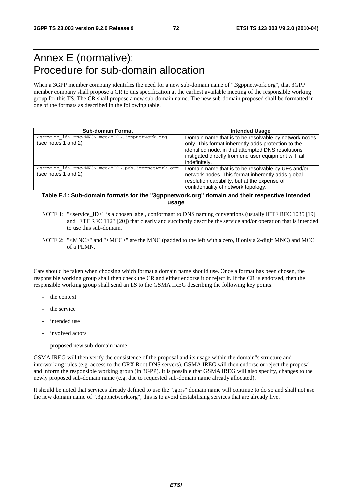## Annex E (normative): Procedure for sub-domain allocation

When a 3GPP member company identifies the need for a new sub-domain name of ".3gppnetwork.org", that 3GPP member company shall propose a CR to this specification at the earliest available meeting of the responsible working group for this TS. The CR shall propose a new sub-domain name. The new sub-domain proposed shall be formatted in one of the formats as described in the following table.

| <b>Sub-domain Format</b>                                                                            | <b>Intended Usage</b>                                                                                                                                                                                                                        |
|-----------------------------------------------------------------------------------------------------|----------------------------------------------------------------------------------------------------------------------------------------------------------------------------------------------------------------------------------------------|
| <service id="">.mnc<mnc>.mcc<mcc>.3qppnetwork.org<br/>(see notes 1 and 2)</mcc></mnc></service>     | Domain name that is to be resolvable by network nodes<br>only. This format inherently adds protection to the<br>identified node, in that attempted DNS resolutions<br>instigated directly from end user equipment will fail<br>indefinitely. |
| <service id="">.mnc<mnc>.mcc<mcc>.pub.3qppnetwork.org<br/>(see notes 1 and 2)</mcc></mnc></service> | Domain name that is to be resolvable by UEs and/or<br>network nodes. This format inherently adds global<br>resolution capability, but at the expense of<br>confidentiality of network topology.                                              |

### **Table E.1: Sub-domain formats for the "3gppnetwork.org" domain and their respective intended usage**

- NOTE 1: "<service\_ID>" is a chosen label, conformant to DNS naming conventions (usually IETF RFC 1035 [19] and IETF RFC 1123 [20]) that clearly and succinctly describe the service and/or operation that is intended to use this sub-domain.
- NOTE 2: "<MNC>" and "<MCC>" are the MNC (padded to the left with a zero, if only a 2-digit MNC) and MCC of a PLMN.

Care should be taken when choosing which format a domain name should use. Once a format has been chosen, the responsible working group shall then check the CR and either endorse it or reject it. If the CR is endorsed, then the responsible working group shall send an LS to the GSMA IREG describing the following key points:

- the context
- the service
- intended use
- involved actors
- proposed new sub-domain name

GSMA IREG will then verify the consistence of the proposal and its usage within the domain"s structure and interworking rules (e.g. access to the GRX Root DNS servers). GSMA IREG will then endorse or reject the proposal and inform the responsible working group (in 3GPP). It is possible that GSMA IREG will also specify, changes to the newly proposed sub-domain name (e.g. due to requested sub-domain name already allocated).

It should be noted that services already defined to use the ".gprs" domain name will continue to do so and shall not use the new domain name of ".3gppnetwork.org"; this is to avoid destabilising services that are already live.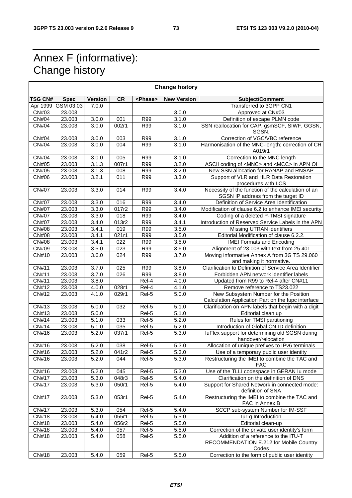### Annex F (informative): Change history

| <b>Change history</b>      |             |                    |                     |                   |                    |                                                                                             |
|----------------------------|-------------|--------------------|---------------------|-------------------|--------------------|---------------------------------------------------------------------------------------------|
| <b>TSG CN#</b>             | <b>Spec</b> | <b>Version</b>     | <b>CR</b>           | <phase></phase>   | <b>New Version</b> | Subject/Comment                                                                             |
| Apr 1999                   | GSM 03.03   | 7.0.0              |                     |                   |                    | Transferred to 3GPP CN1                                                                     |
| CN#03                      | 23.003      |                    |                     |                   | 3.0.0              | Approved at CN#03                                                                           |
| <b>CN#04</b>               | 23.003      | 3.0.0              | 001                 | R99               | 3.1.0              | Definition of escape PLMN code                                                              |
| <b>CN#04</b>               | 23.003      | 3.0.0              | 002r1               | R99               | 3.1.0              | SSN reallocation for CAP, gsmSCF, SIWF, GGSN,<br>SGSN,                                      |
| <b>CN#04</b>               | 23.003      | 3.0.0              | 003                 | <b>R99</b>        | 3.1.0              | Correction of VGC/VBC reference                                                             |
| <b>CN#04</b>               | 23.003      | 3.0.0              | 004                 | R99               | 3.1.0              | Harmonisation of the MNC-length; correction of CR<br>A019r1                                 |
| <b>CN#04</b>               | 23.003      | 3.0.0              | 005                 | R99               | 3.1.0              | Correction to the MNC length                                                                |
| CN#05                      | 23.003      | 3.1.3              | 007r1               | R99               | 3.2.0              | ASCII coding of <mnc> and <mcc> in APN OI</mcc></mnc>                                       |
| <b>CN#05</b>               | 23.003      | 3.1.3              | 008                 | $\overline{R99}$  | 3.2.0              | New SSN allocation for RANAP and RNSAP                                                      |
| CN#06                      | 23.003      | 3.2.1              | 011                 | R99               | 3.3.0              | Support of VLR and HLR Data Restoration<br>procedures with LCS                              |
| <b>CN#07</b>               | 23.003      | 3.3.0              | 014                 | <b>R99</b>        | 3.4.0              | Necessity of the function of the calculation of an<br>SGSN IP address from the target ID    |
| <b>CN#07</b>               | 23.003      | 3.3.0              | 016                 | R99               | 3.4.0              | Definition of Service Area Identification                                                   |
| <b>CN#07</b>               | 23.003      | 3.3.0              | 017r2               | R99               | 3.4.0              | Modification of clause 6.2 to enhance IMEI security                                         |
| <b>CN#07</b>               | 23.003      | 3.3.0              | 018                 | <b>R99</b>        | 3.4.0              | Coding of a deleted P-TMSI signature                                                        |
| <b>CN#07</b>               | 23.003      | 3.4.0              | 013r2               | <b>R99</b>        | 3.4.1              | Introduction of Reserved Service Labels in the APN                                          |
| <b>CN#08</b>               | 23.003      | 3.4.1              | 019                 | R99               | 3.5.0              | Missing UTRAN identifiers                                                                   |
| <b>CN#08</b>               | 23.003      | 3.4.1              | $\overline{0}$ 21r1 | R99               | 3.5.0              | Editorial Modification of clause 6.2.2.                                                     |
| <b>CN#08</b>               | 23.003      | 3.4.1              | $\overline{022}$    | R99               | 3.5.0              | <b>IMEI Formats and Encoding</b>                                                            |
| $\overline{\text{CN}}$ #09 | 23.003      | 3.5.0              | 023                 | <b>R99</b>        | 3.6.0              | Alignment of 23.003 with text from 25.401                                                   |
| CN#10                      | 23.003      | 3.6.0              | 024                 | R99               | 3.7.0              | Moving informative Annex A from 3G TS 29.060<br>and making it normative.                    |
| <b>CN#11</b>               | 23.003      | 3.7.0              | 025                 | R99               | 3.8.0              | Clarification to Definition of Service Area Identifier                                      |
| CN#11                      | 23.003      | 3.7.0              | 026                 | R99               | 3.8.0              | Forbidden APN network identifier labels                                                     |
| $\overline{CN#11}$         | 23.003      | 3.8.0              |                     | Rel-4             | 4.0.0              | Updated from R99 to Rel-4 after CN#11                                                       |
| CN#12                      | 23.003      | 4.0.0              | 028r1               | Rel-4             | 4.1.0              | Remove reference to TS23.022                                                                |
| CN#12                      | 23.003      | 4.1.0              | 029r1               | Rel-5             | 5.0.0              | New Subsystem Number for the Position<br>Calculation Application Part on the lupc interface |
| CN#13                      | 23.003      | 5.0.0              | 032                 | Rel-5             | 5.1.0              | Clarification on APN labels that begin with a digit                                         |
| CN#13                      | 23.003      | 5.0.0              |                     | Rel-5             | $\overline{5.1.0}$ | Editorial clean up                                                                          |
| CN#14                      | 23.003      | 5.1.0              | 033                 | $\overline{Rel5}$ | 5.2.0              | Rules for TMSI partitioning                                                                 |
| CN#14                      | 23.003      | $\overline{5.1.0}$ | 035                 | Rel-5             | 5.2.0              | Introduction of Global CN-ID definition                                                     |
| CN#16                      | 23.003      | 5.2.0              | 037r1               | Rel-5             | 5.3.0              | luFlex support for determining old SGSN during<br>handover/relocation                       |
| CN#16                      | 23.003      | 5.2.0              | 038                 | Rel-5             | 5.3.0              | Allocation of unique prefixes to IPv6 terminals                                             |
| CN#16                      | 23.003      | 5.2.0              | 041r2               | Rel-5             | 5.3.0              | Use of a temporary public user identity                                                     |
| CN#16                      | 23.003      | 5.2.0              | 044                 | Rel-5             | 5.3.0              | Restructuring the IMEI to combine the TAC and<br>FAC                                        |
| CN#16                      | 23.003      | 5.2.0              | 045                 | Rel-5             | 5.3.0              | Use of the TLLI codespace in GERAN Iu mode                                                  |
| <b>CN#17</b>               | 23.003      | 5.3.0              | 048r3               | Rel-5             | 5.4.0              | Clarification on the definition of DNS                                                      |
| <b>CN#17</b>               | 23.003      | 5.3.0              | 050r1               | Rel-5             | 5.4.0              | Support for Shared Network in connected mode:<br>definition of SNA                          |
| <b>CN#17</b>               | 23.003      | 5.3.0              | 053r1               | Rel-5             | 5.4.0              | Restructuring the IMEI to combine the TAC and<br>FAC in Annex B                             |
| <b>CN#17</b>               | 23.003      | 5.3.0              | 054                 | Rel-5             | 5.4.0              | SCCP sub-system Number for IM-SSF                                                           |
| <b>CN#18</b>               | 23.003      | 5.4.0              | 055r1               | Rel-5             | 5.5.0              | lur-g Introduction                                                                          |
| <b>CN#18</b>               | 23.003      | 5.4.0              | 056r2               | Rel-5             | 5.5.0              | Editorial clean-up                                                                          |
| CN#18                      | 23.003      | 5.4.0              | 057                 | Rel-5             | 5.5.0              | Correction of the private user identity's form                                              |
| CN#18                      | 23.003      | 5.4.0              | 058                 | Rel-5             | 5.5.0              | Addition of a reference to the ITU-T<br>RECOMMENDATION E.212 for Mobile Country<br>Codes    |
| CN#18                      | 23.003      | 5.4.0              | 059                 | Rel-5             | 5.5.0              | Correction to the form of public user identity                                              |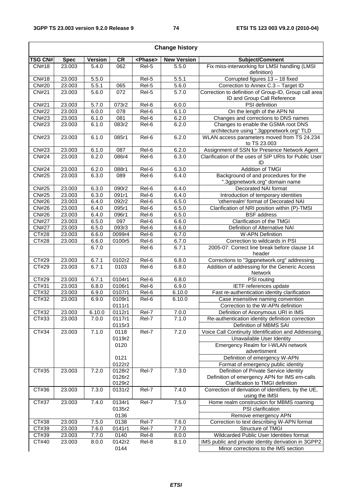$\overline{\Gamma}$ 

 $\overline{\phantom{a}}$ 

| <b>Change history</b> |             |                |                  |                     |                    |                                                                                      |
|-----------------------|-------------|----------------|------------------|---------------------|--------------------|--------------------------------------------------------------------------------------|
| <b>TSG CN#</b>        | <b>Spec</b> | <b>Version</b> | <b>CR</b>        | <phase></phase>     | <b>New Version</b> | Subject/Comment                                                                      |
| CN#18                 | 23.003      | 5.4.0          | 062              | Rel-5               | 5.5.0              | Fix miss-interworking for LMSI handling (LMSI<br>definition)                         |
| CN#18                 | 23.003      | 5.5.0          |                  | Rel-5               | 5.5.1              | Corrupted figures 13 - 18 fixed                                                      |
| <b>CN#20</b>          | 23.003      | 5.5.1          | 065              | Rel-5               | 5.6.0              | Correction to Annex C.3 - Target ID                                                  |
| <b>CN#21</b>          | 23.003      | 5.6.0          | 072              | Rel-5               | 5.7.0              | Correction to definition of Group-ID, Group call area<br>ID and Group Call Reference |
| <b>CN#21</b>          | 23.003      | 5.7.0          | 073r2            | Rel-6               | 6.0.0              | PSI definition                                                                       |
| <b>CN#22</b>          | 23.003      | 6.0.0          | 078              | $\overline{Rel6}$   | 6.1.0              | On the length of the APN NI                                                          |
| CN#23                 | 23.003      | 6.1.0          | $\overline{081}$ | $\overline{ReI}$ -6 | 6.2.0              | Changes and corrections to DNS names                                                 |
| CN#23                 | 23.003      | 6.1.0          | 083r2            | Rel-6               | 6.2.0              | Changes to enable the GSMA root DNS<br>architecture using ".3gppnetwork.org" TLD     |
| CN#23                 | 23.003      | 6.1.0          | 085r1            | Rel-6               | 6.2.0              | WLAN access parameters moved from TS 24.234<br>to TS 23.003                          |
| CN#23                 | 23.003      | 6.1.0          | 087              | Rel-6               | 6.2.0              | Assignment of SSN for Presence Network Agent                                         |
| <b>CN#24</b>          | 23.003      | 6.2.0          | 086r4            | Rel-6               | 6.3.0              | Clarification of the uses of SIP URIs for Public User<br>ID                          |
| <b>CN#24</b>          | 23.003      | 6.2.0          | 088r1            | Rel-6               | 6.3.0              | Addition of TMGI                                                                     |
| <b>CN#25</b>          | 23.003      | 6.3.0          | 089              | Rel-6               | 6.4.0              | Background of and procedures for the                                                 |
|                       |             |                |                  |                     |                    | ".3gppnetwork.org" domain name                                                       |
| CN#25                 | 23.003      | 6.3.0          | 090r2            | Rel-6               | 6.4.0              | Decorated NAI format                                                                 |
| <b>CN#25</b>          | 23.003      | 6.3.0          | 091r1            | Rel-6               | 6.4.0              | Introduction of temporary identities                                                 |
| CN#26                 | 23.003      | 6.4.0          | 092r2            | Rel-6               | 6.5.0              | 'otherrealm' format of Decorated NAI                                                 |
| <b>CN#26</b>          | 23.003      | 6.4.0          | 095r1            | Rel-6               | 6.5.0              | Clarification of NRI position within (P)-TMSI                                        |
| CN#26                 | 23.003      | 6.4.0          | 096r1            | $Rel-6$             | 6.5.0              | <b>BSF</b> address                                                                   |
| <b>CN#27</b>          | 23.003      | 6.5.0          | 097              | $\overline{Rel6}$   | 6.6.0              | Clarification of the TMGI                                                            |
| <b>CN#27</b>          | 23.003      | 6.5.0          | 093r3            | Rel-6               | 6.6.0              | Definition of Alternative NAI                                                        |
| CT#28                 | 23.003      | 6.6.0          | 0099r4           | Rel-6               | 6.7.0              | <b>W-APN Definition</b>                                                              |
| CT#28                 | 23.003      | 6.6.0          | 0100r5           | Rel-6               | 6.7.0              | Correction to wildcards in PSI                                                       |
|                       |             | 6.7.0          |                  | Rel-6               | 6.7.1              | 2005-07: Correct line break before clause 14<br>header                               |
| $\overline{CT#29}$    | 23.003      | 6.7.1          | 0102r2           | Rel-6               | 6.8.0              | Corrections to "3gppnetwork.org" addressing                                          |
| CT#29                 | 23.003      | 6.7.1          | 0103             | Rel-6               | 6.8.0              | Addition of addressing for the Generic Access<br>Network                             |
| CT#29                 | 23.003      | 6.7.1          | 0104r1           | Rel-6               | 6.8.0              | PSI routing                                                                          |
| CT#31                 | 23.003      | 6.8.0          | 0106r1           | Rel-6               | 6.9.0              | IETF references update                                                               |
| CT#32                 | 23.003      | 6.9.0          | 0107r1           | Rel-6               | 6.10.0             | Fast re-authentication identity clarification                                        |
| CT#32                 | 23.003      | 6.9.0          | 0109r1           | Rel-6               | 6.10.0             | Case insensitive naming convention                                                   |
|                       |             |                | 0111r1           |                     |                    | Correction to the W-APN definition                                                   |
| CT#32                 | 23.003      | 6.10.0         | 0112r1           | Rel-7               | 7.0.0              | Definition of Anonymous URI in IMS                                                   |
| CT#33                 | 23.003      | 7.0.0          | 0117r1<br>0115r3 | Rel-7               | 7.1.0              | Re-authentication identity definition correction<br>Definition of MBMS SAI           |
| CT#34                 | 23.003      | 7.1.0          | 0118             | Rel-7               | 7.2.0              | Voice Call Continuity Identification and Addressing                                  |
|                       |             |                | 0119r2           |                     |                    | Unavailable User Identity                                                            |
|                       |             |                | 0120             |                     |                    | <b>Emergency Realm for I-WLAN network</b><br>advertisment                            |
|                       |             |                | 0121             |                     |                    | Definition of emergency W-APN                                                        |
|                       |             |                | 0122r2           |                     |                    | Format of emergency public identity                                                  |
| CT#35                 | 23.003      | 7.2.0          | 0128r2           | Rel-7               | 7.3.0              | Definition of Private Service identity                                               |
|                       |             |                | 0126r2           |                     |                    | Definition of emergency APN for IMS em-calls                                         |
|                       |             |                | 0129r2           |                     |                    | Clarification to TMGI definition                                                     |
| CT#36                 | 23.003      | 7.3.0          | 0131r2           | Rel-7               | 7.4.0              | Correction of derivation of identifiers, by the UE,<br>using the IMSI                |
| CT#37                 | 23.003      | 7.4.0          | 0134r1           | Rel-7               | 7.5.0              | Home realm construction for MBMS roaming                                             |
|                       |             |                | 0135r2           |                     |                    | PSI clarification                                                                    |
|                       |             |                | 0136             |                     |                    | Remove emergency APN                                                                 |
| CT#38                 | 23.003      | 7.5.0          | 0138             | Rel-7               | 7.6.0              | Correction to text describing W-APN format                                           |
| CT#39                 | 23.003      | 7.6.0          | 0141r1           | Rel-7               | 7.7.0              | Structure of TMGI                                                                    |
| CT#39                 | 23.003      | 7.7.0          | 0140             | Rel-8               | 8.0.0              | Wildcarded Public User Identities format                                             |
| CT#40                 | 23.003      | 8.0.0          | 0142r2           | Rel-8               | 8.1.0              | IMS public and private identity derivation in 3GPP2                                  |
|                       |             |                | 0144             |                     |                    | Minor corrections to the IMS section                                                 |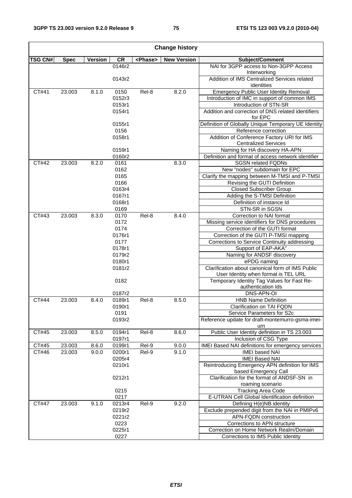| <b>Change history</b> |             |                |                |                 |                    |                                                                                          |
|-----------------------|-------------|----------------|----------------|-----------------|--------------------|------------------------------------------------------------------------------------------|
| <b>TSG CN#</b>        | <b>Spec</b> | <b>Version</b> | <b>CR</b>      | <phase></phase> | <b>New Version</b> | Subject/Comment                                                                          |
|                       |             |                | 0146r2         |                 |                    | NAI for 3GPP access to Non-3GPP Access                                                   |
|                       |             |                | 0143r2         |                 |                    | Interworking<br>Addition of IMS Centralized Services related                             |
| CT#41                 | 23.003      | 8.1.0          | 0150           | Rel-8           | 8.2.0              | identities<br><b>Emergency Public User Identity Removal</b>                              |
|                       |             |                | 0152r3         |                 |                    | Introduction of IMC in support of common IMS                                             |
|                       |             |                | 0153r1         |                 |                    | Introduction of STN-SR                                                                   |
|                       |             |                | 0154r1         |                 |                    | Addition and correction of DNS related identifiers<br>for EPC                            |
|                       |             |                | 0155r1         |                 |                    | Definition of Globally Unique Temporary UE Identity                                      |
|                       |             |                | 0156           |                 |                    | Reference correction                                                                     |
|                       |             |                | 0158r1         |                 |                    | Addition of Conference Factory URI for IMS<br><b>Centralized Services</b>                |
|                       |             |                | 0159r1         |                 |                    | Naming for HA discovery HA-APN                                                           |
|                       |             |                | 0160r2         |                 |                    | Definition and format of access network identifier                                       |
| CT#42                 | 23.003      | 8.2.0          | 0161           |                 | 8.3.0              | <b>SGSN related FQDNs</b>                                                                |
|                       |             |                | 0162           |                 |                    | New "nodes" subdomain for EPC                                                            |
|                       |             |                | 0165           |                 |                    | Clarify the mapping between M-TMSI and P-TMSI                                            |
|                       |             |                | 0166           |                 |                    | Revising the GUTI Definition                                                             |
|                       |             |                | 0163r4         |                 |                    | <b>Closed Subscriber Group</b>                                                           |
|                       |             |                | 0167r1         |                 |                    | Adding the S-TMSI Definition                                                             |
|                       |             |                | 0168r1         |                 |                    | Definition of instance Id                                                                |
|                       |             |                | 0169           |                 |                    | STN-SR in SGSN                                                                           |
| CT#43                 | 23.003      | 8.3.0          | 0170           | Rel-8           | 8.4.0              | Correction to NAI format                                                                 |
|                       |             |                | 0172           |                 |                    | Missing service identifiers for DNS procedures                                           |
|                       |             |                | 0174           |                 |                    | Correction of the GUTI format<br>Correction of the GUTI P-TMSI mapping                   |
|                       |             |                | 0176r1<br>0177 |                 |                    | Corrections to Service Continuity addressing                                             |
|                       |             |                | 0178r1         |                 |                    | Support of EAP-AKA"                                                                      |
|                       |             |                | 0179r2         |                 |                    | Naming for ANDSF discovery                                                               |
|                       |             |                | 0180r1         |                 |                    | ePDG naming                                                                              |
|                       |             |                | 0181r2         |                 |                    | Clarification about canonical form of IMS Public<br>User Identity when format is TEL URL |
|                       |             |                | 0182           |                 |                    | Temporary Identity Tag Values for Fast Re-<br>authentication Ids                         |
|                       |             |                | 0187r2         |                 |                    | DNS-APN-OI                                                                               |
| CT#44                 | 23.003      | 8.4.0          | 0189r1         | Rel-8           | 8.5.0              | <b>HNB Name Definition</b>                                                               |
|                       |             |                | 0190r1         |                 |                    | Clarification on TAI FQDN                                                                |
|                       |             |                | 0191           |                 |                    | Service Parameters for S2c                                                               |
|                       |             |                | 0193r2         |                 |                    | Reference update for draft-montemurro-gsma-imei-                                         |
|                       |             |                |                |                 |                    | urn                                                                                      |
| CT#45                 | 23.003      | 8.5.0          | 0194r1         | Rel-8           | 8.6.0              | Public User Identity definition in TS 23.003                                             |
|                       |             |                | 0197r1         |                 |                    | Inclusion of CSG Type                                                                    |
| CT#45                 | 23.003      | 8.6.0          | 0199r1         | Rel-9           | 9.0.0              | IMEI Based NAI definitions for emergency services                                        |
| CT#46                 | 23.003      | 9.0.0          | 0200r1         | Rel-9           | 9.1.0              | <b>IMEI based NAI</b>                                                                    |
|                       |             |                | 0205r4         |                 |                    | <b>IMEI Based NAI</b>                                                                    |
|                       |             |                | 0210r1         |                 |                    | Reintroducing Emergency APN definition for IMS<br>based Emergency Call                   |
|                       |             |                | 0212r1         |                 |                    | Clarification for the format of ANDSF-SN in<br>roaming scenario                          |
|                       |             |                | 0215           |                 |                    | <b>Tracking Area Code</b>                                                                |
|                       |             |                | 0217           |                 |                    | E-UTRAN Cell Global Identification definition                                            |
| CT#47                 | 23.003      | 9.1.0          | 0213r4         | Rel-9           | 9.2.0              | Defining H(e)NB identity                                                                 |
|                       |             |                | 0219r2         |                 |                    | Exclude prepended digit from the NAI in PMIPv6                                           |
|                       |             |                | 0221r2         |                 |                    | APN-FQDN construction                                                                    |
|                       |             |                | 0223           |                 |                    | Corrections to APN structure                                                             |
|                       |             |                | 0225r1         |                 |                    | Correction on Home Network Realm/Domain                                                  |
|                       |             |                | 0227           |                 |                    | Corrections to IMS Public Identity                                                       |